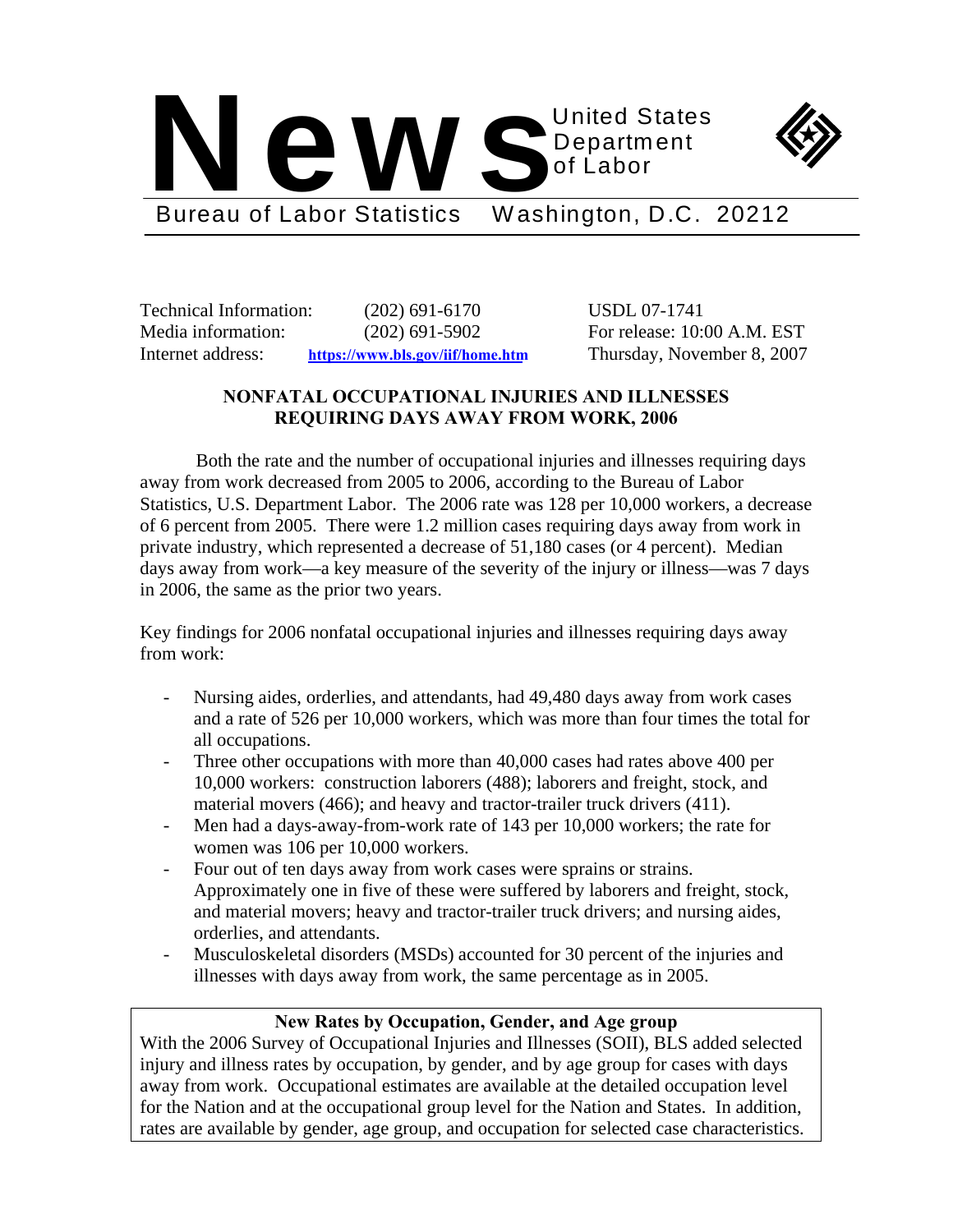



Bureau of Labor Statistics Washington, D.C. 20212

Technical Information: (202) 691-6170 USDL 07-1741 Media information: (202) 691-5902 For release: 10:00 A.M. EST Internet address: **https://www.bls.gov/iif/home.htm** Thursday, November 8, 2007

# **NONFATAL OCCUPATIONAL INJURIES AND ILLNESSES REQUIRING DAYS AWAY FROM WORK, 2006**

Both the rate and the number of occupational injuries and illnesses requiring days away from work decreased from 2005 to 2006, according to the Bureau of Labor Statistics, U.S. Department Labor. The 2006 rate was 128 per 10,000 workers, a decrease of 6 percent from 2005. There were 1.2 million cases requiring days away from work in private industry, which represented a decrease of 51,180 cases (or 4 percent). Median days away from work—a key measure of the severity of the injury or illness—was 7 days in 2006, the same as the prior two years.

Key findings for 2006 nonfatal occupational injuries and illnesses requiring days away from work:

- Nursing aides, orderlies, and attendants, had 49,480 days away from work cases and a rate of 526 per 10,000 workers, which was more than four times the total for all occupations.
- Three other occupations with more than 40,000 cases had rates above 400 per 10,000 workers: construction laborers (488); laborers and freight, stock, and material movers (466); and heavy and tractor-trailer truck drivers (411).
- Men had a days-away-from-work rate of 143 per 10,000 workers; the rate for women was 106 per 10,000 workers.
- Four out of ten days away from work cases were sprains or strains. Approximately one in five of these were suffered by laborers and freight, stock, and material movers; heavy and tractor-trailer truck drivers; and nursing aides, orderlies, and attendants.
- Musculoskeletal disorders (MSDs) accounted for 30 percent of the injuries and illnesses with days away from work, the same percentage as in 2005.

# **New Rates by Occupation, Gender, and Age group**

With the 2006 Survey of Occupational Injuries and Illnesses (SOII), BLS added selected injury and illness rates by occupation, by gender, and by age group for cases with days away from work. Occupational estimates are available at the detailed occupation level for the Nation and at the occupational group level for the Nation and States. In addition, rates are available by gender, age group, and occupation for selected case characteristics.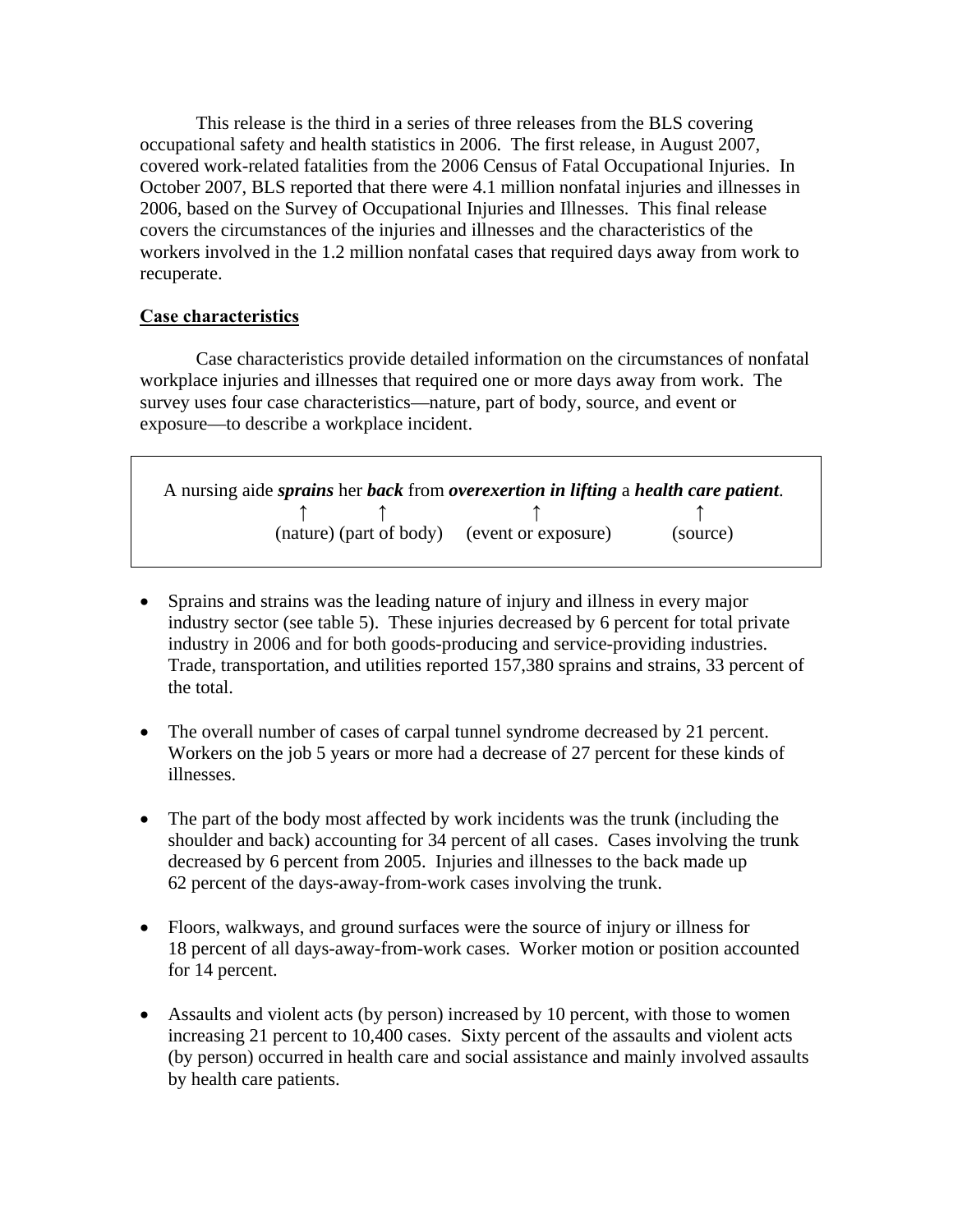This release is the third in a series of three releases from the BLS covering occupational safety and health statistics in 2006. The first release, in August 2007, covered work-related fatalities from the 2006 Census of Fatal Occupational Injuries. In October 2007, BLS reported that there were 4.1 million nonfatal injuries and illnesses in 2006, based on the Survey of Occupational Injuries and Illnesses. This final release covers the circumstances of the injuries and illnesses and the characteristics of the workers involved in the 1.2 million nonfatal cases that required days away from work to recuperate.

# **Case characteristics**

Case characteristics provide detailed information on the circumstances of nonfatal workplace injuries and illnesses that required one or more days away from work. The survey uses four case characteristics—nature, part of body, source, and event or exposure—to describe a workplace incident.

 A nursing aide *sprains* her *back* from *overexertion in lifting* a *health care patient*.  **↑ ↑ ↑ ↑** (nature) (part of body) (event or exposure) (source)

- Sprains and strains was the leading nature of injury and illness in every major industry sector (see table 5). These injuries decreased by 6 percent for total private industry in 2006 and for both goods-producing and service-providing industries. Trade, transportation, and utilities reported 157,380 sprains and strains, 33 percent of the total.
- The overall number of cases of carpal tunnel syndrome decreased by 21 percent. Workers on the job 5 years or more had a decrease of 27 percent for these kinds of illnesses.
- The part of the body most affected by work incidents was the trunk (including the shoulder and back) accounting for 34 percent of all cases. Cases involving the trunk decreased by 6 percent from 2005. Injuries and illnesses to the back made up 62 percent of the days-away-from-work cases involving the trunk.
- Floors, walkways, and ground surfaces were the source of injury or illness for 18 percent of all days-away-from-work cases. Worker motion or position accounted for 14 percent.
- Assaults and violent acts (by person) increased by 10 percent, with those to women increasing 21 percent to 10,400 cases. Sixty percent of the assaults and violent acts (by person) occurred in health care and social assistance and mainly involved assaults by health care patients.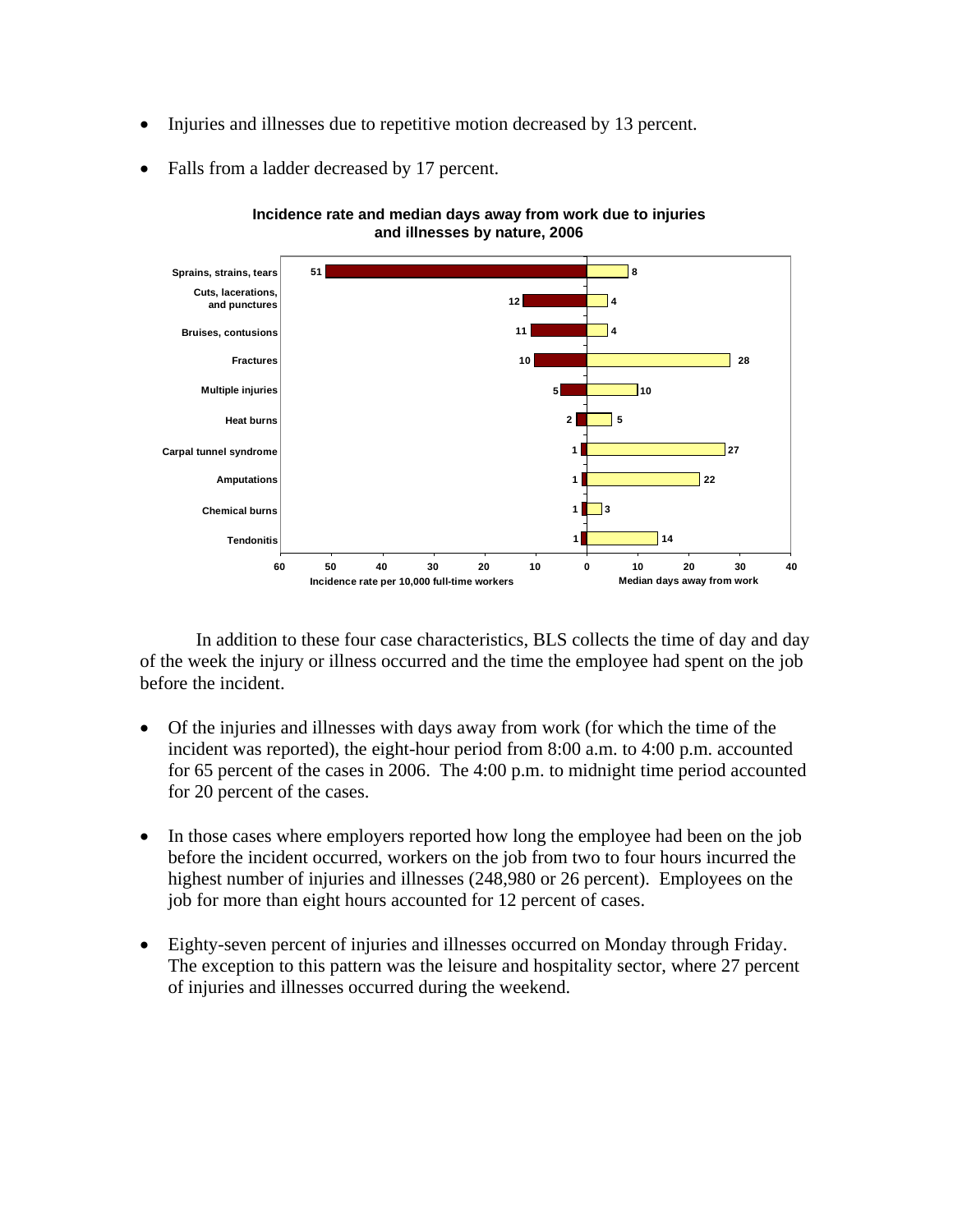- Injuries and illnesses due to repetitive motion decreased by 13 percent.
- Falls from a ladder decreased by 17 percent.



**Incidence rate and median days away from work due to injuries and illnesses by nature, 2006**

In addition to these four case characteristics, BLS collects the time of day and day of the week the injury or illness occurred and the time the employee had spent on the job before the incident.

- Of the injuries and illnesses with days away from work (for which the time of the incident was reported), the eight-hour period from 8:00 a.m. to 4:00 p.m. accounted for 65 percent of the cases in 2006. The 4:00 p.m. to midnight time period accounted for 20 percent of the cases.
- In those cases where employers reported how long the employee had been on the job before the incident occurred, workers on the job from two to four hours incurred the highest number of injuries and illnesses (248,980 or 26 percent). Employees on the job for more than eight hours accounted for 12 percent of cases.
- Eighty-seven percent of injuries and illnesses occurred on Monday through Friday. The exception to this pattern was the leisure and hospitality sector, where 27 percent of injuries and illnesses occurred during the weekend.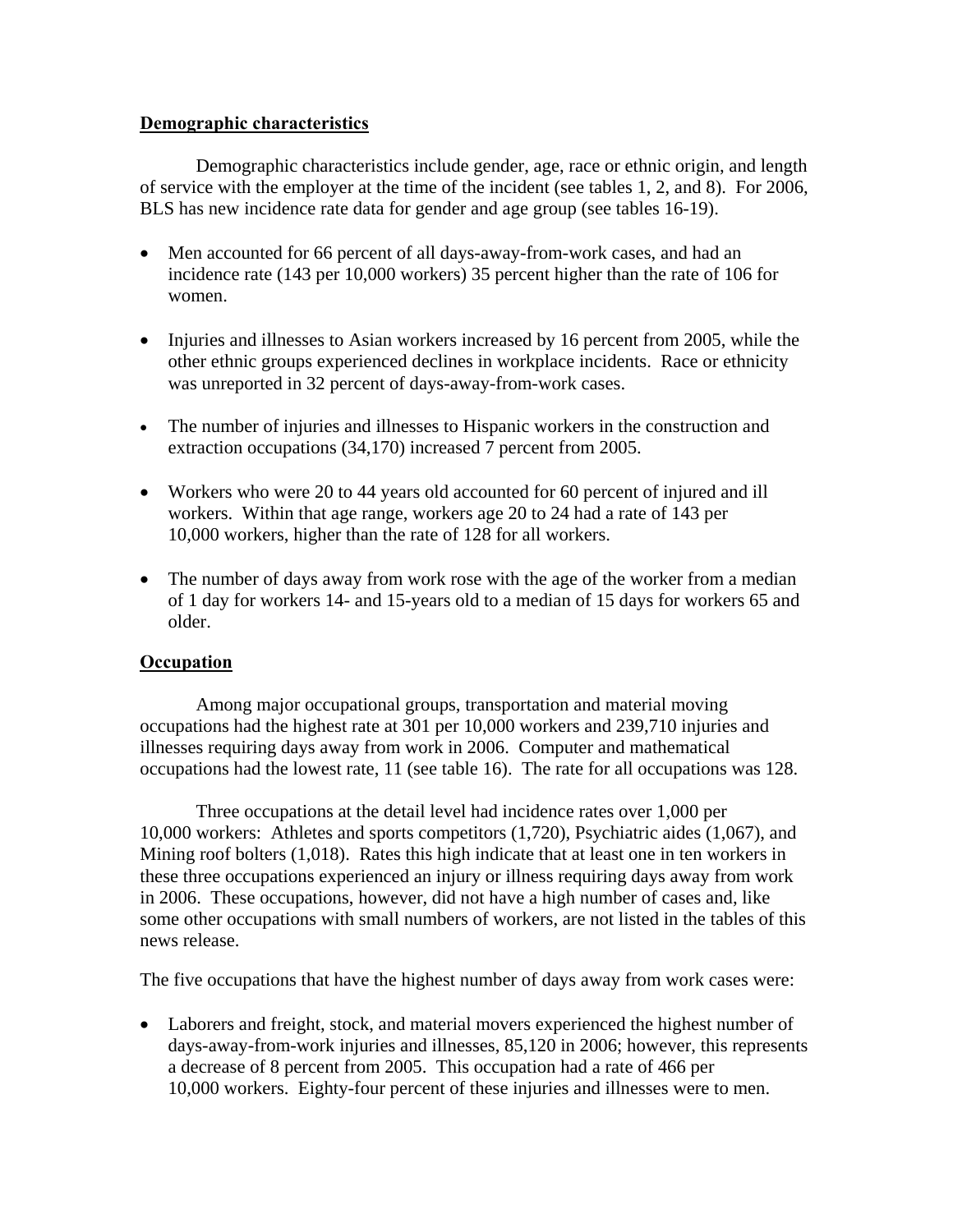# **Demographic characteristics**

Demographic characteristics include gender, age, race or ethnic origin, and length of service with the employer at the time of the incident (see tables 1, 2, and 8). For 2006, BLS has new incidence rate data for gender and age group (see tables 16-19).

- Men accounted for 66 percent of all days-away-from-work cases, and had an incidence rate (143 per 10,000 workers) 35 percent higher than the rate of 106 for women.
- Injuries and illnesses to Asian workers increased by 16 percent from 2005, while the other ethnic groups experienced declines in workplace incidents. Race or ethnicity was unreported in 32 percent of days-away-from-work cases.
- The number of injuries and illnesses to Hispanic workers in the construction and extraction occupations (34,170) increased 7 percent from 2005.
- Workers who were 20 to 44 years old accounted for 60 percent of injured and ill workers. Within that age range, workers age 20 to 24 had a rate of 143 per 10,000 workers, higher than the rate of 128 for all workers.
- The number of days away from work rose with the age of the worker from a median of 1 day for workers 14- and 15-years old to a median of 15 days for workers 65 and older.

# **Occupation**

Among major occupational groups, transportation and material moving occupations had the highest rate at 301 per 10,000 workers and 239,710 injuries and illnesses requiring days away from work in 2006. Computer and mathematical occupations had the lowest rate, 11 (see table 16). The rate for all occupations was 128.

Three occupations at the detail level had incidence rates over 1,000 per 10,000 workers: Athletes and sports competitors (1,720), Psychiatric aides (1,067), and Mining roof bolters (1,018). Rates this high indicate that at least one in ten workers in these three occupations experienced an injury or illness requiring days away from work in 2006. These occupations, however, did not have a high number of cases and, like some other occupations with small numbers of workers, are not listed in the tables of this news release.

The five occupations that have the highest number of days away from work cases were:

• Laborers and freight, stock, and material movers experienced the highest number of days-away-from-work injuries and illnesses, 85,120 in 2006; however, this represents a decrease of 8 percent from 2005. This occupation had a rate of 466 per 10,000 workers. Eighty-four percent of these injuries and illnesses were to men.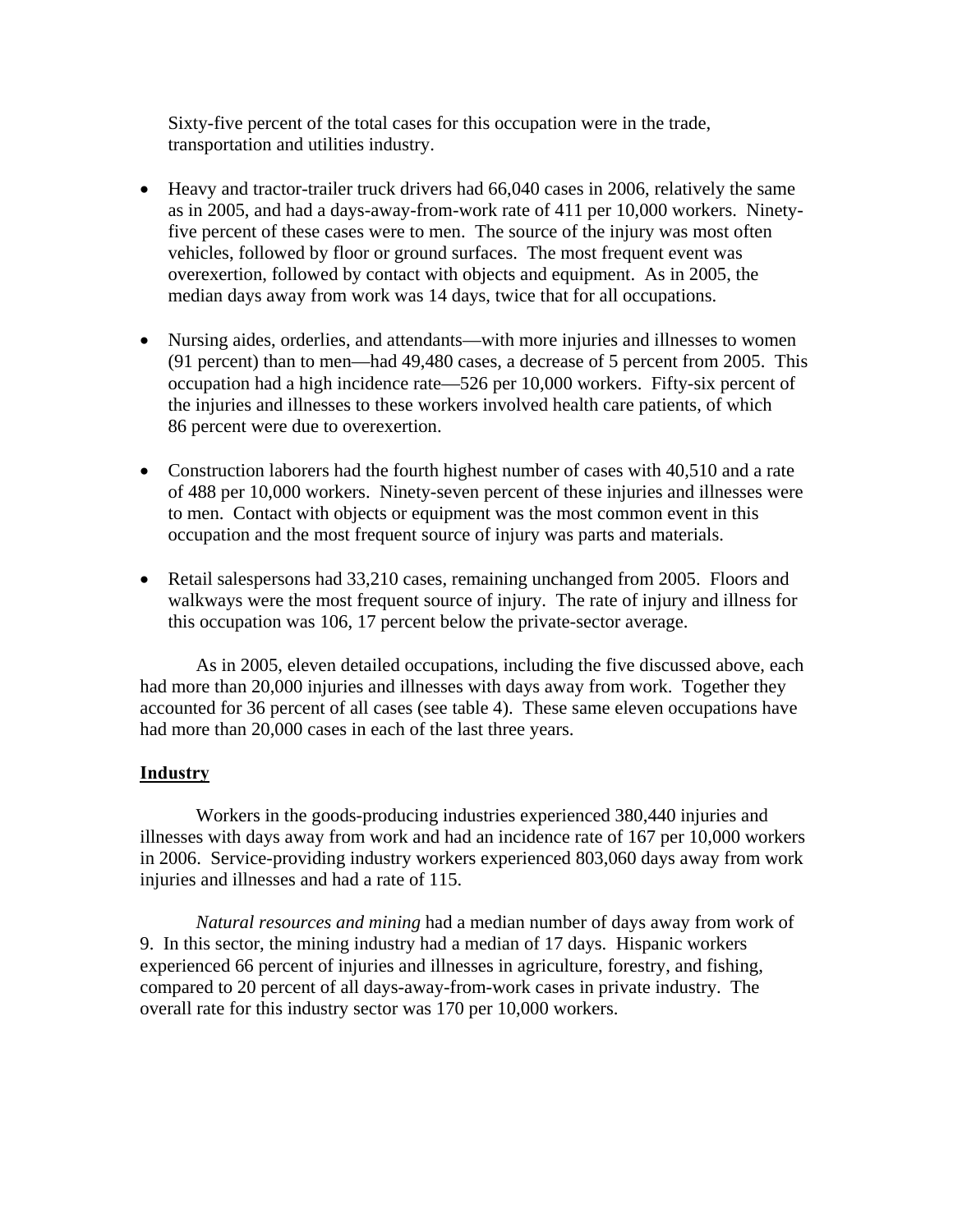Sixty-five percent of the total cases for this occupation were in the trade, transportation and utilities industry.

- Heavy and tractor-trailer truck drivers had 66,040 cases in 2006, relatively the same as in 2005, and had a days-away-from-work rate of 411 per 10,000 workers. Ninetyfive percent of these cases were to men. The source of the injury was most often vehicles, followed by floor or ground surfaces. The most frequent event was overexertion, followed by contact with objects and equipment. As in 2005, the median days away from work was 14 days, twice that for all occupations.
- Nursing aides, orderlies, and attendants—with more injuries and illnesses to women (91 percent) than to men—had 49,480 cases, a decrease of 5 percent from 2005. This occupation had a high incidence rate—526 per 10,000 workers. Fifty-six percent of the injuries and illnesses to these workers involved health care patients, of which 86 percent were due to overexertion.
- Construction laborers had the fourth highest number of cases with 40,510 and a rate of 488 per 10,000 workers. Ninety-seven percent of these injuries and illnesses were to men. Contact with objects or equipment was the most common event in this occupation and the most frequent source of injury was parts and materials.
- Retail salespersons had 33,210 cases, remaining unchanged from 2005. Floors and walkways were the most frequent source of injury. The rate of injury and illness for this occupation was 106, 17 percent below the private-sector average.

 As in 2005, eleven detailed occupations, including the five discussed above, each had more than 20,000 injuries and illnesses with days away from work. Together they accounted for 36 percent of all cases (see table 4). These same eleven occupations have had more than 20,000 cases in each of the last three years.

## **Industry**

 Workers in the goods-producing industries experienced 380,440 injuries and illnesses with days away from work and had an incidence rate of 167 per 10,000 workers in 2006. Service-providing industry workers experienced 803,060 days away from work injuries and illnesses and had a rate of 115.

*Natural resources and mining* had a median number of days away from work of 9. In this sector, the mining industry had a median of 17 days. Hispanic workers experienced 66 percent of injuries and illnesses in agriculture, forestry, and fishing, compared to 20 percent of all days-away-from-work cases in private industry. The overall rate for this industry sector was 170 per 10,000 workers.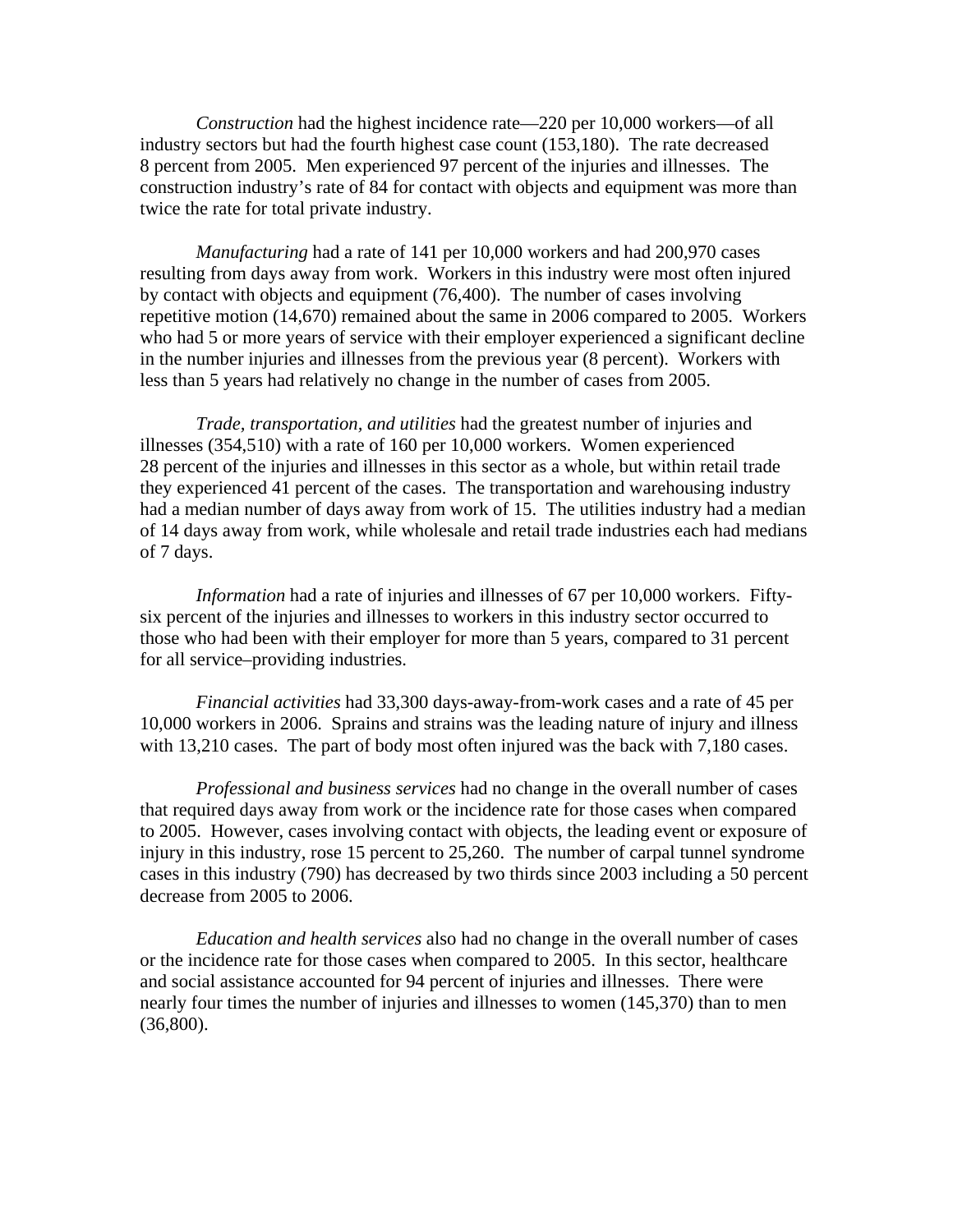*Construction* had the highest incidence rate—220 per 10,000 workers—of all industry sectors but had the fourth highest case count (153,180). The rate decreased 8 percent from 2005. Men experienced 97 percent of the injuries and illnesses. The construction industry's rate of 84 for contact with objects and equipment was more than twice the rate for total private industry.

*Manufacturing* had a rate of 141 per 10,000 workers and had 200,970 cases resulting from days away from work. Workers in this industry were most often injured by contact with objects and equipment (76,400). The number of cases involving repetitive motion (14,670) remained about the same in 2006 compared to 2005. Workers who had 5 or more years of service with their employer experienced a significant decline in the number injuries and illnesses from the previous year (8 percent). Workers with less than 5 years had relatively no change in the number of cases from 2005.

*Trade, transportation, and utilities* had the greatest number of injuries and illnesses (354,510) with a rate of 160 per 10,000 workers. Women experienced 28 percent of the injuries and illnesses in this sector as a whole, but within retail trade they experienced 41 percent of the cases. The transportation and warehousing industry had a median number of days away from work of 15. The utilities industry had a median of 14 days away from work, while wholesale and retail trade industries each had medians of 7 days.

*Information* had a rate of injuries and illnesses of 67 per 10,000 workers. Fiftysix percent of the injuries and illnesses to workers in this industry sector occurred to those who had been with their employer for more than 5 years, compared to 31 percent for all service–providing industries.

*Financial activities* had 33,300 days-away-from-work cases and a rate of 45 per 10,000 workers in 2006. Sprains and strains was the leading nature of injury and illness with 13,210 cases. The part of body most often injured was the back with 7,180 cases.

*Professional and business services* had no change in the overall number of cases that required days away from work or the incidence rate for those cases when compared to 2005. However, cases involving contact with objects, the leading event or exposure of injury in this industry, rose 15 percent to 25,260. The number of carpal tunnel syndrome cases in this industry (790) has decreased by two thirds since 2003 including a 50 percent decrease from 2005 to 2006.

*Education and health services* also had no change in the overall number of cases or the incidence rate for those cases when compared to 2005. In this sector, healthcare and social assistance accounted for 94 percent of injuries and illnesses. There were nearly four times the number of injuries and illnesses to women (145,370) than to men (36,800).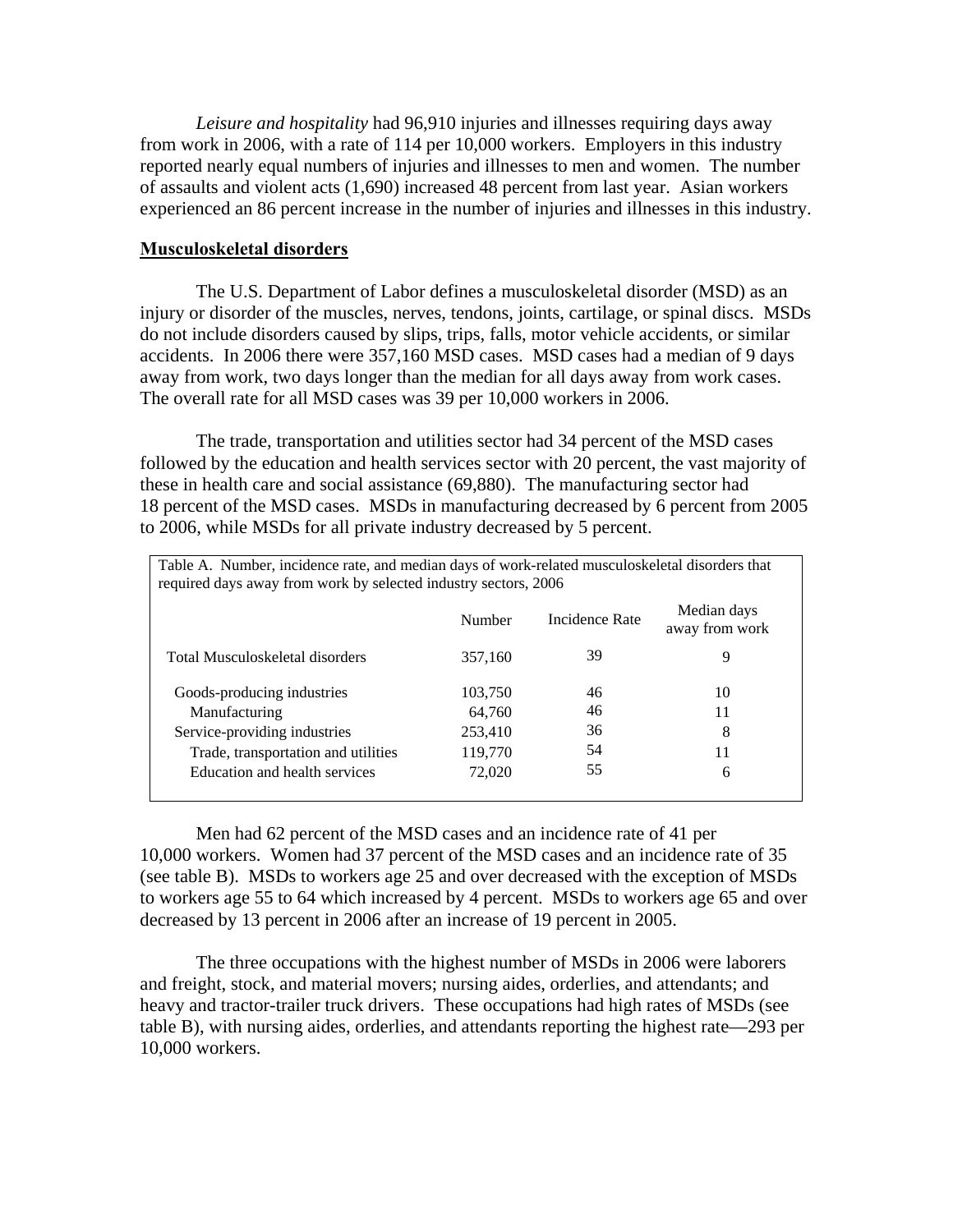*Leisure and hospitality* had 96,910 injuries and illnesses requiring days away from work in 2006, with a rate of 114 per 10,000 workers. Employers in this industry reported nearly equal numbers of injuries and illnesses to men and women. The number of assaults and violent acts (1,690) increased 48 percent from last year. Asian workers experienced an 86 percent increase in the number of injuries and illnesses in this industry.

### **Musculoskeletal disorders**

The U.S. Department of Labor defines a musculoskeletal disorder (MSD) as an injury or disorder of the muscles, nerves, tendons, joints, cartilage, or spinal discs. MSDs do not include disorders caused by slips, trips, falls, motor vehicle accidents, or similar accidents. In 2006 there were 357,160 MSD cases. MSD cases had a median of 9 days away from work, two days longer than the median for all days away from work cases. The overall rate for all MSD cases was 39 per 10,000 workers in 2006.

The trade, transportation and utilities sector had 34 percent of the MSD cases followed by the education and health services sector with 20 percent, the vast majority of these in health care and social assistance (69,880). The manufacturing sector had 18 percent of the MSD cases. MSDs in manufacturing decreased by 6 percent from 2005 to 2006, while MSDs for all private industry decreased by 5 percent.

| Table A. Number, incidence rate, and median days of work-related musculoskeletal disorders that<br>required days away from work by selected industry sectors, 2006 |         |                |                               |  |  |  |  |  |  |  |  |
|--------------------------------------------------------------------------------------------------------------------------------------------------------------------|---------|----------------|-------------------------------|--|--|--|--|--|--|--|--|
|                                                                                                                                                                    | Number  | Incidence Rate | Median days<br>away from work |  |  |  |  |  |  |  |  |
| Total Musculoskeletal disorders                                                                                                                                    | 357,160 | 39             | 9                             |  |  |  |  |  |  |  |  |
| Goods-producing industries                                                                                                                                         | 103,750 | 46             | 10                            |  |  |  |  |  |  |  |  |
| Manufacturing                                                                                                                                                      | 64,760  | 46             | 11                            |  |  |  |  |  |  |  |  |
| Service-providing industries                                                                                                                                       | 253,410 | 36             | 8                             |  |  |  |  |  |  |  |  |
| Trade, transportation and utilities                                                                                                                                | 119,770 | 54             | 11                            |  |  |  |  |  |  |  |  |
| Education and health services                                                                                                                                      | 72,020  | 55             | 6                             |  |  |  |  |  |  |  |  |

Men had 62 percent of the MSD cases and an incidence rate of 41 per 10,000 workers. Women had 37 percent of the MSD cases and an incidence rate of 35 (see table B). MSDs to workers age 25 and over decreased with the exception of MSDs to workers age 55 to 64 which increased by 4 percent. MSDs to workers age 65 and over decreased by 13 percent in 2006 after an increase of 19 percent in 2005.

The three occupations with the highest number of MSDs in 2006 were laborers and freight, stock, and material movers; nursing aides, orderlies, and attendants; and heavy and tractor-trailer truck drivers. These occupations had high rates of MSDs (see table B), with nursing aides, orderlies, and attendants reporting the highest rate—293 per 10,000 workers.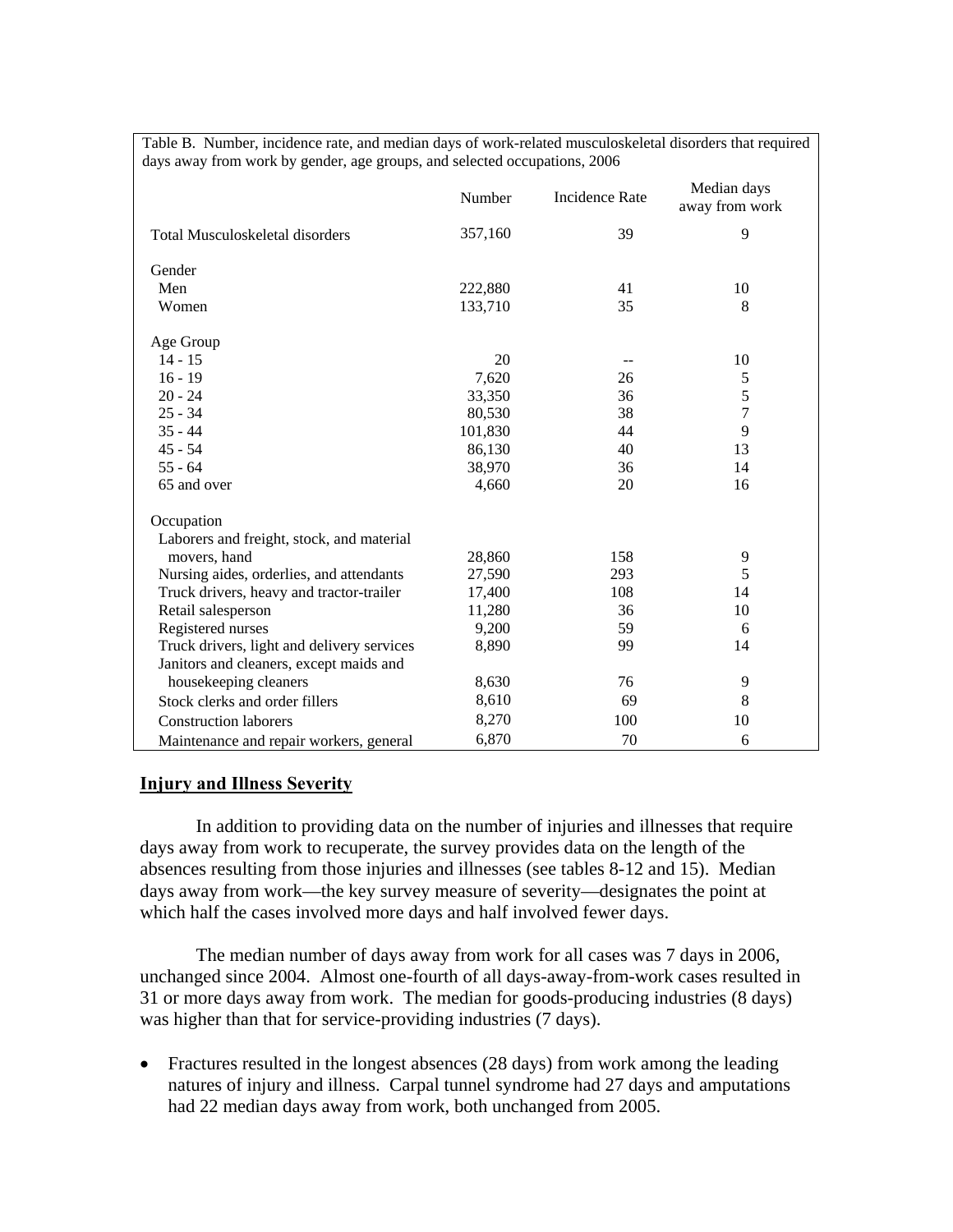Table B. Number, incidence rate, and median days of work-related musculoskeletal disorders that required days away from work by gender, age groups, and selected occupations, 2006

|                                            | Number  | <b>Incidence Rate</b> | Median days<br>away from work |
|--------------------------------------------|---------|-----------------------|-------------------------------|
| <b>Total Musculoskeletal disorders</b>     | 357,160 | 39                    | 9                             |
| Gender                                     |         |                       |                               |
| Men                                        | 222,880 | 41                    | 10                            |
| Women                                      | 133,710 | 35                    | 8                             |
| Age Group                                  |         |                       |                               |
| $14 - 15$                                  | 20      | --                    | 10                            |
| $16 - 19$                                  | 7,620   | 26                    | 5                             |
| $20 - 24$                                  | 33,350  | 36                    | 5                             |
| $25 - 34$                                  | 80,530  | 38                    | 7                             |
| $35 - 44$                                  | 101,830 | 44                    | 9                             |
| $45 - 54$                                  | 86,130  | 40                    | 13                            |
| $55 - 64$                                  | 38,970  | 36                    | 14                            |
| 65 and over                                | 4,660   | 20                    | 16                            |
| Occupation                                 |         |                       |                               |
| Laborers and freight, stock, and material  |         |                       |                               |
| movers, hand                               | 28,860  | 158                   | 9                             |
| Nursing aides, orderlies, and attendants   | 27,590  | 293                   | 5                             |
| Truck drivers, heavy and tractor-trailer   | 17,400  | 108                   | 14                            |
| Retail salesperson                         | 11,280  | 36                    | 10                            |
| Registered nurses                          | 9,200   | 59                    | 6                             |
| Truck drivers, light and delivery services | 8,890   | 99                    | 14                            |
| Janitors and cleaners, except maids and    |         |                       |                               |
| housekeeping cleaners                      | 8,630   | 76                    | 9                             |
| Stock clerks and order fillers             | 8,610   | 69                    | 8                             |
| <b>Construction laborers</b>               | 8,270   | 100                   | 10                            |
| Maintenance and repair workers, general    | 6,870   | 70                    | 6                             |

### **Injury and Illness Severity**

In addition to providing data on the number of injuries and illnesses that require days away from work to recuperate, the survey provides data on the length of the absences resulting from those injuries and illnesses (see tables 8-12 and 15). Median days away from work—the key survey measure of severity—designates the point at which half the cases involved more days and half involved fewer days.

The median number of days away from work for all cases was 7 days in 2006, unchanged since 2004. Almost one-fourth of all days-away-from-work cases resulted in 31 or more days away from work. The median for goods-producing industries (8 days) was higher than that for service-providing industries (7 days).

• Fractures resulted in the longest absences (28 days) from work among the leading natures of injury and illness. Carpal tunnel syndrome had 27 days and amputations had 22 median days away from work, both unchanged from 2005.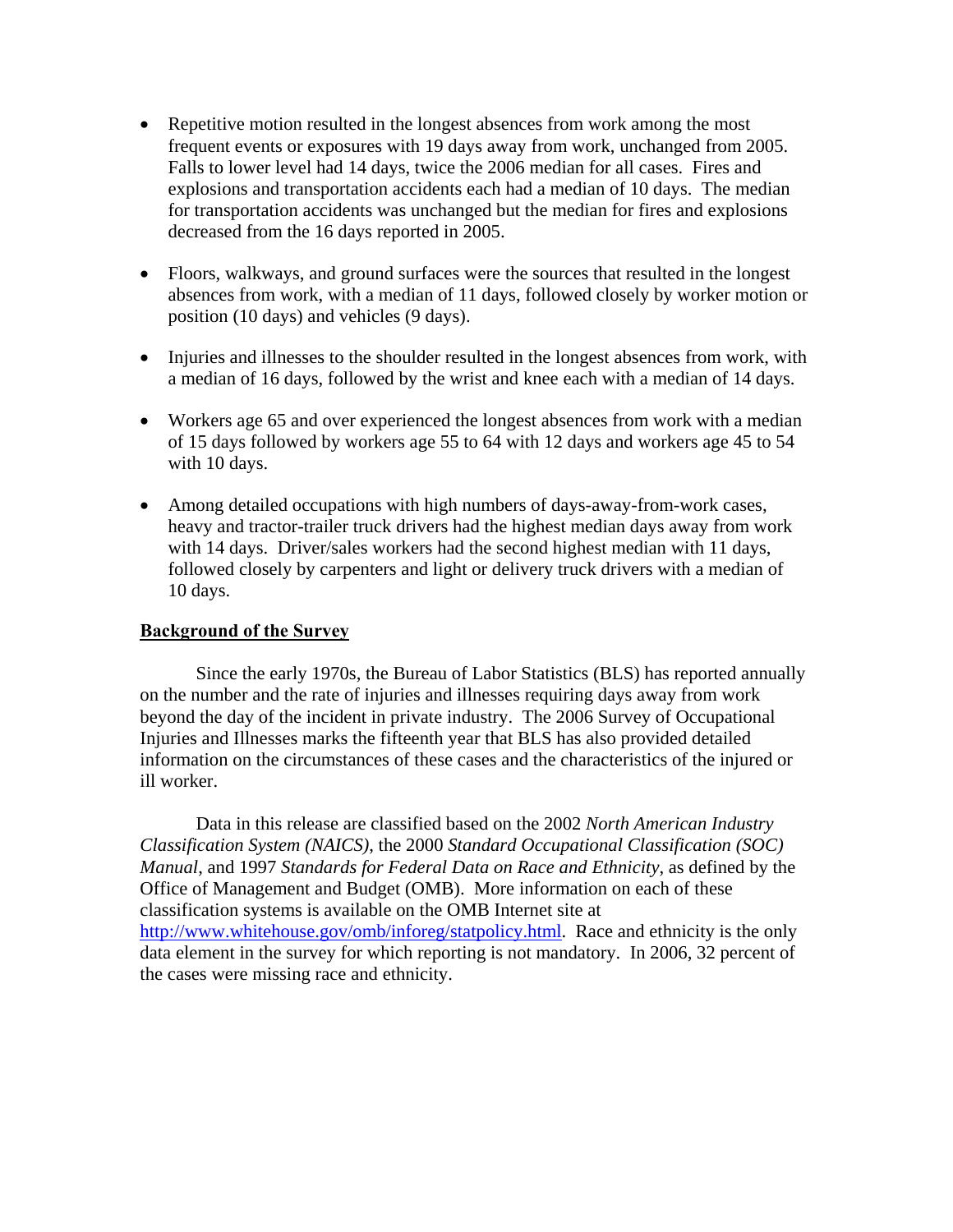- Repetitive motion resulted in the longest absences from work among the most frequent events or exposures with 19 days away from work, unchanged from 2005. Falls to lower level had 14 days, twice the 2006 median for all cases. Fires and explosions and transportation accidents each had a median of 10 days. The median for transportation accidents was unchanged but the median for fires and explosions decreased from the 16 days reported in 2005.
- Floors, walkways, and ground surfaces were the sources that resulted in the longest absences from work, with a median of 11 days, followed closely by worker motion or position (10 days) and vehicles (9 days).
- Injuries and illnesses to the shoulder resulted in the longest absences from work, with a median of 16 days, followed by the wrist and knee each with a median of 14 days.
- Workers age 65 and over experienced the longest absences from work with a median of 15 days followed by workers age 55 to 64 with 12 days and workers age 45 to 54 with 10 days.
- Among detailed occupations with high numbers of days-away-from-work cases, heavy and tractor-trailer truck drivers had the highest median days away from work with 14 days. Driver/sales workers had the second highest median with 11 days, followed closely by carpenters and light or delivery truck drivers with a median of 10 days.

## **Background of the Survey**

Since the early 1970s, the Bureau of Labor Statistics (BLS) has reported annually on the number and the rate of injuries and illnesses requiring days away from work beyond the day of the incident in private industry. The 2006 Survey of Occupational Injuries and Illnesses marks the fifteenth year that BLS has also provided detailed information on the circumstances of these cases and the characteristics of the injured or ill worker.

Data in this release are classified based on the 2002 *North American Industry Classification System (NAICS)*, the 2000 *Standard Occupational Classification (SOC) Manual*, and 1997 *Standards for Federal Data on Race and Ethnicity*, as defined by the Office of Management and Budget (OMB). More information on each of these classification systems is available on the OMB Internet site at http://www.whitehouse.gov/omb/inforeg/statpolicy.html. Race and ethnicity is the only data element in the survey for which reporting is not mandatory. In 2006, 32 percent of the cases were missing race and ethnicity.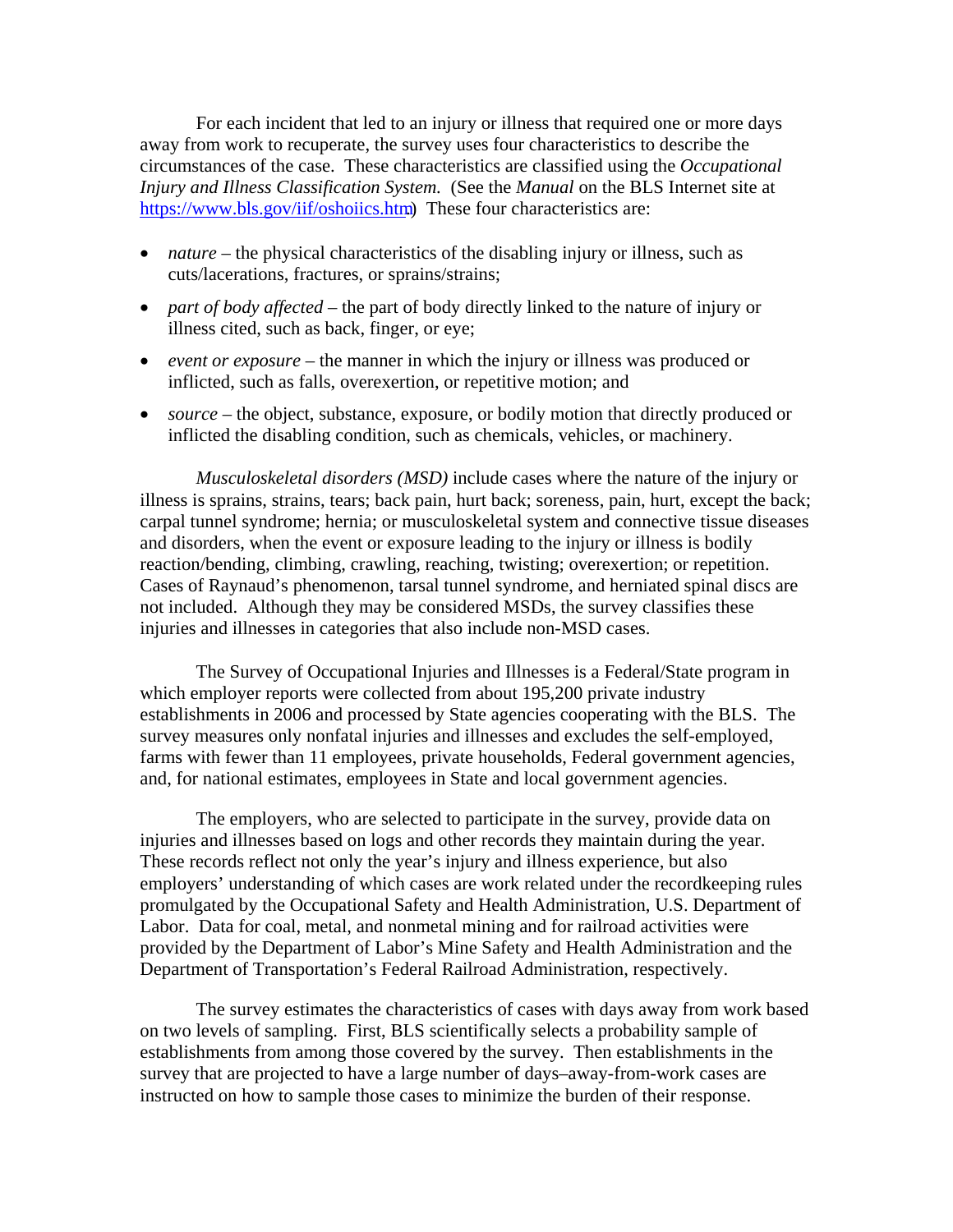For each incident that led to an injury or illness that required one or more days away from work to recuperate, the survey uses four characteristics to describe the circumstances of the case. These characteristics are classified using the *Occupational Injury and Illness Classification System.* (See the *Manual* on the BLS Internet site at https://www.bls.gov/iif/oshoiics.html These four characteristics are:

- *nature* the physical characteristics of the disabling injury or illness, such as cuts/lacerations, fractures, or sprains/strains;
- *part of body affected* the part of body directly linked to the nature of injury or illness cited, such as back, finger, or eye;
- *event or exposure* the manner in which the injury or illness was produced or inflicted, such as falls, overexertion, or repetitive motion; and
- *source* the object, substance, exposure, or bodily motion that directly produced or inflicted the disabling condition, such as chemicals, vehicles, or machinery.

*Musculoskeletal disorders (MSD)* include cases where the nature of the injury or illness is sprains, strains, tears; back pain, hurt back; soreness, pain, hurt, except the back; carpal tunnel syndrome; hernia; or musculoskeletal system and connective tissue diseases and disorders, when the event or exposure leading to the injury or illness is bodily reaction/bending, climbing, crawling, reaching, twisting; overexertion; or repetition. Cases of Raynaud's phenomenon, tarsal tunnel syndrome, and herniated spinal discs are not included. Although they may be considered MSDs, the survey classifies these injuries and illnesses in categories that also include non-MSD cases.

The Survey of Occupational Injuries and Illnesses is a Federal/State program in which employer reports were collected from about 195,200 private industry establishments in 2006 and processed by State agencies cooperating with the BLS. The survey measures only nonfatal injuries and illnesses and excludes the self-employed, farms with fewer than 11 employees, private households, Federal government agencies, and, for national estimates, employees in State and local government agencies.

The employers, who are selected to participate in the survey, provide data on injuries and illnesses based on logs and other records they maintain during the year. These records reflect not only the year's injury and illness experience, but also employers' understanding of which cases are work related under the recordkeeping rules promulgated by the Occupational Safety and Health Administration, U.S. Department of Labor. Data for coal, metal, and nonmetal mining and for railroad activities were provided by the Department of Labor's Mine Safety and Health Administration and the Department of Transportation's Federal Railroad Administration, respectively.

The survey estimates the characteristics of cases with days away from work based on two levels of sampling. First, BLS scientifically selects a probability sample of establishments from among those covered by the survey. Then establishments in the survey that are projected to have a large number of days–away-from-work cases are instructed on how to sample those cases to minimize the burden of their response.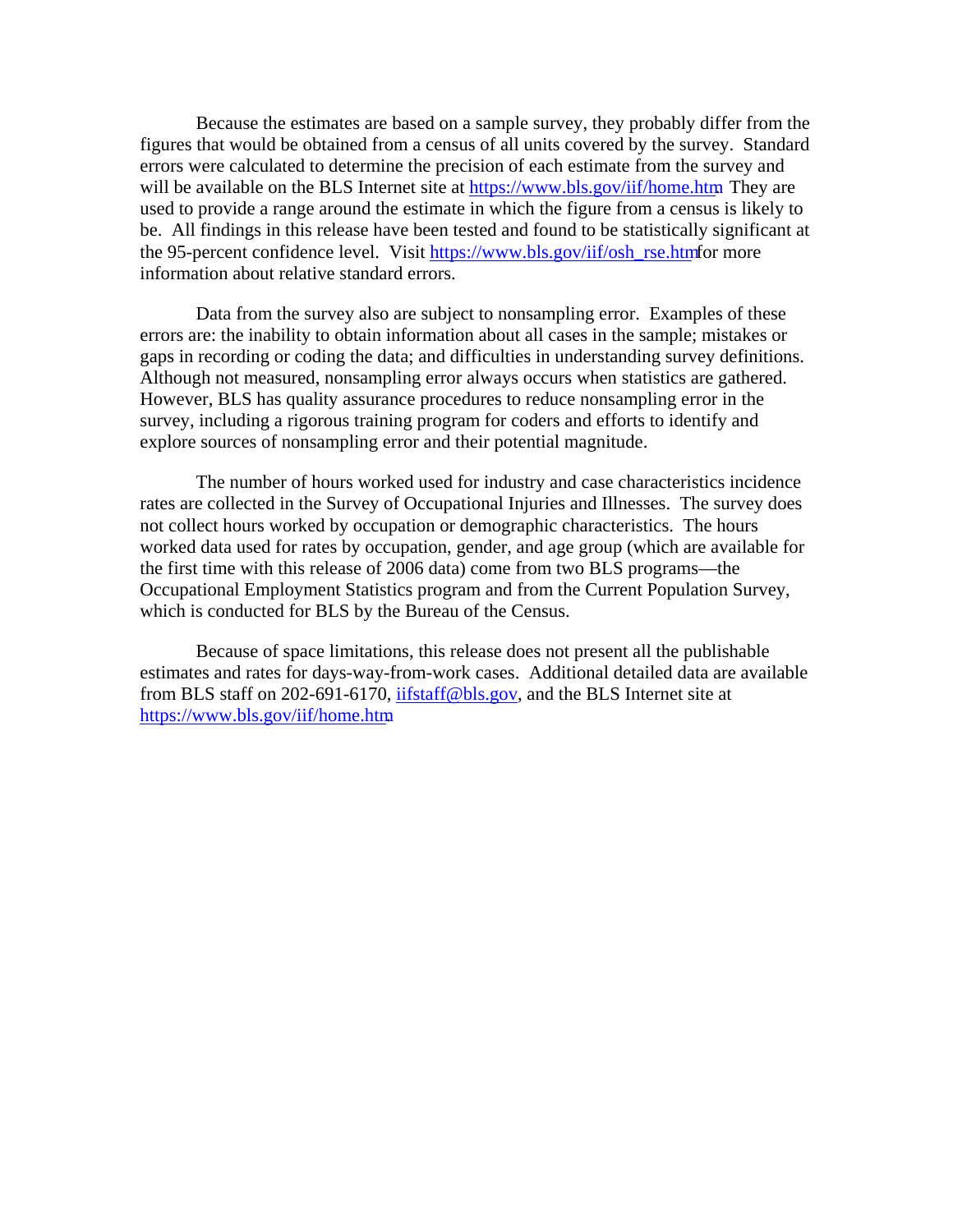Because the estimates are based on a sample survey, they probably differ from the figures that would be obtained from a census of all units covered by the survey. Standard errors were calculated to determine the precision of each estimate from the survey and will be available on the BLS Internet site at https://www.bls.gov/iif/home.htm They are used to provide a range around the estimate in which the figure from a census is likely to be. All findings in this release have been tested and found to be statistically significant at the 95-percent confidence level. Visit https://www.bls.gov/iif/osh\_rse.htm for more information about relative standard errors.

Data from the survey also are subject to nonsampling error. Examples of these errors are: the inability to obtain information about all cases in the sample; mistakes or gaps in recording or coding the data; and difficulties in understanding survey definitions. Although not measured, nonsampling error always occurs when statistics are gathered. However, BLS has quality assurance procedures to reduce nonsampling error in the survey, including a rigorous training program for coders and efforts to identify and explore sources of nonsampling error and their potential magnitude.

The number of hours worked used for industry and case characteristics incidence rates are collected in the Survey of Occupational Injuries and Illnesses. The survey does not collect hours worked by occupation or demographic characteristics. The hours worked data used for rates by occupation, gender, and age group (which are available for the first time with this release of 2006 data) come from two BLS programs—the Occupational Employment Statistics program and from the Current Population Survey, which is conducted for BLS by the Bureau of the Census.

Because of space limitations, this release does not present all the publishable estimates and rates for days-way-from-work cases. Additional detailed data are available from BLS staff on 202-691-6170, iifstaff@bls.gov, and the BLS Internet site at https://www.bls.gov/iif/home.htm.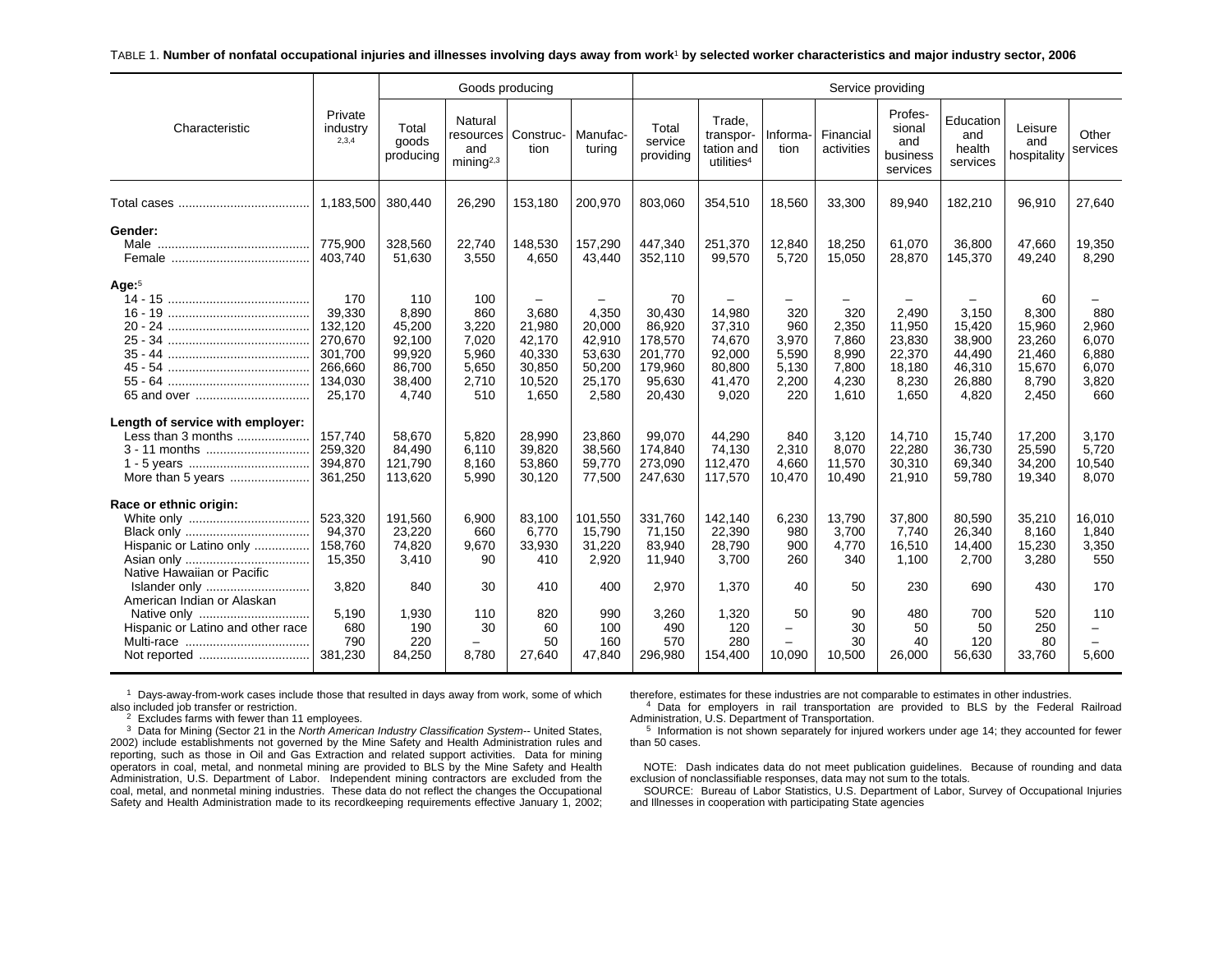#### TABLE 1. **Number of nonfatal occupational injuries and illnesses involving days away from work**1 **by selected worker characteristics and major industry sector, 2006**

|                                                                                                 |                                                                                |                                                                         | Goods producing                                                |                                                                  |                                                                       |                                                                             |                                                                   |                                                            | Service providing                                         |                                                                 |                                                                  |                                                                       |                                                         |
|-------------------------------------------------------------------------------------------------|--------------------------------------------------------------------------------|-------------------------------------------------------------------------|----------------------------------------------------------------|------------------------------------------------------------------|-----------------------------------------------------------------------|-----------------------------------------------------------------------------|-------------------------------------------------------------------|------------------------------------------------------------|-----------------------------------------------------------|-----------------------------------------------------------------|------------------------------------------------------------------|-----------------------------------------------------------------------|---------------------------------------------------------|
| Characteristic                                                                                  | Private<br>industry<br>2,3,4                                                   | Total<br>goods<br>producing                                             | Natural<br>resources<br>and<br>mining <sup>2,3</sup>           | Construc-<br>tion                                                | Manufac-<br>turing                                                    | Total<br>service<br>providing                                               | Trade.<br>transpor-<br>tation and<br>utilities <sup>4</sup>       | Informa-<br>tion                                           | Financial<br>activities                                   | Profes-<br>sional<br>and<br>business<br>services                | Education<br>and<br>health<br>services                           | Leisure<br>and<br>hospitality                                         | Other<br>services                                       |
|                                                                                                 | 1,183,500                                                                      | 380,440                                                                 | 26,290                                                         | 153,180                                                          | 200,970                                                               | 803,060                                                                     | 354,510                                                           | 18,560                                                     | 33,300                                                    | 89,940                                                          | 182,210                                                          | 96,910                                                                | 27,640                                                  |
| Gender:                                                                                         | 775,900<br>403,740                                                             | 328,560<br>51,630                                                       | 22,740<br>3,550                                                | 148,530<br>4,650                                                 | 157,290<br>43,440                                                     | 447,340<br>352,110                                                          | 251,370<br>99,570                                                 | 12,840<br>5,720                                            | 18,250<br>15,050                                          | 61,070<br>28,870                                                | 36,800<br>145,370                                                | 47.660<br>49,240                                                      | 19,350<br>8,290                                         |
| Age: $5$<br>65 and over                                                                         | 170<br>39,330<br>132,120<br>270,670<br>301.700<br>266,660<br>134,030<br>25,170 | 110<br>8,890<br>45,200<br>92,100<br>99,920<br>86,700<br>38,400<br>4,740 | 100<br>860<br>3,220<br>7,020<br>5,960<br>5,650<br>2,710<br>510 | 3,680<br>21,980<br>42,170<br>40,330<br>30,850<br>10,520<br>1,650 | -<br>4,350<br>20,000<br>42,910<br>53,630<br>50,200<br>25,170<br>2,580 | 70<br>30,430<br>86,920<br>178,570<br>201,770<br>179,960<br>95,630<br>20,430 | 14,980<br>37,310<br>74,670<br>92,000<br>80,800<br>41,470<br>9,020 | -<br>320<br>960<br>3,970<br>5,590<br>5,130<br>2,200<br>220 | 320<br>2,350<br>7,860<br>8,990<br>7,800<br>4,230<br>1,610 | 2,490<br>11,950<br>23,830<br>22,370<br>18,180<br>8,230<br>1,650 | 3,150<br>15,420<br>38,900<br>44.490<br>46,310<br>26,880<br>4,820 | 60<br>8,300<br>15,960<br>23,260<br>21,460<br>15,670<br>8,790<br>2,450 | 880<br>2,960<br>6,070<br>6,880<br>6,070<br>3,820<br>660 |
| Length of service with employer:<br>Less than 3 months<br>3 - 11 months                         | 157,740<br>259,320<br>394,870<br>361,250                                       | 58,670<br>84,490<br>121,790<br>113,620                                  | 5,820<br>6,110<br>8,160<br>5,990                               | 28,990<br>39,820<br>53,860<br>30,120                             | 23,860<br>38,560<br>59,770<br>77,500                                  | 99,070<br>174,840<br>273,090<br>247,630                                     | 44,290<br>74,130<br>112,470<br>117,570                            | 840<br>2,310<br>4,660<br>10,470                            | 3,120<br>8,070<br>11,570<br>10,490                        | 14,710<br>22,280<br>30,310<br>21,910                            | 15,740<br>36,730<br>69,340<br>59,780                             | 17,200<br>25,590<br>34,200<br>19,340                                  | 3,170<br>5,720<br>10,540<br>8,070                       |
| Race or ethnic origin:<br>Hispanic or Latino only<br>Native Hawaiian or Pacific                 | 523,320<br>94,370<br>158,760<br>15,350                                         | 191,560<br>23,220<br>74,820<br>3,410                                    | 6,900<br>660<br>9,670<br>90                                    | 83,100<br>6,770<br>33,930<br>410                                 | 101,550<br>15,790<br>31,220<br>2,920                                  | 331,760<br>71,150<br>83,940<br>11,940                                       | 142.140<br>22,390<br>28,790<br>3,700                              | 6,230<br>980<br>900<br>260                                 | 13,790<br>3.700<br>4,770<br>340                           | 37,800<br>7.740<br>16,510<br>1,100                              | 80,590<br>26,340<br>14,400<br>2,700                              | 35,210<br>8,160<br>15,230<br>3,280                                    | 16,010<br>1,840<br>3,350<br>550                         |
| Islander only<br>American Indian or Alaskan<br>Native only<br>Hispanic or Latino and other race | 3,820<br>5,190<br>680<br>790<br>381,230                                        | 840<br>1,930<br>190<br>220<br>84,250                                    | 30<br>110<br>30<br>8,780                                       | 410<br>820<br>60<br>50<br>27,640                                 | 400<br>990<br>100<br>160<br>47,840                                    | 2,970<br>3,260<br>490<br>570<br>296,980                                     | 1,370<br>1,320<br>120<br>280<br>154,400                           | 40<br>50<br>-<br>-<br>10,090                               | 50<br>90<br>30<br>30<br>10,500                            | 230<br>480<br>50<br>40<br>26,000                                | 690<br>700<br>50<br>120<br>56,630                                | 430<br>520<br>250<br>80<br>33,760                                     | 170<br>110<br>5,600                                     |

 $1$  Days-away-from-work cases include those that resulted in days away from work, some of which also included job transfer or restriction.

 $2$  Excludes farms with fewer than 11 employees.

3 Data for Mining (Sector 21 in the *North American Industry Classification System--* United States, 2002) include establishments not governed by the Mine Safety and Health Administration rules and reporting, such as those in Oil and Gas Extraction and related support activities. Data for mining operators in coal, metal, and nonmetal mining are provided to BLS by the Mine Safety and Health Administration, U.S. Department of Labor. Independent mining contractors are excluded from the coal, metal, and nonmetal mining industries. These data do not reflect the changes the Occupational Safety and Health Administration made to its recordkeeping requirements effective January 1, 2002;

therefore, estimates for these industries are not comparable to estimates in other industries.

4 Data for employers in rail transportation are provided to BLS by the Federal Railroad Administration, U.S. Department of Transportation.

 $5$  Information is not shown separately for injured workers under age 14; they accounted for fewer than 50 cases.

NOTE: Dash indicates data do not meet publication guidelines. Because of rounding and data exclusion of nonclassifiable responses, data may not sum to the totals.

SOURCE: Bureau of Labor Statistics, U.S. Department of Labor, Survey of Occupational Injuries and Illnesses in cooperation with participating State agencies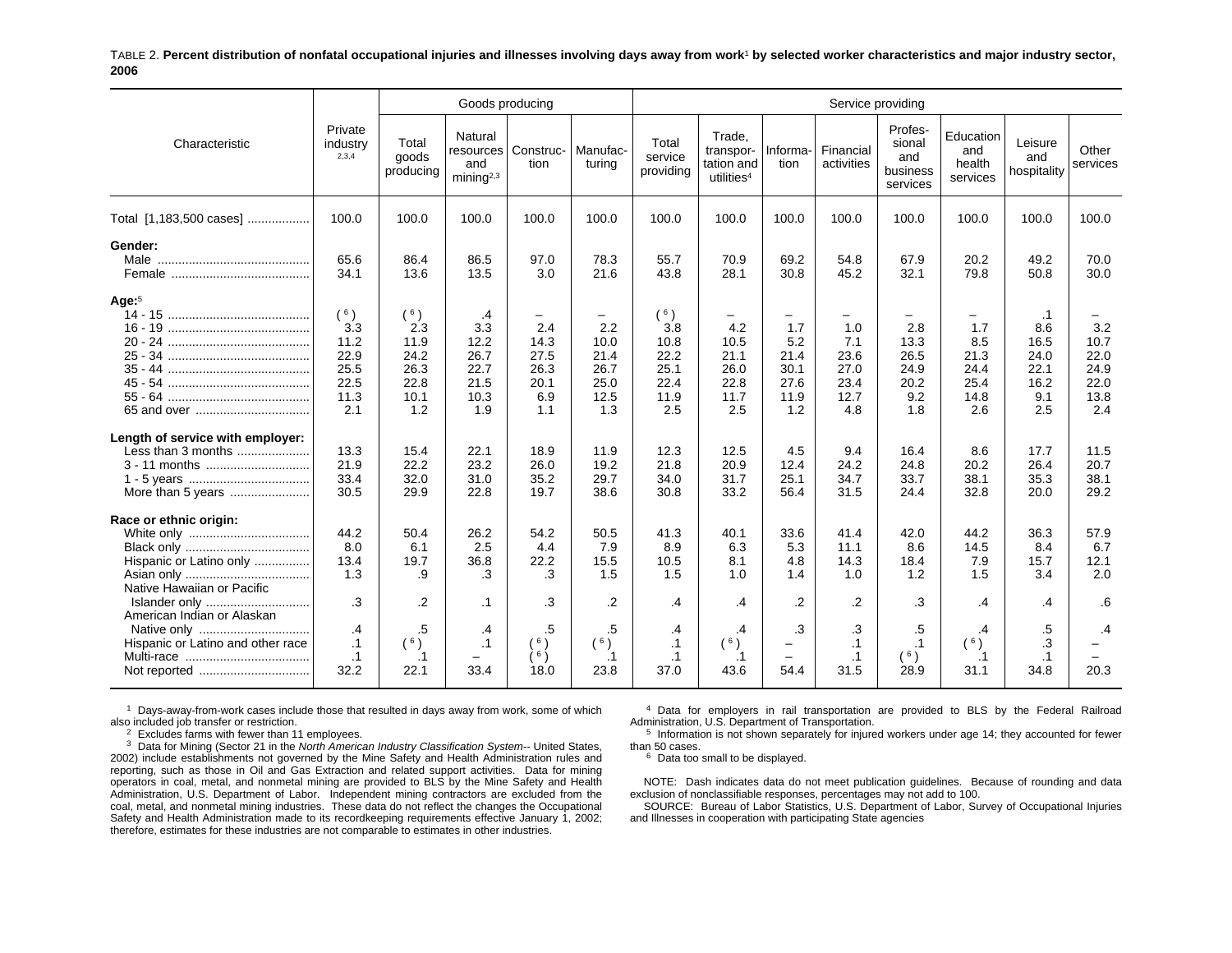#### TABLE 2. **Percent distribution of nonfatal occupational injuries and illnesses involving days away from work**1 **by selected worker characteristics and major industry sector, 2006**

|                                                                                                  |                                                           |                                                           | Goods producing                                          |                                                   |                                                                         |                                                           |                                                             |                                                        | Service providing                                      |                                                   |                                                   |                                                                |                                                    |
|--------------------------------------------------------------------------------------------------|-----------------------------------------------------------|-----------------------------------------------------------|----------------------------------------------------------|---------------------------------------------------|-------------------------------------------------------------------------|-----------------------------------------------------------|-------------------------------------------------------------|--------------------------------------------------------|--------------------------------------------------------|---------------------------------------------------|---------------------------------------------------|----------------------------------------------------------------|----------------------------------------------------|
| Characteristic                                                                                   | Private<br>industry<br>2,3,4                              | Total<br>goods<br>producing                               | Natural<br>and<br>minin a <sup>2,3</sup>                 | resources   Construc-<br>tion                     | Manufac-<br>turing                                                      | Total<br>service<br>providing                             | Trade.<br>transpor-<br>tation and<br>utilities <sup>4</sup> | Informa-<br>tion                                       | Financial<br>activities                                | Profes-<br>sional<br>and<br>business<br>services  | Education<br>and<br>health<br>services            | Leisure<br>and<br>hospitality                                  | Other<br>services                                  |
| Total [1,183,500 cases]                                                                          | 100.0                                                     | 100.0                                                     | 100.0                                                    | 100.0                                             | 100.0                                                                   | 100.0                                                     | 100.0                                                       | 100.0                                                  | 100.0                                                  | 100.0                                             | 100.0                                             | 100.0                                                          | 100.0                                              |
| Gender:                                                                                          | 65.6<br>34.1                                              | 86.4<br>13.6                                              | 86.5<br>13.5                                             | 97.0<br>3.0                                       | 78.3<br>21.6                                                            | 55.7<br>43.8                                              | 70.9<br>28.1                                                | 69.2<br>30.8                                           | 54.8<br>45.2                                           | 67.9<br>32.1                                      | 20.2<br>79.8                                      | 49.2<br>50.8                                                   | 70.0<br>30.0                                       |
| Age: $5$                                                                                         | (6)<br>3.3<br>11.2<br>22.9<br>25.5<br>22.5<br>11.3<br>2.1 | (6)<br>2.3<br>11.9<br>24.2<br>26.3<br>22.8<br>10.1<br>1.2 | .4<br>3.3<br>12.2<br>26.7<br>22.7<br>21.5<br>10.3<br>1.9 | 2.4<br>14.3<br>27.5<br>26.3<br>20.1<br>6.9<br>1.1 | $\qquad \qquad -$<br>2.2<br>10.0<br>21.4<br>26.7<br>25.0<br>12.5<br>1.3 | (6)<br>3.8<br>10.8<br>22.2<br>25.1<br>22.4<br>11.9<br>2.5 | 4.2<br>10.5<br>21.1<br>26.0<br>22.8<br>11.7<br>2.5          | -<br>1.7<br>5.2<br>21.4<br>30.1<br>27.6<br>11.9<br>1.2 | -<br>1.0<br>7.1<br>23.6<br>27.0<br>23.4<br>12.7<br>4.8 | 2.8<br>13.3<br>26.5<br>24.9<br>20.2<br>9.2<br>1.8 | 1.7<br>8.5<br>21.3<br>24.4<br>25.4<br>14.8<br>2.6 | $\cdot$ 1<br>8.6<br>16.5<br>24.0<br>22.1<br>16.2<br>9.1<br>2.5 | 3.2<br>10.7<br>22.0<br>24.9<br>22.0<br>13.8<br>2.4 |
| Length of service with employer:<br>Less than 3 months<br>3 - 11 months<br>More than 5 years     | 13.3<br>21.9<br>33.4<br>30.5                              | 15.4<br>22.2<br>32.0<br>29.9                              | 22.1<br>23.2<br>31.0<br>22.8                             | 18.9<br>26.0<br>35.2<br>19.7                      | 11.9<br>19.2<br>29.7<br>38.6                                            | 12.3<br>21.8<br>34.0<br>30.8                              | 12.5<br>20.9<br>31.7<br>33.2                                | 4.5<br>12.4<br>25.1<br>56.4                            | 9.4<br>24.2<br>34.7<br>31.5                            | 16.4<br>24.8<br>33.7<br>24.4                      | 8.6<br>20.2<br>38.1<br>32.8                       | 17.7<br>26.4<br>35.3<br>20.0                                   | 11.5<br>20.7<br>38.1<br>29.2                       |
| Race or ethnic origin:<br>Hispanic or Latino only<br>Native Hawaiian or Pacific<br>Islander only | 44.2<br>8.0<br>13.4<br>1.3<br>.3                          | 50.4<br>6.1<br>19.7<br>.9<br>$\cdot$ .2                   | 26.2<br>2.5<br>36.8<br>.3<br>$\cdot$ 1                   | 54.2<br>4.4<br>22.2<br>.3<br>.3                   | 50.5<br>7.9<br>15.5<br>1.5<br>$\cdot$                                   | 41.3<br>8.9<br>10.5<br>1.5<br>.4                          | 40.1<br>6.3<br>8.1<br>1.0<br>.4                             | 33.6<br>5.3<br>4.8<br>1.4<br>$\overline{2}$            | 41.4<br>11.1<br>14.3<br>1.0<br>$\cdot$                 | 42.0<br>8.6<br>18.4<br>1.2<br>.3                  | 44.2<br>14.5<br>7.9<br>1.5<br>$\cdot$             | 36.3<br>8.4<br>15.7<br>3.4<br>.4                               | 57.9<br>6.7<br>12.1<br>2.0<br>.6                   |
| American Indian or Alaskan<br>Native only<br>Hispanic or Latino and other race                   | .4<br>$\cdot$ 1<br>$\cdot$ 1<br>32.2                      | .5<br>$($ $^6)$<br>$\cdot$ 1<br>22.1                      | $\cdot$<br>$\cdot$ 1<br>33.4                             | .5<br>6)<br>Ìδ)<br>18.0                           | $.5\,$<br>(6)<br>$\cdot$ 1<br>23.8                                      | $\cdot$<br>$\cdot$ 1<br>$\cdot$ 1<br>37.0                 | $\cdot$<br>(6)<br>$\cdot$ 1<br>43.6                         | .3<br>-<br>$\overline{\phantom{0}}$<br>54.4            | .3<br>$\cdot$ 1<br>$\cdot$ 1<br>31.5                   | .5<br>$\cdot$ 1<br>(6)<br>28.9                    | .4<br>(6)<br>.1<br>31.1                           | .5<br>.3<br>$\cdot$ 1<br>34.8                                  | .4<br>20.3                                         |

 $1$  Days-away-from-work cases include those that resulted in days away from work, some of which also included job transfer or restriction.

 $2$  Excludes farms with fewer than 11 employees.

3 Data for Mining (Sector 21 in the *North American Industry Classification System--* United States, 2002) include establishments not governed by the Mine Safety and Health Administration rules and reporting, such as those in Oil and Gas Extraction and related support activities. Data for mining operators in coal, metal, and nonmetal mining are provided to BLS by the Mine Safety and Health Administration, U.S. Department of Labor. Independent mining contractors are excluded from the coal, metal, and nonmetal mining industries. These data do not reflect the changes the Occupational Safety and Health Administration made to its recordkeeping requirements effective January 1, 2002; therefore, estimates for these industries are not comparable to estimates in other industries.

4 Data for employers in rail transportation are provided to BLS by the Federal Railroad Administration, U.S. Department of Transportation.

 $5$  Information is not shown separately for injured workers under age 14; they accounted for fewer than 50 cases.

 $6$  Data too small to be displayed.

NOTE: Dash indicates data do not meet publication guidelines. Because of rounding and data exclusion of nonclassifiable responses, percentages may not add to 100.

SOURCE: Bureau of Labor Statistics, U.S. Department of Labor, Survey of Occupational Injuries and Illnesses in cooperation with participating State agencies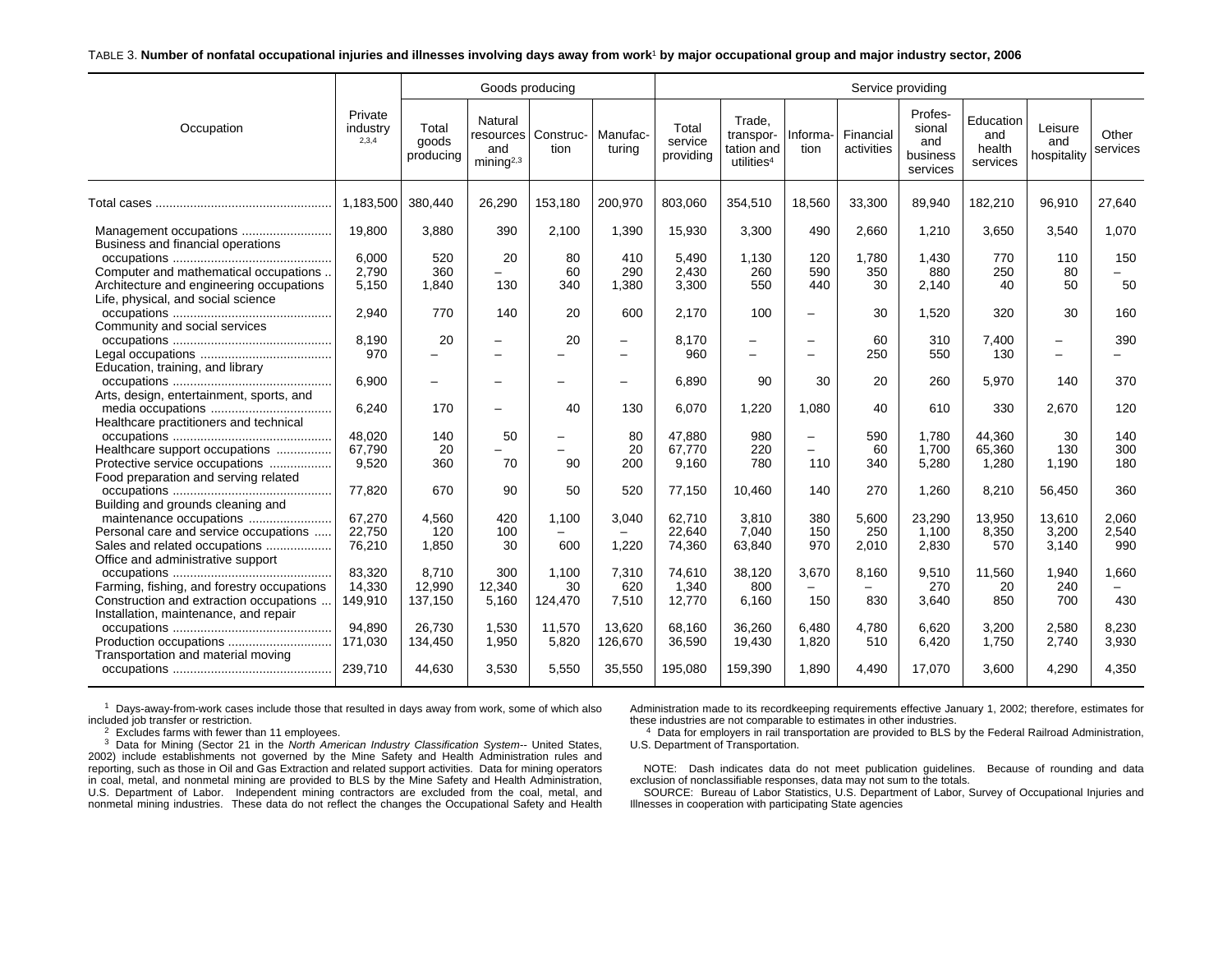#### TABLE 3. **Number of nonfatal occupational injuries and illnesses involving days away from work**1 **by major occupational group and major industry sector, 2006**

|                                                                                                                            |                              |                             | Goods producing                                       |                        |                               |                               |                                                             |                                                      | Service providing                 |                                                  |                                        |                               |                       |
|----------------------------------------------------------------------------------------------------------------------------|------------------------------|-----------------------------|-------------------------------------------------------|------------------------|-------------------------------|-------------------------------|-------------------------------------------------------------|------------------------------------------------------|-----------------------------------|--------------------------------------------------|----------------------------------------|-------------------------------|-----------------------|
| Occupation                                                                                                                 | Private<br>industry<br>2,3,4 | Total<br>goods<br>producing | Natural<br>resources<br>and<br>minin a <sup>2,3</sup> | Construc-<br>tion      | Manufac-<br>turing            | Total<br>service<br>providing | Trade,<br>transpor-<br>tation and<br>utilities <sup>4</sup> | Informa-<br>tion                                     | Financial<br>activities           | Profes-<br>sional<br>and<br>business<br>services | Education<br>and<br>health<br>services | Leisure<br>and<br>hospitality | Other<br>services     |
|                                                                                                                            | 1.183.500                    | 380.440                     | 26,290                                                | 153,180                | 200,970                       | 803.060                       | 354,510                                                     | 18,560                                               | 33,300                            | 89,940                                           | 182,210                                | 96,910                        | 27.640                |
| Business and financial operations                                                                                          | 19.800                       | 3,880                       | 390                                                   | 2.100                  | 1,390                         | 15,930                        | 3,300                                                       | 490                                                  | 2,660                             | 1,210                                            | 3,650                                  | 3,540                         | 1,070                 |
| Computer and mathematical occupations<br>Architecture and engineering occupations                                          | 6.000<br>2.790<br>5,150      | 520<br>360<br>1,840         | 20<br>130                                             | 80<br>60<br>340        | 410<br>290<br>1,380           | 5,490<br>2,430<br>3,300       | 1,130<br>260<br>550                                         | 120<br>590<br>440                                    | 1,780<br>350<br>30                | 1,430<br>880<br>2,140                            | 770<br>250<br>40                       | 110<br>80<br>50               | 150<br>50             |
| Life, physical, and social science                                                                                         | 2,940                        | 770                         | 140                                                   | 20                     | 600                           | 2,170                         | 100                                                         | $\overline{\phantom{0}}$                             | 30                                | 1,520                                            | 320                                    | 30                            | 160                   |
| Community and social services                                                                                              | 8.190<br>970                 | 20                          | -                                                     | 20<br>-                | $\overline{\phantom{0}}$<br>— | 8.170<br>960                  | $\overline{\phantom{0}}$<br>$\overline{\phantom{0}}$        | -                                                    | 60<br>250                         | 310<br>550                                       | 7.400<br>130                           | $\overline{\phantom{m}}$      | 390                   |
| Education, training, and library<br>Arts, design, entertainment, sports, and                                               | 6,900                        | -                           | -                                                     | -                      | $\overline{\phantom{0}}$      | 6,890                         | 90                                                          | 30                                                   | 20                                | 260                                              | 5,970                                  | 140                           | 370                   |
| Healthcare practitioners and technical                                                                                     | 6,240                        | 170                         | $\overline{\phantom{0}}$                              | 40                     | 130                           | 6.070                         | 1,220                                                       | 1,080                                                | 40                                | 610                                              | 330                                    | 2,670                         | 120                   |
| Healthcare support occupations                                                                                             | 48,020<br>67.790             | 140<br>20                   | 50                                                    | $\qquad \qquad -$<br>- | 80<br>20                      | 47,880<br>67.770              | 980<br>220                                                  | $\overline{\phantom{0}}$<br>$\overline{\phantom{0}}$ | 590<br>60                         | 1.780<br>1.700                                   | 44,360<br>65,360                       | 30<br>130                     | 140<br>300            |
| Protective service occupations<br>Food preparation and serving related                                                     | 9,520                        | 360                         | 70                                                    | 90                     | 200                           | 9.160                         | 780                                                         | 110                                                  | 340                               | 5,280                                            | 1,280                                  | 1.190                         | 180                   |
| Building and grounds cleaning and                                                                                          | 77,820                       | 670                         | 90                                                    | 50                     | 520                           | 77,150                        | 10,460                                                      | 140                                                  | 270                               | 1,260                                            | 8,210                                  | 56,450                        | 360                   |
| maintenance occupations<br>Personal care and service occupations<br>Sales and related occupations                          | 67,270<br>22,750<br>76,210   | 4,560<br>120<br>1,850       | 420<br>100<br>30                                      | 1.100<br>-<br>600      | 3,040<br>-<br>1,220           | 62,710<br>22,640<br>74,360    | 3.810<br>7,040<br>63,840                                    | 380<br>150<br>970                                    | 5.600<br>250<br>2,010             | 23,290<br>1,100<br>2,830                         | 13,950<br>8,350<br>570                 | 13,610<br>3,200<br>3.140      | 2,060<br>2,540<br>990 |
| Office and administrative support<br>Farming, fishing, and forestry occupations<br>Construction and extraction occupations | 83.320<br>14.330<br>149,910  | 8.710<br>12,990<br>137,150  | 300<br>12,340<br>5,160                                | 1.100<br>30<br>124,470 | 7,310<br>620<br>7,510         | 74.610<br>1,340<br>12,770     | 38,120<br>800<br>6,160                                      | 3.670<br>$\equiv$<br>150                             | 8.160<br>$\qquad \qquad -$<br>830 | 9,510<br>270<br>3,640                            | 11.560<br>20<br>850                    | 1.940<br>240<br>700           | 1.660<br>$-$<br>430   |
| Installation, maintenance, and repair<br>Production occupations<br>Transportation and material moving                      | 94,890<br>171,030            | 26,730<br>134,450           | 1,530<br>1,950                                        | 11,570<br>5,820        | 13,620<br>126,670             | 68,160<br>36,590              | 36,260<br>19,430                                            | 6,480<br>1,820                                       | 4,780<br>510                      | 6,620<br>6,420                                   | 3,200<br>1,750                         | 2,580<br>2.740                | 8,230<br>3,930        |
|                                                                                                                            | 239,710                      | 44,630                      | 3,530                                                 | 5,550                  | 35,550                        | 195,080                       | 159,390                                                     | 1,890                                                | 4,490                             | 17,070                                           | 3,600                                  | 4,290                         | 4,350                 |

 $1$  Days-away-from-work cases include those that resulted in days away from work, some of which also included job transfer or restriction.

 $2$  Excludes farms with fewer than 11 employees.

3 Data for Mining (Sector 21 in the *North American Industry Classification System--* United States, 2002) include establishments not governed by the Mine Safety and Health Administration rules and reporting, such as those in Oil and Gas Extraction and related support activities. Data for mining operators in coal, metal, and nonmetal mining are provided to BLS by the Mine Safety and Health Administration, U.S. Department of Labor. Independent mining contractors are excluded from the coal, metal, and nonmetal mining industries. These data do not reflect the changes the Occupational Safety and Health Administration made to its recordkeeping requirements effective January 1, 2002; therefore, estimates for these industries are not comparable to estimates in other industries.

 $4$  Data for employers in rail transportation are provided to BLS by the Federal Railroad Administration, U.S. Department of Transportation.

NOTE: Dash indicates data do not meet publication guidelines. Because of rounding and data exclusion of nonclassifiable responses, data may not sum to the totals.

SOURCE: Bureau of Labor Statistics, U.S. Department of Labor, Survey of Occupational Injuries and Illnesses in cooperation with participating State agencies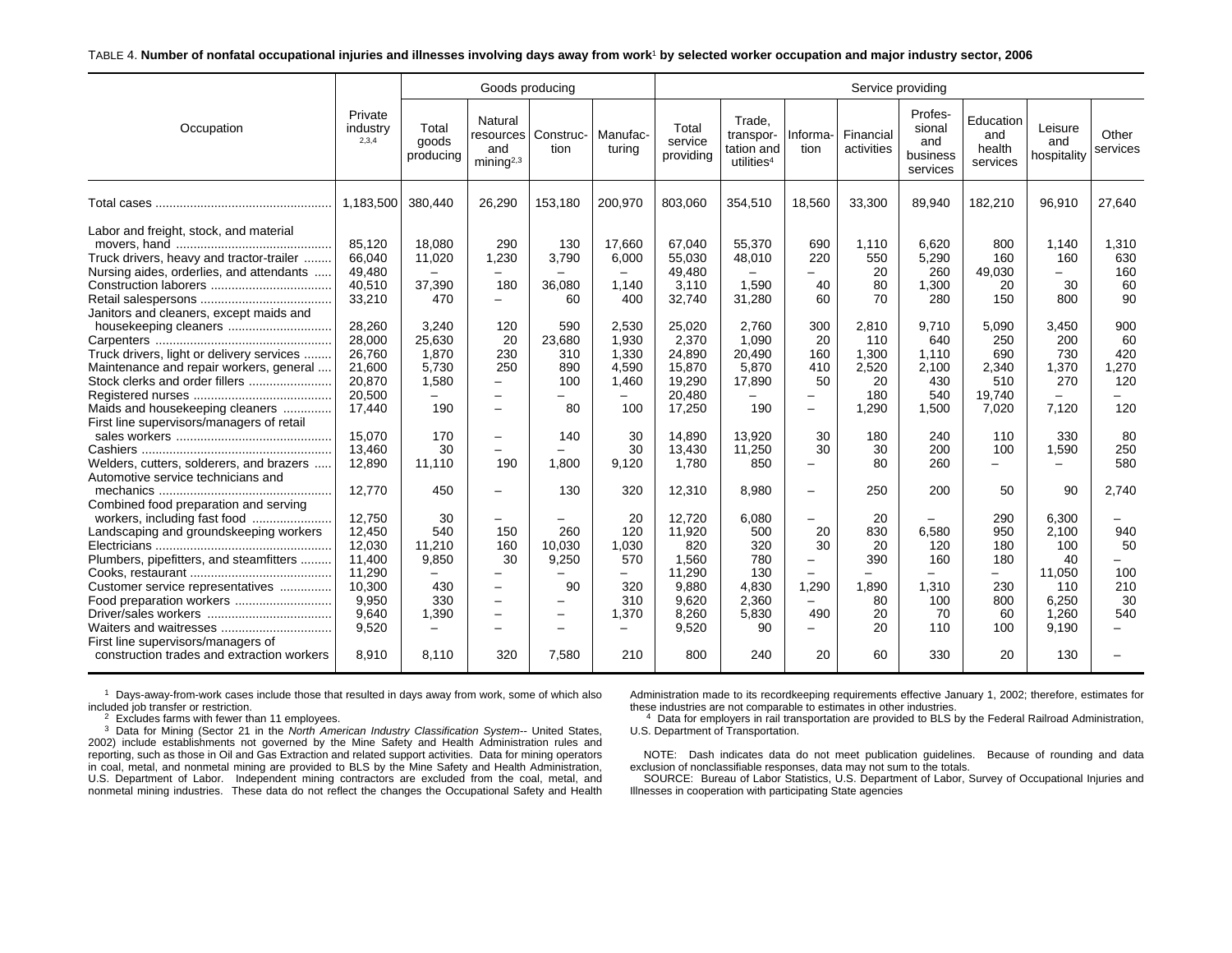#### TABLE 4. **Number of nonfatal occupational injuries and illnesses involving days away from work**1 **by selected worker occupation and major industry sector, 2006**

|                                                                                                                                                                                                                                                                                                                                                                                                                                                                                                                                                                                                                                                                                                                                    |                                                                                                                                                                                                                                                     |                                                                                                                                                                                                                                     | Goods producing                                                                                                                                                                                                                                                                           |                                                                                                                                                                                                                                                      |                                                                                                                                                                                                                                |                                                                                                                                                                                                                                             |                                                                                                                                                                                                                                 |                                                                                                                                                                                                                                                                                                                                                         |                                                                                                                                                                                                   | Service providing                                                                                                                                                                   |                                                                                                                                                                                                           |                                                                                                                                                                                                    |                                                                                                                                                                                  |
|------------------------------------------------------------------------------------------------------------------------------------------------------------------------------------------------------------------------------------------------------------------------------------------------------------------------------------------------------------------------------------------------------------------------------------------------------------------------------------------------------------------------------------------------------------------------------------------------------------------------------------------------------------------------------------------------------------------------------------|-----------------------------------------------------------------------------------------------------------------------------------------------------------------------------------------------------------------------------------------------------|-------------------------------------------------------------------------------------------------------------------------------------------------------------------------------------------------------------------------------------|-------------------------------------------------------------------------------------------------------------------------------------------------------------------------------------------------------------------------------------------------------------------------------------------|------------------------------------------------------------------------------------------------------------------------------------------------------------------------------------------------------------------------------------------------------|--------------------------------------------------------------------------------------------------------------------------------------------------------------------------------------------------------------------------------|---------------------------------------------------------------------------------------------------------------------------------------------------------------------------------------------------------------------------------------------|---------------------------------------------------------------------------------------------------------------------------------------------------------------------------------------------------------------------------------|---------------------------------------------------------------------------------------------------------------------------------------------------------------------------------------------------------------------------------------------------------------------------------------------------------------------------------------------------------|---------------------------------------------------------------------------------------------------------------------------------------------------------------------------------------------------|-------------------------------------------------------------------------------------------------------------------------------------------------------------------------------------|-----------------------------------------------------------------------------------------------------------------------------------------------------------------------------------------------------------|----------------------------------------------------------------------------------------------------------------------------------------------------------------------------------------------------|----------------------------------------------------------------------------------------------------------------------------------------------------------------------------------|
| Occupation                                                                                                                                                                                                                                                                                                                                                                                                                                                                                                                                                                                                                                                                                                                         | Private<br>industry<br>2,3,4                                                                                                                                                                                                                        | Total<br>goods<br>producing                                                                                                                                                                                                         | Natural<br>resources<br>and<br>minin a <sup>2,3</sup>                                                                                                                                                                                                                                     | Construc-<br>tion                                                                                                                                                                                                                                    | Manufac-<br>turing                                                                                                                                                                                                             | Total<br>service<br>providing                                                                                                                                                                                                               | Trade.<br>transpor-<br>tation and<br>utilities <sup>4</sup>                                                                                                                                                                     | Informa-<br>tion                                                                                                                                                                                                                                                                                                                                        | Financial<br>activities                                                                                                                                                                           | Profes-<br>sional<br>and<br>business<br>services                                                                                                                                    | Education<br>and<br>health<br>services                                                                                                                                                                    | Leisure<br>and<br>hospitality                                                                                                                                                                      | Other<br>services                                                                                                                                                                |
|                                                                                                                                                                                                                                                                                                                                                                                                                                                                                                                                                                                                                                                                                                                                    | 1,183,500                                                                                                                                                                                                                                           | 380.440                                                                                                                                                                                                                             | 26,290                                                                                                                                                                                                                                                                                    | 153,180                                                                                                                                                                                                                                              | 200,970                                                                                                                                                                                                                        | 803,060                                                                                                                                                                                                                                     | 354,510                                                                                                                                                                                                                         | 18,560                                                                                                                                                                                                                                                                                                                                                  | 33,300                                                                                                                                                                                            | 89,940                                                                                                                                                                              | 182,210                                                                                                                                                                                                   | 96,910                                                                                                                                                                                             | 27,640                                                                                                                                                                           |
| Labor and freight, stock, and material<br>Truck drivers, heavy and tractor-trailer<br>Nursing aides, orderlies, and attendants<br>Janitors and cleaners, except maids and<br>housekeeping cleaners<br>Truck drivers, light or delivery services<br>Maintenance and repair workers, general<br>Stock clerks and order fillers<br>Maids and housekeeping cleaners<br>First line supervisors/managers of retail<br>Welders, cutters, solderers, and brazers<br>Automotive service technicians and<br>Combined food preparation and serving<br>Landscaping and groundskeeping workers<br>Plumbers, pipefitters, and steamfitters<br>Customer service representatives<br>Food preparation workers<br>First line supervisors/managers of | 85,120<br>66,040<br>49,480<br>40.510<br>33,210<br>28,260<br>28,000<br>26.760<br>21,600<br>20.870<br>20,500<br>17,440<br>15.070<br>13,460<br>12,890<br>12.770<br>12,750<br>12,450<br>12,030<br>11.400<br>11,290<br>10,300<br>9,950<br>9.640<br>9,520 | 18,080<br>11,020<br>37,390<br>470<br>3,240<br>25,630<br>1,870<br>5.730<br>1,580<br>190<br>170<br>30<br>11,110<br>450<br>30<br>540<br>11,210<br>9.850<br>$\overline{\phantom{0}}$<br>430<br>330<br>1,390<br>$\overline{\phantom{0}}$ | 290<br>1,230<br>$\overline{\phantom{0}}$<br>180<br>$\overline{\phantom{0}}$<br>120<br>20<br>230<br>250<br>$\overline{\phantom{m}}$<br>$\overline{\phantom{0}}$<br>$\overline{\phantom{0}}$<br>190<br>150<br>160<br>30<br>$\equiv$<br>$\overline{\phantom{0}}$<br>$\overline{\phantom{a}}$ | 130<br>3,790<br>$\overline{\phantom{m}}$<br>36.080<br>60<br>590<br>23,680<br>310<br>890<br>100<br>80<br>140<br>$\equiv$<br>1.800<br>130<br>260<br>10,030<br>9.250<br>$\qquad \qquad -$<br>90<br>$\overline{\phantom{0}}$<br>$\overline{\phantom{m}}$ | 17,660<br>6,000<br>$\qquad \qquad -$<br>1.140<br>400<br>2,530<br>1,930<br>1,330<br>4,590<br>1.460<br>-<br>100<br>30<br>30<br>9,120<br>320<br>20<br>120<br>1,030<br>570<br>$\overline{\phantom{0}}$<br>320<br>310<br>1,370<br>- | 67,040<br>55,030<br>49,480<br>3.110<br>32,740<br>25,020<br>2,370<br>24,890<br>15,870<br>19.290<br>20,480<br>17,250<br>14,890<br>13,430<br>1.780<br>12,310<br>12.720<br>11,920<br>820<br>1.560<br>11,290<br>9,880<br>9,620<br>8.260<br>9,520 | 55,370<br>48,010<br>$\overline{\phantom{m}}$<br>1.590<br>31,280<br>2,760<br>1,090<br>20,490<br>5,870<br>17,890<br>190<br>13,920<br>11,250<br>850<br>8.980<br>6,080<br>500<br>320<br>780<br>130<br>4,830<br>2,360<br>5,830<br>90 | 690<br>220<br>$\equiv$<br>40<br>60<br>300<br>20<br>160<br>410<br>50<br>$\overline{\phantom{0}}$<br>$\overline{\phantom{0}}$<br>30<br>30<br>$\overline{\phantom{0}}$<br>$\overline{\phantom{0}}$<br>$\overline{\phantom{0}}$<br>20<br>30<br>$\overline{\phantom{0}}$<br>$\overline{\phantom{0}}$<br>1,290<br>$\equiv$<br>490<br>$\overline{\phantom{0}}$ | 1,110<br>550<br>20<br>80<br>70<br>2,810<br>110<br>1,300<br>2,520<br>20<br>180<br>1,290<br>180<br>30<br>80<br>250<br>20<br>830<br>20<br>390<br>$\overline{\phantom{0}}$<br>1,890<br>80<br>20<br>20 | 6,620<br>5,290<br>260<br>1,300<br>280<br>9,710<br>640<br>1,110<br>2,100<br>430<br>540<br>1,500<br>240<br>200<br>260<br>200<br>6.580<br>120<br>160<br>-<br>1,310<br>100<br>70<br>110 | 800<br>160<br>49,030<br>20<br>150<br>5,090<br>250<br>690<br>2,340<br>510<br>19,740<br>7,020<br>110<br>100<br>$\overline{\phantom{0}}$<br>50<br>290<br>950<br>180<br>180<br>$-$<br>230<br>800<br>60<br>100 | 1,140<br>160<br>$\equiv$<br>30<br>800<br>3,450<br>200<br>730<br>1,370<br>270<br>7,120<br>330<br>1,590<br>$\equiv$<br>90<br>6,300<br>2,100<br>100<br>40<br>11,050<br>110<br>6,250<br>1.260<br>9,190 | 1,310<br>630<br>160<br>60<br>90<br>900<br>60<br>420<br>1,270<br>120<br>120<br>80<br>250<br>580<br>2.740<br>940<br>50<br>$\overline{\phantom{0}}$<br>100<br>210<br>30<br>540<br>- |
| construction trades and extraction workers                                                                                                                                                                                                                                                                                                                                                                                                                                                                                                                                                                                                                                                                                         | 8.910                                                                                                                                                                                                                                               | 8.110                                                                                                                                                                                                                               | 320                                                                                                                                                                                                                                                                                       | 7.580                                                                                                                                                                                                                                                | 210                                                                                                                                                                                                                            | 800                                                                                                                                                                                                                                         | 240                                                                                                                                                                                                                             | 20                                                                                                                                                                                                                                                                                                                                                      | 60                                                                                                                                                                                                | 330                                                                                                                                                                                 | 20                                                                                                                                                                                                        | 130                                                                                                                                                                                                |                                                                                                                                                                                  |

 $1$  Days-away-from-work cases include those that resulted in days away from work, some of which also included job transfer or restriction.

 $2$  Excludes farms with fewer than 11 employees.

3 Data for Mining (Sector 21 in the *North American Industry Classification System--* United States, 2002) include establishments not governed by the Mine Safety and Health Administration rules and reporting, such as those in Oil and Gas Extraction and related support activities. Data for mining operators in coal, metal, and nonmetal mining are provided to BLS by the Mine Safety and Health Administration, U.S. Department of Labor. Independent mining contractors are excluded from the coal, metal, and nonmetal mining industries. These data do not reflect the changes the Occupational Safety and Health Administration made to its recordkeeping requirements effective January 1, 2002; therefore, estimates for these industries are not comparable to estimates in other industries.

<sup>4</sup> Data for employers in rail transportation are provided to BLS by the Federal Railroad Administration, U.S. Department of Transportation.

NOTE: Dash indicates data do not meet publication guidelines. Because of rounding and data exclusion of nonclassifiable responses, data may not sum to the totals.

SOURCE: Bureau of Labor Statistics, U.S. Department of Labor, Survey of Occupational Injuries and Illnesses in cooperation with participating State agencies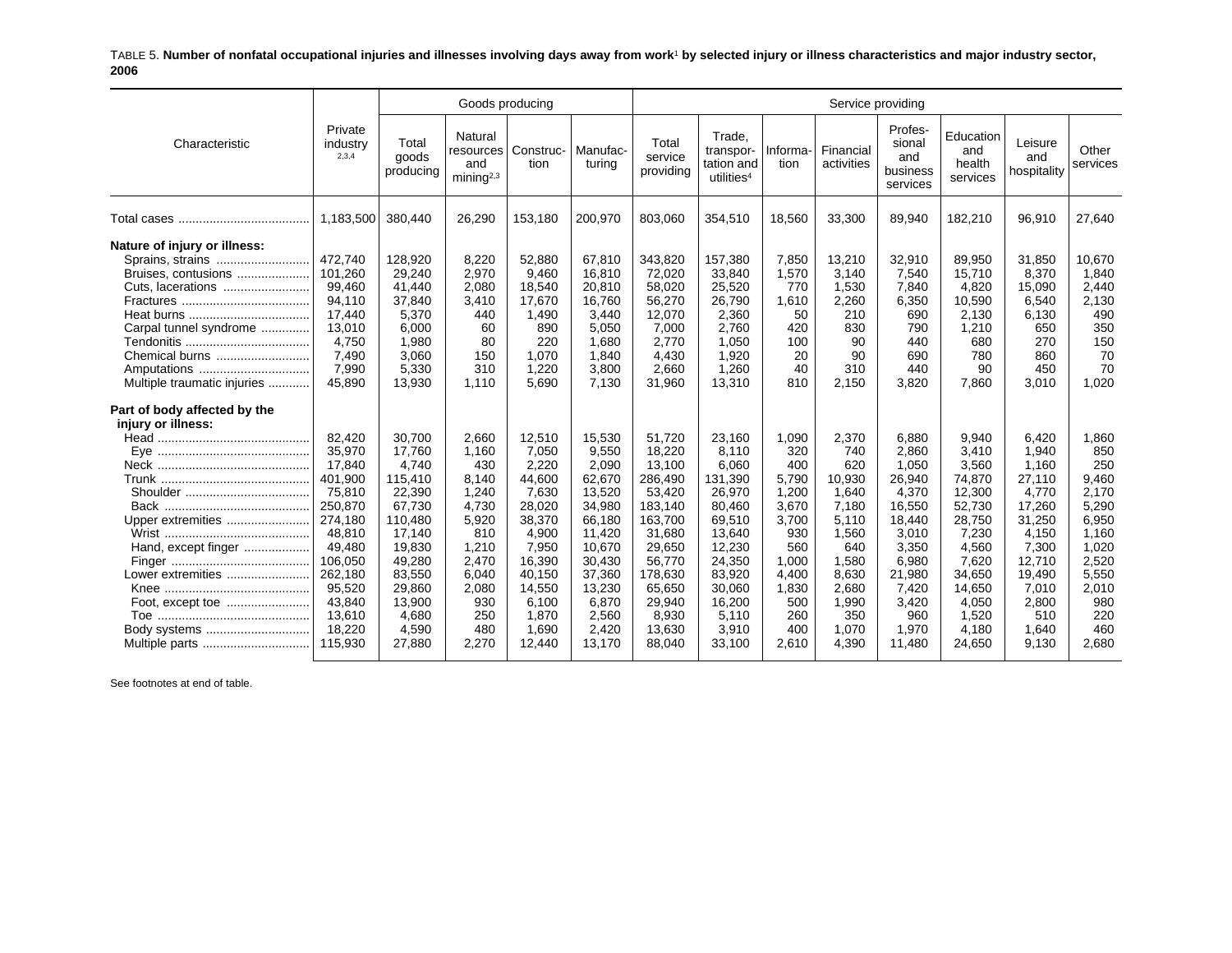TABLE 5. **Number of nonfatal occupational injuries and illnesses involving days away from work**1 **by selected injury or illness characteristics and major industry sector, 2006**

|                                                                                                                                                                                        |                                                                                                                                                                    |                                                                                                                                                             | Goods producing                                                                                                                    |                                                                                                                                                      |                                                                                                                                                         |                                                                                                                                                                 |                                                                                                                                                           |                                                                                                                                |                                                                                                                                       | Service providing                                                                                                                               |                                                                                                                                                     |                                                                                                                                                 |                                                                                                                                    |
|----------------------------------------------------------------------------------------------------------------------------------------------------------------------------------------|--------------------------------------------------------------------------------------------------------------------------------------------------------------------|-------------------------------------------------------------------------------------------------------------------------------------------------------------|------------------------------------------------------------------------------------------------------------------------------------|------------------------------------------------------------------------------------------------------------------------------------------------------|---------------------------------------------------------------------------------------------------------------------------------------------------------|-----------------------------------------------------------------------------------------------------------------------------------------------------------------|-----------------------------------------------------------------------------------------------------------------------------------------------------------|--------------------------------------------------------------------------------------------------------------------------------|---------------------------------------------------------------------------------------------------------------------------------------|-------------------------------------------------------------------------------------------------------------------------------------------------|-----------------------------------------------------------------------------------------------------------------------------------------------------|-------------------------------------------------------------------------------------------------------------------------------------------------|------------------------------------------------------------------------------------------------------------------------------------|
| Characteristic                                                                                                                                                                         | Private<br>industry<br>2,3,4                                                                                                                                       | Total<br>goods<br>producing                                                                                                                                 | Natural<br>resources<br>and<br>minin a <sup>2,3</sup>                                                                              | Construc-<br>tion                                                                                                                                    | Manufac-<br>turing                                                                                                                                      | Total<br>service<br>providing                                                                                                                                   | Trade,<br>transpor-<br>tation and<br>utilities <sup>4</sup>                                                                                               | Informa-<br>tion                                                                                                               | Financial<br>activities                                                                                                               | Profes-<br>sional<br>and<br>business<br>services                                                                                                | Education<br>and<br>health<br>services                                                                                                              | Leisure<br>and<br>hospitality                                                                                                                   | Other<br>services                                                                                                                  |
|                                                                                                                                                                                        | 1,183,500                                                                                                                                                          | 380,440                                                                                                                                                     | 26,290                                                                                                                             | 153,180                                                                                                                                              | 200,970                                                                                                                                                 | 803,060                                                                                                                                                         | 354,510                                                                                                                                                   | 18,560                                                                                                                         | 33,300                                                                                                                                | 89,940                                                                                                                                          | 182,210                                                                                                                                             | 96,910                                                                                                                                          | 27.640                                                                                                                             |
| Nature of injury or illness:<br>Sprains, strains<br>Bruises, contusions<br>Cuts, lacerations<br>Carpal tunnel syndrome<br>Chemical burns<br>Amputations<br>Multiple traumatic injuries | 472,740<br>101,260<br>99,460<br>94,110<br>17,440<br>13.010<br>4.750<br>7.490<br>7,990<br>45,890                                                                    | 128,920<br>29,240<br>41,440<br>37,840<br>5,370<br>6.000<br>1,980<br>3,060<br>5,330<br>13,930                                                                | 8,220<br>2,970<br>2,080<br>3,410<br>440<br>60<br>80<br>150<br>310<br>1.110                                                         | 52,880<br>9,460<br>18,540<br>17,670<br>1,490<br>890<br>220<br>1,070<br>1,220<br>5,690                                                                | 67,810<br>16,810<br>20,810<br>16,760<br>3,440<br>5,050<br>1,680<br>1,840<br>3,800<br>7,130                                                              | 343,820<br>72,020<br>58,020<br>56,270<br>12,070<br>7.000<br>2.770<br>4,430<br>2,660<br>31,960                                                                   | 157,380<br>33,840<br>25,520<br>26,790<br>2,360<br>2.760<br>1,050<br>1,920<br>1,260<br>13,310                                                              | 7,850<br>1,570<br>770<br>1,610<br>50<br>420<br>100<br>20<br>40<br>810                                                          | 13,210<br>3,140<br>1,530<br>2,260<br>210<br>830<br>90<br>90<br>310<br>2,150                                                           | 32,910<br>7,540<br>7,840<br>6,350<br>690<br>790<br>440<br>690<br>440<br>3,820                                                                   | 89,950<br>15,710<br>4,820<br>10,590<br>2,130<br>1,210<br>680<br>780<br>90<br>7,860                                                                  | 31,850<br>8,370<br>15,090<br>6,540<br>6,130<br>650<br>270<br>860<br>450<br>3,010                                                                | 10,670<br>1,840<br>2,440<br>2,130<br>490<br>350<br>150<br>70<br>70<br>1,020                                                        |
| Part of body affected by the<br>injury or illness:<br>Upper extremities<br>Hand, except finger<br>Lower extremities<br>Foot, except toe<br>Body systems<br>Multiple parts              | 82,420<br>35,970<br>17.840<br>401,900<br>75,810<br>250,870<br>274,180<br>48,810<br>49,480<br>106,050<br>262,180<br>95,520<br>43,840<br>13,610<br>18,220<br>115,930 | 30,700<br>17,760<br>4.740<br>115,410<br>22,390<br>67,730<br>110,480<br>17,140<br>19,830<br>49,280<br>83,550<br>29,860<br>13,900<br>4.680<br>4,590<br>27,880 | 2,660<br>1,160<br>430<br>8.140<br>1,240<br>4,730<br>5,920<br>810<br>1,210<br>2,470<br>6,040<br>2,080<br>930<br>250<br>480<br>2,270 | 12,510<br>7,050<br>2,220<br>44,600<br>7,630<br>28,020<br>38,370<br>4,900<br>7,950<br>16,390<br>40,150<br>14,550<br>6,100<br>1,870<br>1,690<br>12.440 | 15,530<br>9,550<br>2.090<br>62,670<br>13,520<br>34,980<br>66,180<br>11,420<br>10,670<br>30,430<br>37,360<br>13,230<br>6,870<br>2,560<br>2,420<br>13,170 | 51,720<br>18,220<br>13.100<br>286,490<br>53,420<br>183,140<br>163.700<br>31,680<br>29,650<br>56,770<br>178,630<br>65,650<br>29,940<br>8,930<br>13,630<br>88.040 | 23,160<br>8,110<br>6.060<br>131,390<br>26,970<br>80,460<br>69,510<br>13,640<br>12,230<br>24,350<br>83,920<br>30,060<br>16,200<br>5,110<br>3,910<br>33.100 | 1,090<br>320<br>400<br>5.790<br>1,200<br>3,670<br>3,700<br>930<br>560<br>1.000<br>4,400<br>1,830<br>500<br>260<br>400<br>2,610 | 2,370<br>740<br>620<br>10,930<br>1.640<br>7,180<br>5.110<br>1,560<br>640<br>1,580<br>8,630<br>2,680<br>1,990<br>350<br>1,070<br>4,390 | 6,880<br>2,860<br>1.050<br>26,940<br>4,370<br>16,550<br>18,440<br>3,010<br>3,350<br>6,980<br>21,980<br>7,420<br>3,420<br>960<br>1,970<br>11.480 | 9,940<br>3,410<br>3.560<br>74,870<br>12,300<br>52,730<br>28,750<br>7,230<br>4,560<br>7,620<br>34,650<br>14,650<br>4,050<br>1,520<br>4,180<br>24,650 | 6,420<br>1,940<br>1.160<br>27,110<br>4.770<br>17,260<br>31,250<br>4,150<br>7,300<br>12,710<br>19,490<br>7,010<br>2,800<br>510<br>1.640<br>9,130 | 1,860<br>850<br>250<br>9.460<br>2.170<br>5,290<br>6,950<br>1,160<br>1,020<br>2,520<br>5,550<br>2,010<br>980<br>220<br>460<br>2.680 |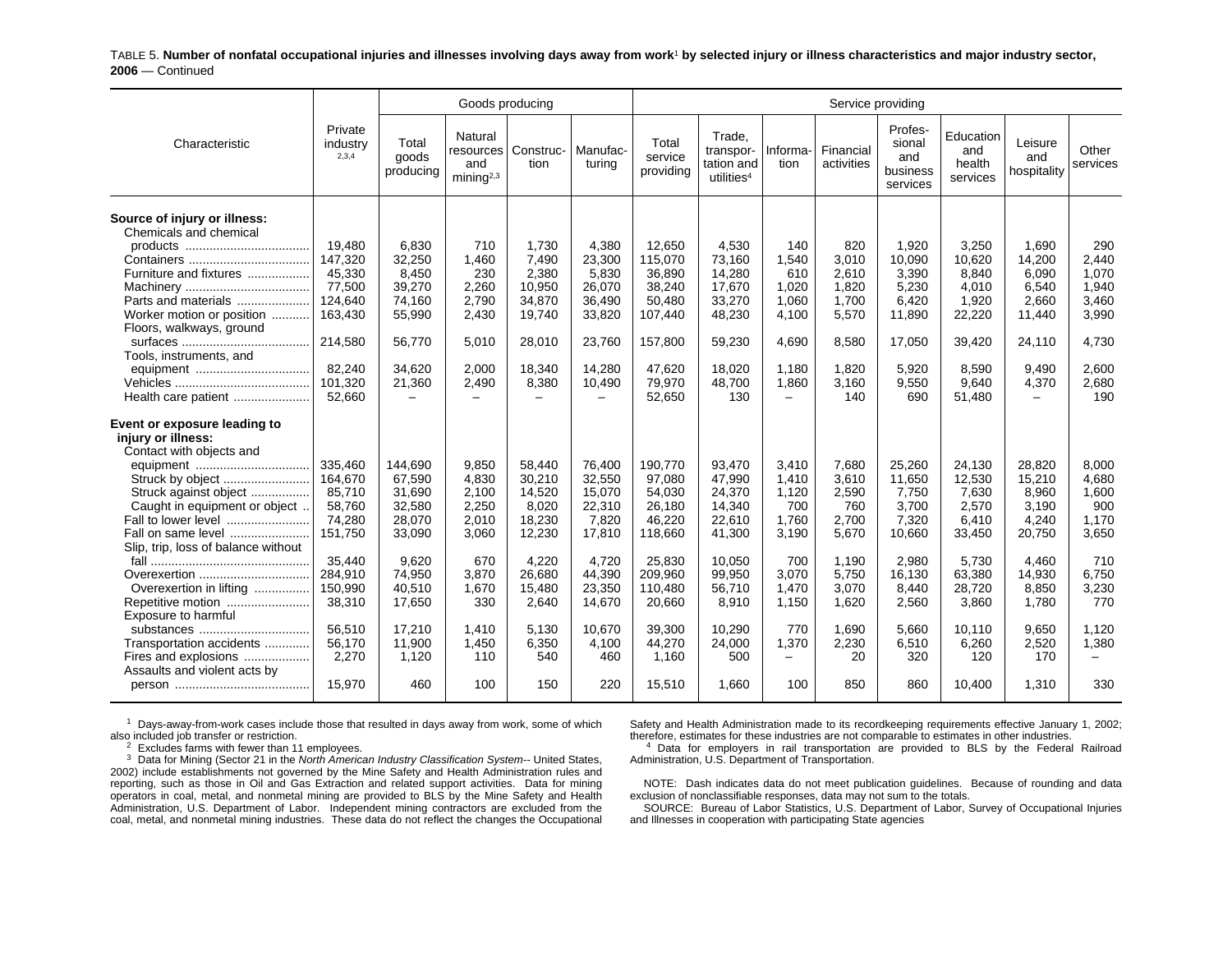TABLE 5. **Number of nonfatal occupational injuries and illnesses involving days away from work**1 **by selected injury or illness characteristics and major industry sector, 2006** — Continued

|                                                                                                                                                                                                                                                                                                                                                                                   |                                                                                                                           |                                                                                                                      | Goods producing                                                                                      |                                                                                                                 |                                                                                                                   |                                                                                                                          |                                                                                                                     |                                                                                                    |                                                                                                        | Service providing                                                                                            |                                                                                                                |                                                                                                              |                                                                                                    |
|-----------------------------------------------------------------------------------------------------------------------------------------------------------------------------------------------------------------------------------------------------------------------------------------------------------------------------------------------------------------------------------|---------------------------------------------------------------------------------------------------------------------------|----------------------------------------------------------------------------------------------------------------------|------------------------------------------------------------------------------------------------------|-----------------------------------------------------------------------------------------------------------------|-------------------------------------------------------------------------------------------------------------------|--------------------------------------------------------------------------------------------------------------------------|---------------------------------------------------------------------------------------------------------------------|----------------------------------------------------------------------------------------------------|--------------------------------------------------------------------------------------------------------|--------------------------------------------------------------------------------------------------------------|----------------------------------------------------------------------------------------------------------------|--------------------------------------------------------------------------------------------------------------|----------------------------------------------------------------------------------------------------|
| Characteristic                                                                                                                                                                                                                                                                                                                                                                    | Private<br>industry<br>2,3,4                                                                                              | Total<br>goods<br>producing                                                                                          | Natural<br>and<br>mining $2,3$                                                                       | resources   Construc-<br>tion                                                                                   | Manufac-<br>turina                                                                                                | Total<br>service<br>providing                                                                                            | Trade,<br>transpor-<br>tation and<br>utilities <sup>4</sup>                                                         | Informa-<br>tion                                                                                   | Financial<br>activities                                                                                | Profes-<br>sional<br>and<br>business<br>services                                                             | Education<br>and<br>health<br>services                                                                         | Leisure<br>and<br>hospitality                                                                                | Other<br>services                                                                                  |
| Source of injury or illness:<br>Chemicals and chemical<br>Furniture and fixtures<br>Parts and materials<br>Worker motion or position<br>Floors, walkways, ground<br>Tools, instruments, and                                                                                                                                                                                       | 19,480<br>147,320<br>45,330<br>77,500<br>124,640<br>163,430<br>214.580                                                    | 6,830<br>32,250<br>8,450<br>39,270<br>74,160<br>55,990<br>56.770                                                     | 710<br>1,460<br>230<br>2,260<br>2,790<br>2,430<br>5.010                                              | 1,730<br>7,490<br>2,380<br>10,950<br>34,870<br>19,740<br>28.010                                                 | 4,380<br>23,300<br>5,830<br>26,070<br>36,490<br>33,820<br>23.760                                                  | 12,650<br>115,070<br>36,890<br>38,240<br>50,480<br>107,440<br>157,800                                                    | 4,530<br>73.160<br>14,280<br>17,670<br>33,270<br>48,230<br>59,230                                                   | 140<br>1,540<br>610<br>1,020<br>1,060<br>4,100<br>4.690                                            | 820<br>3,010<br>2,610<br>1,820<br>1,700<br>5,570<br>8.580                                              | 1,920<br>10,090<br>3,390<br>5,230<br>6,420<br>11,890<br>17,050                                               | 3,250<br>10.620<br>8,840<br>4.010<br>1,920<br>22,220<br>39,420                                                 | 1,690<br>14,200<br>6,090<br>6,540<br>2,660<br>11,440<br>24,110                                               | 290<br>2.440<br>1,070<br>1,940<br>3,460<br>3,990<br>4,730                                          |
| equipment<br>Health care patient                                                                                                                                                                                                                                                                                                                                                  | 82,240<br>101,320<br>52,660                                                                                               | 34,620<br>21,360                                                                                                     | 2,000<br>2,490                                                                                       | 18,340<br>8,380                                                                                                 | 14,280<br>10,490                                                                                                  | 47,620<br>79,970<br>52,650                                                                                               | 18,020<br>48,700<br>130                                                                                             | 1,180<br>1,860<br>$\overline{\phantom{0}}$                                                         | 1,820<br>3,160<br>140                                                                                  | 5,920<br>9,550<br>690                                                                                        | 8,590<br>9.640<br>51,480                                                                                       | 9,490<br>4,370<br>$\equiv$                                                                                   | 2,600<br>2,680<br>190                                                                              |
| Event or exposure leading to<br>injury or illness:<br>Contact with objects and<br>Struck by object<br>Struck against object<br>Caught in equipment or object<br>Fall to lower level<br>Fall on same level<br>Slip, trip, loss of balance without<br>Overexertion<br>Overexertion in lifting<br>Repetitive motion<br>Exposure to harmful<br>substances<br>Transportation accidents | 335,460<br>164,670<br>85,710<br>58,760<br>74,280<br>151,750<br>35,440<br>284,910<br>150,990<br>38,310<br>56.510<br>56,170 | 144,690<br>67,590<br>31,690<br>32,580<br>28,070<br>33,090<br>9,620<br>74,950<br>40,510<br>17,650<br>17,210<br>11,900 | 9,850<br>4,830<br>2,100<br>2,250<br>2,010<br>3,060<br>670<br>3,870<br>1,670<br>330<br>1.410<br>1,450 | 58,440<br>30,210<br>14,520<br>8,020<br>18,230<br>12,230<br>4,220<br>26.680<br>15,480<br>2,640<br>5.130<br>6,350 | 76,400<br>32,550<br>15,070<br>22,310<br>7.820<br>17,810<br>4,720<br>44,390<br>23,350<br>14,670<br>10,670<br>4,100 | 190,770<br>97,080<br>54,030<br>26,180<br>46,220<br>118,660<br>25,830<br>209,960<br>110,480<br>20,660<br>39,300<br>44,270 | 93,470<br>47,990<br>24,370<br>14,340<br>22,610<br>41,300<br>10,050<br>99.950<br>56,710<br>8,910<br>10,290<br>24,000 | 3,410<br>1,410<br>1,120<br>700<br>1.760<br>3,190<br>700<br>3.070<br>1,470<br>1,150<br>770<br>1,370 | 7,680<br>3,610<br>2,590<br>760<br>2,700<br>5,670<br>1,190<br>5.750<br>3,070<br>1,620<br>1,690<br>2,230 | 25,260<br>11,650<br>7,750<br>3.700<br>7,320<br>10,660<br>2,980<br>16,130<br>8,440<br>2,560<br>5.660<br>6,510 | 24,130<br>12,530<br>7,630<br>2,570<br>6.410<br>33,450<br>5,730<br>63,380<br>28,720<br>3,860<br>10.110<br>6,260 | 28,820<br>15,210<br>8,960<br>3,190<br>4,240<br>20,750<br>4,460<br>14,930<br>8,850<br>1,780<br>9.650<br>2,520 | 8,000<br>4,680<br>1,600<br>900<br>1,170<br>3,650<br>710<br>6,750<br>3,230<br>770<br>1,120<br>1,380 |
| Fires and explosions<br>Assaults and violent acts by                                                                                                                                                                                                                                                                                                                              | 2,270<br>15,970                                                                                                           | 1,120<br>460                                                                                                         | 110<br>100                                                                                           | 540<br>150                                                                                                      | 460<br>220                                                                                                        | 1,160<br>15,510                                                                                                          | 500<br>1,660                                                                                                        | $\overline{\phantom{0}}$<br>100                                                                    | 20<br>850                                                                                              | 320<br>860                                                                                                   | 120<br>10,400                                                                                                  | 170<br>1,310                                                                                                 | 330                                                                                                |

 $1$  Days-away-from-work cases include those that resulted in days away from work, some of which also included job transfer or restriction.

 $2$  Excludes farms with fewer than 11 employees.

3 Data for Mining (Sector 21 in the *North American Industry Classification System--* United States, 2002) include establishments not governed by the Mine Safety and Health Administration rules and reporting, such as those in Oil and Gas Extraction and related support activities. Data for mining operators in coal, metal, and nonmetal mining are provided to BLS by the Mine Safety and Health Administration, U.S. Department of Labor. Independent mining contractors are excluded from the coal, metal, and nonmetal mining industries. These data do not reflect the changes the Occupational Safety and Health Administration made to its recordkeeping requirements effective January 1, 2002; therefore, estimates for these industries are not comparable to estimates in other industries.

 $<sup>4</sup>$  Data for employers in rail transportation are provided to BLS by the Federal Railroad</sup> Administration, U.S. Department of Transportation.

NOTE: Dash indicates data do not meet publication guidelines. Because of rounding and data exclusion of nonclassifiable responses, data may not sum to the totals.

SOURCE: Bureau of Labor Statistics, U.S. Department of Labor, Survey of Occupational Injuries and Illnesses in cooperation with participating State agencies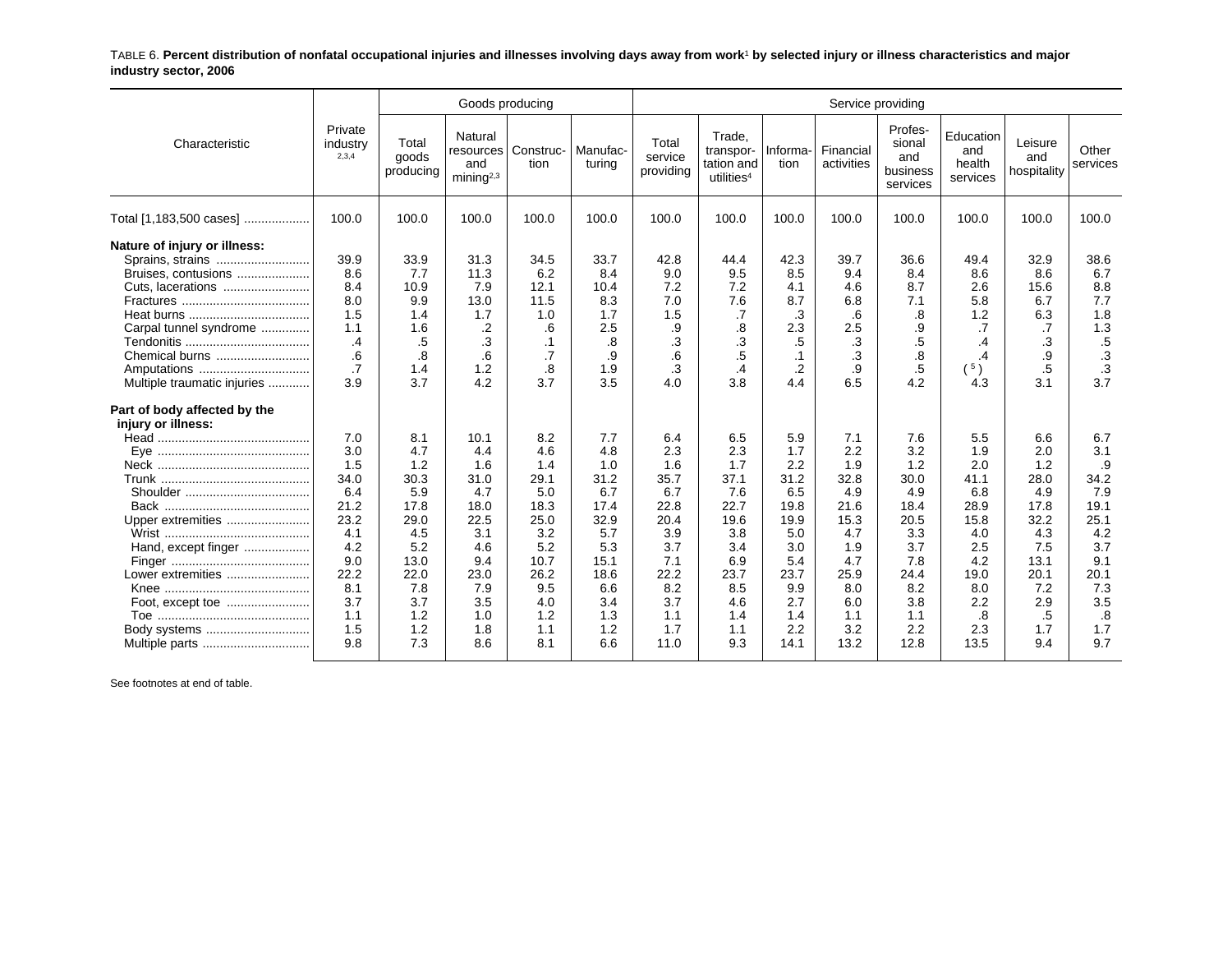TABLE 6. **Percent distribution of nonfatal occupational injuries and illnesses involving days away from work**1 **by selected injury or illness characteristics and major industry sector, 2006**

|                                                    |                              |                             | Goods producing                                      |                   |                    |                               |                                                             |                  | Service providing       |                                                  |                                        |                               |                   |
|----------------------------------------------------|------------------------------|-----------------------------|------------------------------------------------------|-------------------|--------------------|-------------------------------|-------------------------------------------------------------|------------------|-------------------------|--------------------------------------------------|----------------------------------------|-------------------------------|-------------------|
| Characteristic                                     | Private<br>industry<br>2,3,4 | Total<br>goods<br>producing | Natural<br>resources<br>and<br>mining <sup>2,3</sup> | Construc-<br>tion | Manufac-<br>turing | Total<br>service<br>providing | Trade.<br>transpor-<br>tation and<br>utilities <sup>4</sup> | Informa-<br>tion | Financial<br>activities | Profes-<br>sional<br>and<br>business<br>services | Education<br>and<br>health<br>services | Leisure<br>and<br>hospitality | Other<br>services |
| Total [1,183,500 cases]                            | 100.0                        | 100.0                       | 100.0                                                | 100.0             | 100.0              | 100.0                         | 100.0                                                       | 100.0            | 100.0                   | 100.0                                            | 100.0                                  | 100.0                         | 100.0             |
| Nature of injury or illness:                       |                              |                             |                                                      |                   |                    |                               |                                                             |                  |                         |                                                  |                                        |                               |                   |
| Sprains, strains<br>Bruises, contusions            | 39.9<br>8.6                  | 33.9<br>7.7                 | 31.3<br>11.3                                         | 34.5<br>6.2       | 33.7<br>8.4        | 42.8<br>9.0                   | 44.4<br>9.5                                                 | 42.3<br>8.5      | 39.7<br>9.4             | 36.6<br>8.4                                      | 49.4<br>8.6                            | 32.9<br>8.6                   | 38.6<br>6.7       |
|                                                    | 8.4                          | 10.9                        | 7.9                                                  | 12.1              | 10.4               | 7.2                           | 7.2                                                         |                  | 4.6                     | 8.7                                              | 2.6                                    | 15.6                          | 8.8               |
| Cuts, lacerations                                  | 8.0                          | 9.9                         | 13.0                                                 | 11.5              | 8.3                | 7.0                           | 7.6                                                         | 4.1<br>8.7       | 6.8                     | 7.1                                              | 5.8                                    | 6.7                           | 7.7               |
|                                                    | 1.5                          | 1.4                         | 1.7                                                  | 1.0               | 1.7                | 1.5                           | .7                                                          | .3               | .6                      | .8                                               | 1.2                                    | 6.3                           | 1.8               |
| Carpal tunnel syndrome                             | 1.1                          | 1.6                         | .2                                                   | .6                | 2.5                | .9                            | .8                                                          | 2.3              | 2.5                     | .9                                               | .7                                     | .7                            | 1.3               |
|                                                    | .4                           | .5                          | .3                                                   | $\cdot$ 1         | .8                 | .3                            | .3                                                          | .5               | .3                      | $.5\,$                                           | $\cdot$                                | .3                            | $.5\,$            |
| Chemical burns                                     | .6                           | .8                          | .6                                                   | $\cdot$ 7         | .9                 | .6                            | $.5\,$                                                      | $\cdot$ 1        | .3                      | .8                                               | .4                                     | .9                            | $\cdot$ 3         |
| Amputations                                        | .7                           | 1.4                         | 1.2                                                  | .8                | 1.9                | .3                            | .4                                                          | .2               | .9                      | .5                                               | (5)                                    | .5                            | .3                |
| Multiple traumatic injuries                        | 3.9                          | 3.7                         | 4.2                                                  | 3.7               | 3.5                | 4.0                           | 3.8                                                         | 4.4              | 6.5                     | 4.2                                              | 4.3                                    | 3.1                           | 3.7               |
| Part of body affected by the<br>injury or illness: |                              |                             |                                                      |                   |                    |                               |                                                             |                  |                         |                                                  |                                        |                               |                   |
|                                                    | 7.0                          | 8.1                         | 10.1                                                 | 8.2               | 7.7                | 6.4                           | 6.5                                                         | 5.9              | 7.1                     | 7.6                                              | 5.5                                    | 6.6                           | 6.7               |
|                                                    | 3.0                          | 4.7                         | 4.4                                                  | 4.6               | 4.8                | 2.3                           | 2.3                                                         | 1.7              | 2.2                     | 3.2                                              | 1.9                                    | 2.0                           | 3.1               |
|                                                    | 1.5                          | 1.2                         | 1.6                                                  | 1.4               | 1.0                | 1.6                           | 1.7                                                         | 2.2              | 1.9                     | 1.2                                              | 2.0                                    | 1.2                           | .9                |
|                                                    | 34.0                         | 30.3                        | 31.0                                                 | 29.1              | 31.2               | 35.7                          | 37.1                                                        | 31.2             | 32.8                    | 30.0                                             | 41.1                                   | 28.0                          | 34.2              |
|                                                    | 6.4                          | 5.9                         | 4.7                                                  | 5.0               | 6.7                | 6.7                           | 7.6                                                         | 6.5              | 4.9                     | 4.9                                              | 6.8                                    | 4.9                           | 7.9               |
|                                                    | 21.2                         | 17.8                        | 18.0                                                 | 18.3              | 17.4               | 22.8                          | 22.7                                                        | 19.8             | 21.6                    | 18.4                                             | 28.9                                   | 17.8                          | 19.1              |
| Upper extremities                                  | 23.2                         | 29.0                        | 22.5                                                 | 25.0              | 32.9               | 20.4                          | 19.6                                                        | 19.9             | 15.3                    | 20.5                                             | 15.8                                   | 32.2                          | 25.1              |
|                                                    | 4.1                          | 4.5                         | 3.1                                                  | 3.2               | 5.7                | 3.9                           | 3.8                                                         | 5.0              | 4.7                     | 3.3                                              | 4.0                                    | 4.3                           | 4.2               |
| Hand, except finger                                | 4.2                          | 5.2                         | 4.6                                                  | 5.2               | 5.3                | 3.7                           | 3.4                                                         | 3.0              | 1.9                     | 3.7                                              | 2.5                                    | 7.5                           | 3.7               |
|                                                    | 9.0                          | 13.0                        | 9.4                                                  | 10.7              | 15.1               | 7.1                           | 6.9                                                         | 5.4              | 4.7                     | 7.8                                              | 4.2                                    | 13.1                          | 9.1               |
| Lower extremities                                  | 22.2                         | 22.0                        | 23.0                                                 | 26.2              | 18.6               | 22.2                          | 23.7                                                        | 23.7             | 25.9                    | 24.4                                             | 19.0                                   | 20.1                          | 20.1              |
|                                                    | 8.1                          | 7.8                         | 7.9                                                  | 9.5               | 6.6                | 8.2                           | 8.5                                                         | 9.9              | 8.0                     | 8.2                                              | 8.0                                    | 7.2                           | 7.3               |
| Foot, except toe                                   | 3.7                          | 3.7                         | 3.5                                                  | 4.0               | 3.4                | 3.7                           | 4.6                                                         | 2.7              | 6.0                     | 3.8                                              | 2.2                                    | 2.9                           | 3.5               |
|                                                    | 1.1                          | 1.2                         | 1.0                                                  | 1.2               | 1.3                | 1.1                           | 1.4                                                         | 1.4              | 1.1                     | 1.1                                              | $\boldsymbol{.8}$                      | .5                            | .8                |
| Body systems                                       | 1.5                          | 1.2                         | 1.8                                                  | 1.1               | 1.2                | 1.7                           | 1.1                                                         | 2.2              | 3.2                     | 2.2                                              | 2.3                                    | 1.7                           | 1.7               |
| Multiple parts                                     | 9.8                          | 7.3                         | 8.6                                                  | 8.1               | 6.6                | 11.0                          | 9.3                                                         | 14.1             | 13.2                    | 12.8                                             | 13.5                                   | 9.4                           | 9.7               |
|                                                    |                              |                             |                                                      |                   |                    |                               |                                                             |                  |                         |                                                  |                                        |                               |                   |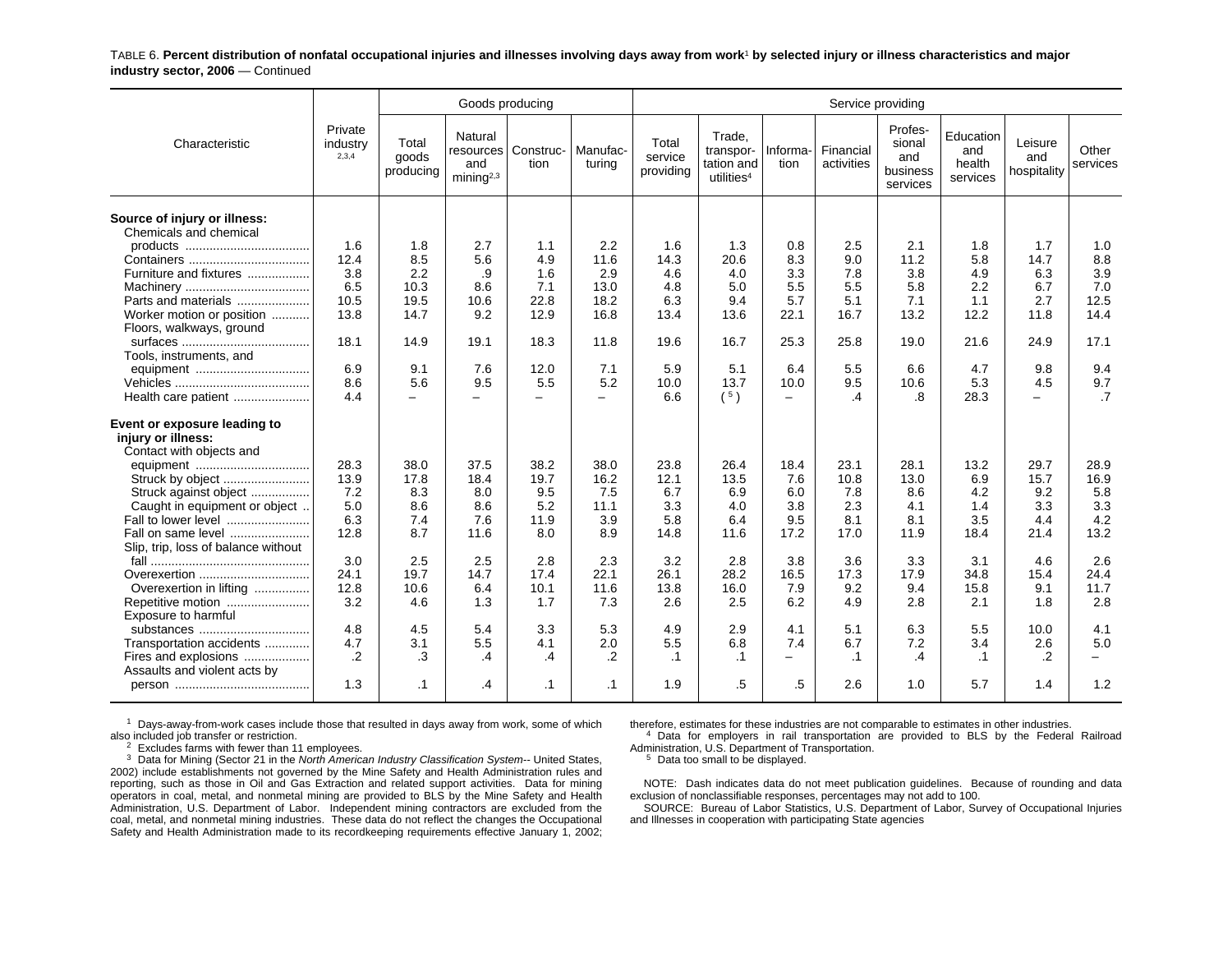TABLE 6. **Percent distribution of nonfatal occupational injuries and illnesses involving days away from work**1 **by selected injury or illness characteristics and major industry sector, 2006** — Continued

|                                                                                |                              |                             | Goods producing                                       |                                 |                    |                               |                                                             |                                  | Service providing       |                                                  |                                        |                               |                   |
|--------------------------------------------------------------------------------|------------------------------|-----------------------------|-------------------------------------------------------|---------------------------------|--------------------|-------------------------------|-------------------------------------------------------------|----------------------------------|-------------------------|--------------------------------------------------|----------------------------------------|-------------------------------|-------------------|
| Characteristic                                                                 | Private<br>industry<br>2,3,4 | Total<br>goods<br>producing | Natural<br>resources<br>and<br>minin a <sup>2,3</sup> | Construc-<br>tion               | Manufac-<br>turina | Total<br>service<br>providing | Trade.<br>transpor-<br>tation and<br>utilities <sup>4</sup> | Informa-<br>tion                 | Financial<br>activities | Profes-<br>sional<br>and<br>business<br>services | Education<br>and<br>health<br>services | Leisure<br>and<br>hospitality | Other<br>services |
| Source of injury or illness:<br>Chemicals and chemical                         |                              |                             |                                                       |                                 |                    |                               |                                                             |                                  |                         |                                                  |                                        |                               |                   |
|                                                                                | 1.6<br>12.4                  | 1.8<br>8.5                  | 2.7<br>5.6                                            | 1.1<br>4.9                      | 2.2<br>11.6        | 1.6<br>14.3                   | 1.3<br>20.6                                                 | 0.8<br>8.3                       | 2.5<br>9.0              | 2.1<br>11.2                                      | 1.8<br>5.8                             | 1.7<br>14.7                   | 1.0<br>8.8        |
| Furniture and fixtures                                                         | 3.8                          | 2.2                         | .9                                                    | 1.6                             | 2.9                | 4.6                           | 4.0                                                         | 3.3                              | 7.8                     | 3.8                                              | 4.9                                    | 6.3                           | 3.9               |
|                                                                                | 6.5                          | 10.3                        | 8.6                                                   | 7.1                             | 13.0               | 4.8                           | 5.0                                                         | 5.5                              | 5.5                     | 5.8                                              | 2.2                                    | 6.7                           | 7.0               |
| Parts and materials                                                            | 10.5                         | 19.5                        | 10.6                                                  | 22.8                            | 18.2               | 6.3                           | 9.4                                                         | 5.7                              | 5.1                     | 7.1                                              | 1.1                                    | 2.7                           | 12.5              |
| Worker motion or position                                                      | 13.8                         | 14.7                        | 9.2                                                   | 12.9                            | 16.8               | 13.4                          | 13.6                                                        | 22.1                             | 16.7                    | 13.2                                             | 12.2                                   | 11.8                          | 14.4              |
| Floors, walkways, ground                                                       |                              |                             |                                                       |                                 |                    |                               |                                                             |                                  |                         |                                                  |                                        |                               |                   |
|                                                                                | 18.1                         | 14.9                        | 19.1                                                  | 18.3                            | 11.8               | 19.6                          | 16.7                                                        | 25.3                             | 25.8                    | 19.0                                             | 21.6                                   | 24.9                          | 17.1              |
| Tools, instruments, and                                                        |                              |                             |                                                       |                                 |                    |                               |                                                             |                                  |                         |                                                  |                                        |                               |                   |
| equipment                                                                      | 6.9<br>8.6                   | 9.1                         | 7.6                                                   | 12.0                            | 7.1                | 5.9                           | 5.1                                                         | 6.4                              | 5.5                     | 6.6                                              | 4.7                                    | 9.8                           | 9.4               |
| Health care patient                                                            | 4.4                          | 5.6<br>$-$                  | 9.5<br>$\overline{\phantom{0}}$                       | 5.5<br>$\overline{\phantom{0}}$ | 5.2<br>$\equiv$    | 10.0<br>6.6                   | 13.7<br>(5)                                                 | 10.0<br>$\overline{\phantom{m}}$ | 9.5<br>$\overline{.4}$  | 10.6<br>.8                                       | 5.3<br>28.3                            | 4.5<br>$\equiv$               | 9.7<br>.7         |
|                                                                                |                              |                             |                                                       |                                 |                    |                               |                                                             |                                  |                         |                                                  |                                        |                               |                   |
| Event or exposure leading to<br>injury or illness:<br>Contact with objects and |                              |                             |                                                       |                                 |                    |                               |                                                             |                                  |                         |                                                  |                                        |                               |                   |
|                                                                                | 28.3                         | 38.0                        | 37.5                                                  | 38.2                            | 38.0               | 23.8                          | 26.4                                                        | 18.4                             | 23.1                    | 28.1                                             | 13.2                                   | 29.7                          | 28.9              |
| Struck by object                                                               | 13.9                         | 17.8                        | 18.4                                                  | 19.7                            | 16.2               | 12.1                          | 13.5                                                        | 7.6                              | 10.8                    | 13.0                                             | 6.9                                    | 15.7                          | 16.9              |
| Struck against object                                                          | 7.2                          | 8.3                         | 8.0                                                   | 9.5                             | 7.5                | 6.7                           | 6.9                                                         | 6.0                              | 7.8                     | 8.6                                              | 4.2                                    | 9.2                           | 5.8               |
| Caught in equipment or object                                                  | 5.0                          | 8.6                         | 8.6                                                   | 5.2                             | 11.1               | 3.3                           | 4.0                                                         | 3.8                              | 2.3                     | 4.1                                              | 1.4                                    | 3.3                           | 3.3               |
| Fall to lower level                                                            | 6.3<br>12.8                  | 7.4<br>8.7                  | 7.6                                                   | 11.9                            | 3.9<br>8.9         | 5.8                           | 6.4<br>11.6                                                 | 9.5<br>17.2                      | 8.1                     | 8.1                                              | 3.5                                    | 4.4                           | 4.2<br>13.2       |
| Fall on same level<br>Slip, trip, loss of balance without                      |                              |                             | 11.6                                                  | 8.0                             |                    | 14.8                          |                                                             |                                  | 17.0                    | 11.9                                             | 18.4                                   | 21.4                          |                   |
|                                                                                | 3.0                          | 2.5                         | 2.5                                                   | 2.8                             | 2.3                | 3.2                           | 2.8                                                         | 3.8                              | 3.6                     | 3.3                                              | 3.1                                    | 4.6                           | 2.6               |
| Overexertion                                                                   | 24.1                         | 19.7                        | 14.7                                                  | 17.4                            | 22.1               | 26.1                          | 28.2                                                        | 16.5                             | 17.3                    | 17.9                                             | 34.8                                   | 15.4                          | 24.4              |
| Overexertion in lifting                                                        | 12.8                         | 10.6                        | 6.4                                                   | 10.1                            | 11.6               | 13.8                          | 16.0                                                        | 7.9                              | 9.2                     | 9.4                                              | 15.8                                   | 9.1                           | 11.7              |
| Repetitive motion                                                              | 3.2                          | 4.6                         | 1.3                                                   | 1.7                             | 7.3                | 2.6                           | 2.5                                                         | 6.2                              | 4.9                     | 2.8                                              | 2.1                                    | 1.8                           | 2.8               |
| Exposure to harmful                                                            |                              |                             |                                                       |                                 |                    |                               |                                                             |                                  |                         |                                                  |                                        |                               |                   |
| substances                                                                     | 4.8                          | 4.5                         | 5.4                                                   | 3.3                             | 5.3                | 4.9                           | 2.9                                                         | 4.1                              | 5.1                     | 6.3                                              | 5.5                                    | 10.0                          | 4.1               |
| Transportation accidents                                                       | 4.7                          | 3.1                         | 5.5                                                   | 4.1                             | 2.0                | 5.5                           | 6.8                                                         | 7.4                              | 6.7                     | 7.2                                              | 3.4                                    | 2.6                           | 5.0               |
| Fires and explosions                                                           | .2                           | .3                          | .4                                                    | .4                              | $\cdot$            | $\cdot$ 1                     | $\cdot$ 1                                                   | $\overline{\phantom{a}}$         | $\cdot$ 1               | .4                                               | $\cdot$ 1                              | .2                            |                   |
| Assaults and violent acts by                                                   |                              |                             |                                                       |                                 |                    |                               |                                                             |                                  |                         |                                                  |                                        |                               |                   |
|                                                                                | 1.3                          | $\cdot$ 1                   | .4                                                    | $\cdot$ 1                       | .1                 | 1.9                           | .5                                                          | .5                               | 2.6                     | 1.0                                              | 5.7                                    | 1.4                           | 1.2               |

 $1$  Days-away-from-work cases include those that resulted in days away from work, some of which also included job transfer or restriction.

 $2$  Excludes farms with fewer than 11 employees.

3 Data for Mining (Sector 21 in the *North American Industry Classification System--* United States, 2002) include establishments not governed by the Mine Safety and Health Administration rules and reporting, such as those in Oil and Gas Extraction and related support activities. Data for mining operators in coal, metal, and nonmetal mining are provided to BLS by the Mine Safety and Health Administration, U.S. Department of Labor. Independent mining contractors are excluded from the coal, metal, and nonmetal mining industries. These data do not reflect the changes the Occupational Safety and Health Administration made to its recordkeeping requirements effective January 1, 2002;

therefore, estimates for these industries are not comparable to estimates in other industries.

4 Data for employers in rail transportation are provided to BLS by the Federal Railroad Administration, U.S. Department of Transportation.

<sup>5</sup> Data too small to be displayed.

NOTE: Dash indicates data do not meet publication guidelines. Because of rounding and data exclusion of nonclassifiable responses, percentages may not add to 100.

SOURCE: Bureau of Labor Statistics, U.S. Department of Labor, Survey of Occupational Injuries and Illnesses in cooperation with participating State agencies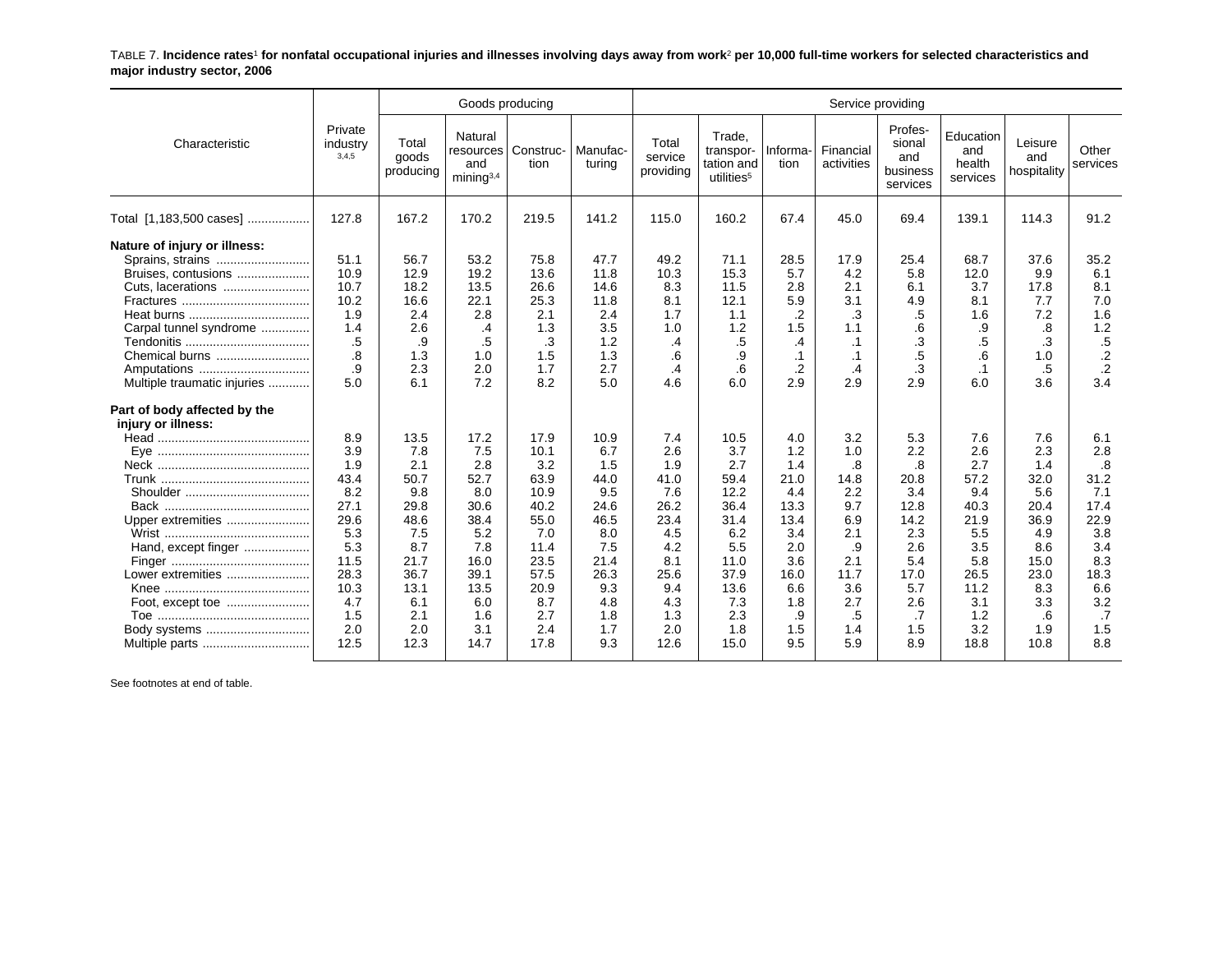TABLE 7. **Incidence rates**1 **for nonfatal occupational injuries and illnesses involving days away from work**2 **per 10,000 full-time workers for selected characteristics and major industry sector, 2006**

|                                                    |                              |                             | Goods producing                                      |                   |                    |                               |                                                             |                  | Service providing       |                                                  |                                        |                               |                   |
|----------------------------------------------------|------------------------------|-----------------------------|------------------------------------------------------|-------------------|--------------------|-------------------------------|-------------------------------------------------------------|------------------|-------------------------|--------------------------------------------------|----------------------------------------|-------------------------------|-------------------|
| Characteristic                                     | Private<br>industry<br>3,4,5 | Total<br>goods<br>producing | Natural<br>resources<br>and<br>minima <sup>3,4</sup> | Construc-<br>tion | Manufac-<br>turing | Total<br>service<br>providing | Trade.<br>transpor-<br>tation and<br>utilities <sup>5</sup> | Informa-<br>tion | Financial<br>activities | Profes-<br>sional<br>and<br>business<br>services | Education<br>and<br>health<br>services | Leisure<br>and<br>hospitality | Other<br>services |
| Total [1,183,500 cases]                            | 127.8                        | 167.2                       | 170.2                                                | 219.5             | 141.2              | 115.0                         | 160.2                                                       | 67.4             | 45.0                    | 69.4                                             | 139.1                                  | 114.3                         | 91.2              |
| Nature of injury or illness:<br>Sprains, strains   | 51.1                         | 56.7                        | 53.2                                                 | 75.8              | 47.7               | 49.2                          | 71.1                                                        | 28.5             | 17.9                    | 25.4                                             | 68.7                                   | 37.6                          | 35.2              |
| Bruises, contusions                                | 10.9                         | 12.9                        | 19.2                                                 | 13.6              | 11.8               | 10.3                          | 15.3                                                        | 5.7              | 4.2                     | 5.8                                              | 12.0                                   | 9.9                           | 6.1               |
| Cuts, lacerations                                  | 10.7                         | 18.2                        | 13.5                                                 | 26.6              | 14.6               | 8.3                           | 11.5                                                        | 2.8              | 2.1                     | 6.1                                              | 3.7                                    | 17.8                          | 8.1               |
|                                                    | 10.2                         | 16.6                        | 22.1                                                 | 25.3              | 11.8               | 8.1                           | 12.1                                                        | 5.9              | 3.1                     | 4.9                                              | 8.1                                    | 7.7                           | 7.0               |
|                                                    | 1.9                          | 2.4                         | 2.8                                                  | 2.1               | 2.4                | 1.7                           | 1.1                                                         | .2               | .3                      | .5                                               | 1.6                                    | 7.2                           | 1.6               |
| Carpal tunnel syndrome                             | 1.4                          | 2.6                         | .4                                                   | 1.3               | 3.5                | 1.0                           | 1.2                                                         | 1.5              | 1.1                     | .6                                               | .9                                     | .8                            | 1.2               |
|                                                    | .5                           | .9                          | .5                                                   | .3                | 1.2                | $\cdot$                       | .5                                                          | .4               | .1                      | .3                                               | .5                                     | .3                            | .5                |
| Chemical burns                                     | .8                           | 1.3                         | 1.0                                                  | 1.5               | 1.3                | .6                            | .9                                                          | $\cdot$ 1        | $\cdot$ 1               | .5                                               | .6                                     | 1.0                           | $\cdot$ .2        |
| Amputations                                        | .9                           | 2.3                         | 2.0                                                  | 1.7               | 2.7                | .4                            | .6                                                          | .2               | .4                      | .3                                               | $\cdot$ 1                              | .5                            | $\cdot$           |
| Multiple traumatic injuries                        | 5.0                          | 6.1                         | 7.2                                                  | 8.2               | 5.0                | 4.6                           | 6.0                                                         | 2.9              | 2.9                     | 2.9                                              | 6.0                                    | 3.6                           | 3.4               |
| Part of body affected by the<br>injury or illness: |                              |                             |                                                      |                   |                    |                               |                                                             |                  |                         |                                                  |                                        |                               |                   |
|                                                    | 8.9                          | 13.5                        | 17.2                                                 | 17.9              | 10.9               | 7.4                           | 10.5                                                        | 4.0              | 3.2                     | 5.3                                              | 7.6                                    | 7.6                           | 6.1               |
|                                                    | 3.9                          | 7.8                         | 7.5                                                  | 10.1              | 6.7                | 2.6                           | 3.7                                                         | 1.2              | 1.0                     | 2.2                                              | 2.6                                    | 2.3                           | 2.8               |
|                                                    | 1.9                          | 2.1                         | 2.8                                                  | 3.2               | 1.5                | 1.9                           | 2.7                                                         | 1.4              | .8                      | .8                                               | 2.7                                    | 1.4                           | .8                |
|                                                    | 43.4                         | 50.7                        | 52.7                                                 | 63.9              | 44.0               | 41.0                          | 59.4                                                        | 21.0             | 14.8                    | 20.8                                             | 57.2                                   | 32.0                          | 31.2              |
|                                                    | 8.2                          | 9.8                         | 8.0                                                  | 10.9              | 9.5                | 7.6                           | 12.2                                                        | 4.4              | 2.2                     | 3.4                                              | 9.4                                    | 5.6                           | 7.1               |
|                                                    | 27.1                         | 29.8                        | 30.6                                                 | 40.2              | 24.6               | 26.2                          | 36.4                                                        | 13.3             | 9.7                     | 12.8                                             | 40.3                                   | 20.4                          | 17.4              |
| Upper extremities                                  | 29.6                         | 48.6                        | 38.4                                                 | 55.0              | 46.5               | 23.4                          | 31.4                                                        | 13.4             | 6.9                     | 14.2                                             | 21.9                                   | 36.9                          | 22.9              |
|                                                    | 5.3                          | 7.5                         | 5.2                                                  | 7.0               | 8.0                | 4.5                           | 6.2                                                         | 3.4              | 2.1                     | 2.3                                              | 5.5                                    | 4.9                           | 3.8               |
| Hand, except finger                                | 5.3                          | 8.7                         | 7.8                                                  | 11.4              | 7.5                | 4.2                           | 5.5                                                         | 2.0              | .9                      | 2.6                                              | 3.5                                    | 8.6                           | 3.4               |
|                                                    | 11.5                         | 21.7                        | 16.0                                                 | 23.5              | 21.4               | 8.1                           | 11.0                                                        | 3.6              | 2.1                     | 5.4                                              | 5.8                                    | 15.0                          | 8.3               |
| Lower extremities                                  | 28.3                         | 36.7                        | 39.1                                                 | 57.5              | 26.3               | 25.6                          | 37.9                                                        | 16.0             | 11.7                    | 17.0                                             | 26.5                                   | 23.0                          | 18.3              |
|                                                    | 10.3                         | 13.1                        | 13.5                                                 | 20.9              | 9.3                | 9.4                           | 13.6                                                        | 6.6              | 3.6                     | 5.7                                              | 11.2                                   | 8.3                           | 6.6               |
|                                                    | 4.7                          | 6.1                         | 6.0                                                  | 8.7               | 4.8                | 4.3                           | 7.3                                                         | 1.8              | 2.7                     | 2.6                                              | 3.1                                    | 3.3                           | 3.2               |
|                                                    | 1.5                          | 2.1                         | 1.6                                                  | 2.7               | 1.8                | 1.3                           | 2.3                                                         | .9               | .5                      | $\cdot$                                          | 1.2                                    | .6                            | .7                |
| Body systems                                       | 2.0<br>12.5                  | 2.0<br>12.3                 | 3.1<br>14.7                                          | 2.4<br>17.8       | 1.7<br>9.3         | 2.0<br>12.6                   | 1.8<br>15.0                                                 | 1.5<br>9.5       | 1.4<br>5.9              | 1.5<br>8.9                                       | 3.2<br>18.8                            | 1.9<br>10.8                   | 1.5<br>8.8        |
| Multiple parts                                     |                              |                             |                                                      |                   |                    |                               |                                                             |                  |                         |                                                  |                                        |                               |                   |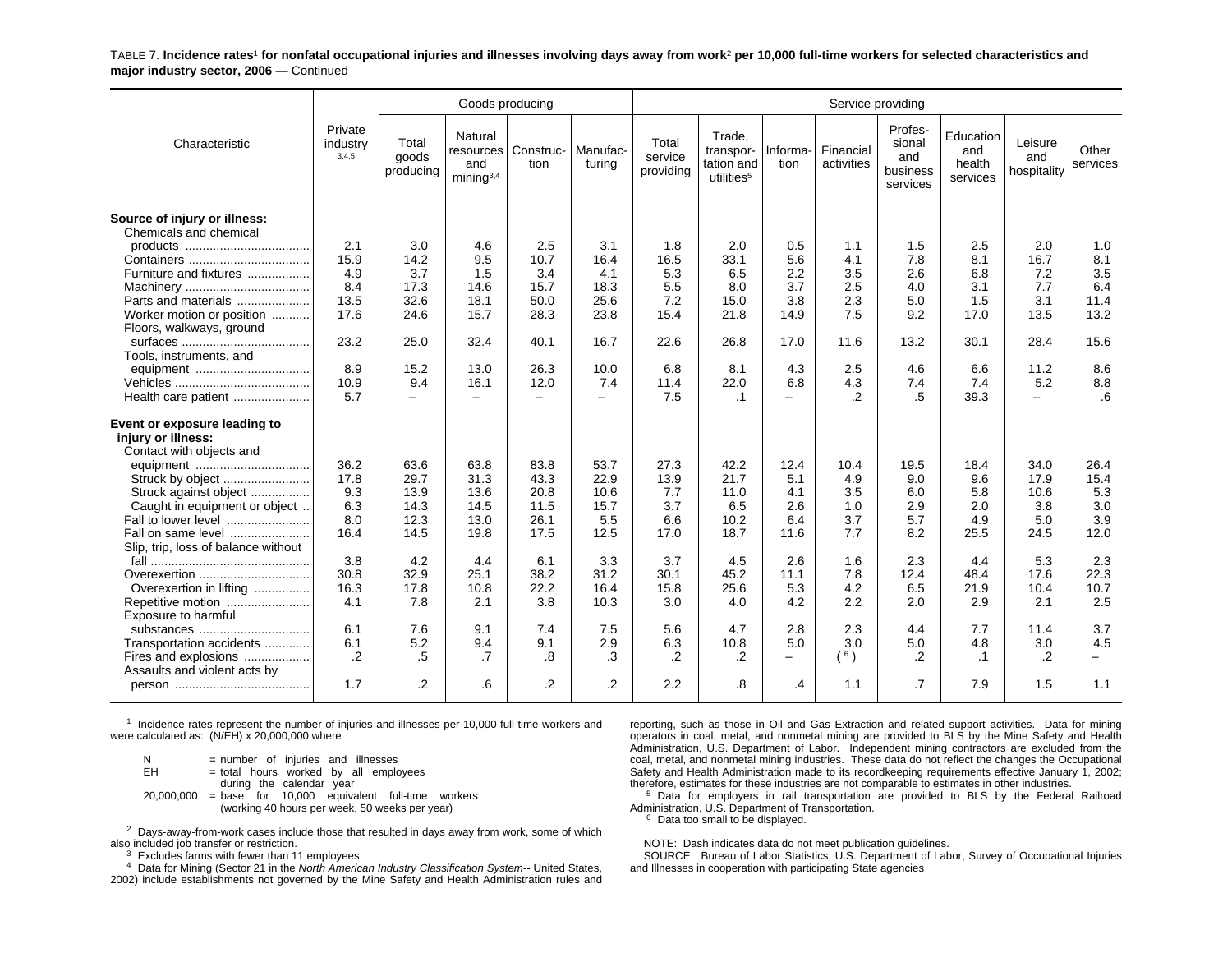TABLE 7. **Incidence rates**1 **for nonfatal occupational injuries and illnesses involving days away from work**2 **per 10,000 full-time workers for selected characteristics and major industry sector, 2006** — Continued

|                                                                                |                              |                             | Goods producing                                        |                          |                          |                               |                                                             |                          | Service providing       |                                                  |                                        |                               |                   |
|--------------------------------------------------------------------------------|------------------------------|-----------------------------|--------------------------------------------------------|--------------------------|--------------------------|-------------------------------|-------------------------------------------------------------|--------------------------|-------------------------|--------------------------------------------------|----------------------------------------|-------------------------------|-------------------|
| Characteristic                                                                 | Private<br>industry<br>3,4,5 | Total<br>goods<br>producing | Natural<br>resources  <br>and<br>mining <sup>3,4</sup> | Construc-<br>tion        | Manufac-<br>turina       | Total<br>service<br>providing | Trade,<br>transpor-<br>tation and<br>utilities <sup>5</sup> | Informa-<br>tion         | Financial<br>activities | Profes-<br>sional<br>and<br>business<br>services | Education<br>and<br>health<br>services | Leisure<br>and<br>hospitality | Other<br>services |
| Source of injury or illness:<br>Chemicals and chemical                         |                              |                             |                                                        |                          |                          |                               |                                                             |                          |                         |                                                  |                                        |                               |                   |
|                                                                                | 2.1                          | 3.0                         | 4.6                                                    | 2.5                      | 3.1                      | 1.8                           | 2.0                                                         | 0.5                      | 1.1                     | 1.5                                              | 2.5                                    | 2.0                           | 1.0               |
|                                                                                | 15.9                         | 14.2                        | 9.5                                                    | 10.7                     | 16.4                     | 16.5                          | 33.1                                                        | 5.6                      | 4.1                     | 7.8                                              | 8.1                                    | 16.7                          | 8.1               |
| Furniture and fixtures                                                         | 4.9<br>8.4                   | 3.7<br>17.3                 | 1.5<br>14.6                                            | 3.4<br>15.7              | 4.1<br>18.3              | 5.3<br>5.5                    | 6.5<br>8.0                                                  | 2.2<br>3.7               | 3.5<br>2.5              | 2.6<br>4.0                                       | 6.8<br>3.1                             | 7.2<br>7.7                    | 3.5<br>6.4        |
| Parts and materials                                                            | 13.5                         | 32.6                        | 18.1                                                   | 50.0                     | 25.6                     | 7.2                           | 15.0                                                        | 3.8                      | 2.3                     | 5.0                                              | 1.5                                    | 3.1                           | 11.4              |
| Worker motion or position                                                      | 17.6                         | 24.6                        | 15.7                                                   | 28.3                     | 23.8                     | 15.4                          | 21.8                                                        | 14.9                     | 7.5                     | 9.2                                              | 17.0                                   | 13.5                          | 13.2              |
| Floors, walkways, ground                                                       |                              |                             |                                                        |                          |                          |                               |                                                             |                          |                         |                                                  |                                        |                               |                   |
|                                                                                | 23.2                         | 25.0                        | 32.4                                                   | 40.1                     | 16.7                     | 22.6                          | 26.8                                                        | 17.0                     | 11.6                    | 13.2                                             | 30.1                                   | 28.4                          | 15.6              |
| Tools, instruments, and                                                        |                              |                             |                                                        |                          |                          |                               |                                                             |                          |                         |                                                  |                                        |                               |                   |
|                                                                                | 8.9                          | 15.2                        | 13.0                                                   | 26.3                     | 10.0                     | 6.8                           | 8.1                                                         | 4.3                      | 2.5                     | 4.6                                              | 6.6                                    | 11.2                          | 8.6               |
|                                                                                | 10.9                         | 9.4                         | 16.1                                                   | 12.0                     | 7.4                      | 11.4                          | 22.0                                                        | 6.8                      | 4.3                     | 7.4                                              | 7.4                                    | 5.2                           | 8.8               |
| Health care patient                                                            | 5.7                          | $-$                         | $\overline{\phantom{0}}$                               | $\overline{\phantom{m}}$ | $\overline{\phantom{0}}$ | 7.5                           | $\cdot$ 1                                                   | $\qquad \qquad -$        | .2                      | .5                                               | 39.3                                   | $\overline{\phantom{0}}$      | .6                |
| Event or exposure leading to<br>injury or illness:<br>Contact with objects and |                              |                             |                                                        |                          |                          |                               |                                                             |                          |                         |                                                  |                                        |                               |                   |
| equipment                                                                      | 36.2                         | 63.6                        | 63.8                                                   | 83.8                     | 53.7                     | 27.3                          | 42.2                                                        | 12.4                     | 10.4                    | 19.5                                             | 18.4                                   | 34.0                          | 26.4              |
| Struck by object                                                               | 17.8                         | 29.7                        | 31.3                                                   | 43.3                     | 22.9                     | 13.9                          | 21.7                                                        | 5.1                      | 4.9                     | 9.0                                              | 9.6                                    | 17.9                          | 15.4              |
| Struck against object                                                          | 9.3                          | 13.9                        | 13.6                                                   | 20.8                     | 10.6                     | 7.7                           | 11.0                                                        | 4.1                      | 3.5                     | 6.0                                              | 5.8                                    | 10.6                          | 5.3               |
| Caught in equipment or object<br>Fall to lower level                           | 6.3<br>8.0                   | 14.3<br>12.3                | 14.5<br>13.0                                           | 11.5<br>26.1             | 15.7<br>5.5              | 3.7<br>6.6                    | 6.5<br>10.2                                                 | 2.6<br>6.4               | 1.0<br>3.7              | 2.9<br>5.7                                       | 2.0<br>4.9                             | 3.8<br>5.0                    | 3.0<br>3.9        |
| Fall on same level                                                             | 16.4                         | 14.5                        | 19.8                                                   | 17.5                     | 12.5                     | 17.0                          | 18.7                                                        | 11.6                     | 7.7                     | 8.2                                              | 25.5                                   | 24.5                          | 12.0              |
| Slip, trip, loss of balance without                                            |                              |                             |                                                        |                          |                          |                               |                                                             |                          |                         |                                                  |                                        |                               |                   |
|                                                                                | 3.8                          | 4.2                         | 4.4                                                    | 6.1                      | 3.3                      | 3.7                           | 4.5                                                         | 2.6                      | 1.6                     | 2.3                                              | 4.4                                    | 5.3                           | 2.3               |
| Overexertion                                                                   | 30.8                         | 32.9                        | 25.1                                                   | 38.2                     | 31.2                     | 30.1                          | 45.2                                                        | 11.1                     | 7.8                     | 12.4                                             | 48.4                                   | 17.6                          | 22.3              |
| Overexertion in lifting                                                        | 16.3                         | 17.8                        | 10.8                                                   | 22.2                     | 16.4                     | 15.8                          | 25.6                                                        | 5.3                      | 4.2                     | 6.5                                              | 21.9                                   | 10.4                          | 10.7              |
| Repetitive motion                                                              | 4.1                          | 7.8                         | 2.1                                                    | 3.8                      | 10.3                     | 3.0                           | 4.0                                                         | 4.2                      | 2.2                     | 2.0                                              | 2.9                                    | 2.1                           | 2.5               |
| Exposure to harmful                                                            |                              |                             |                                                        |                          |                          |                               |                                                             |                          |                         |                                                  |                                        |                               |                   |
| substances                                                                     | 6.1                          | 7.6                         | 9.1                                                    | 7.4                      | 7.5                      | 5.6                           | 4.7                                                         | 2.8                      | 2.3                     | 4.4                                              | 7.7                                    | 11.4                          | 3.7               |
| Transportation accidents                                                       | 6.1                          | 5.2                         | 9.4                                                    | 9.1                      | 2.9                      | 6.3                           | 10.8                                                        | 5.0                      | 3.0                     | 5.0                                              | 4.8                                    | 3.0                           | 4.5               |
| Fires and explosions<br>Assaults and violent acts by                           | $\cdot$ .2                   | .5                          | .7                                                     | .8                       | .3                       | .2                            | $\cdot$                                                     | $\overline{\phantom{m}}$ | $($ $^6)$               | $\cdot$ .2                                       | $\cdot$ 1                              | $\cdot$                       |                   |
|                                                                                | 1.7                          | $\cdot$                     | .6                                                     | $\overline{2}$           | $\overline{2}$           | 2.2                           | .8                                                          | .4                       | 1.1                     | .7                                               | 7.9                                    | 1.5                           | 1.1               |
|                                                                                |                              |                             |                                                        |                          |                          |                               |                                                             |                          |                         |                                                  |                                        |                               |                   |

 $1$  Incidence rates represent the number of injuries and illnesses per 10,000 full-time workers and were calculated as: (N/EH) x 20,000,000 where

 $N = number of injuries and illnesses$ <br> $EH = total hours worked by all emplo$  $=$  total hours worked by all employees during the calendar year 20,000,000 <sup>=</sup> base for 10,000 equivalent full-time workers (working 40 hours per week, 50 weeks per year)

 $2$  Days-away-from-work cases include those that resulted in days away from work, some of which also included job transfer or restriction.

 $3$  Excludes farms with fewer than 11 employees.

4 Data for Mining (Sector 21 in the *North American Industry Classification System--* United States,

2002) include establishments not governed by the Mine Safety and Health Administration rules and

reporting, such as those in Oil and Gas Extraction and related support activities. Data for mining operators in coal, metal, and nonmetal mining are provided to BLS by the Mine Safety and Health Administration, U.S. Department of Labor. Independent mining contractors are excluded from the coal, metal, and nonmetal mining industries. These data do not reflect the changes the Occupational Safety and Health Administration made to its recordkeeping requirements effective January 1, 2002; therefore, estimates for these industries are not comparable to estimates in other industries.

<sup>5</sup> Data for employers in rail transportation are provided to BLS by the Federal Railroad Administration, U.S. Department of Transportation.

 $6$  Data too small to be displayed.

NOTE: Dash indicates data do not meet publication guidelines.

SOURCE: Bureau of Labor Statistics, U.S. Department of Labor, Survey of Occupational Injuries and Illnesses in cooperation with participating State agencies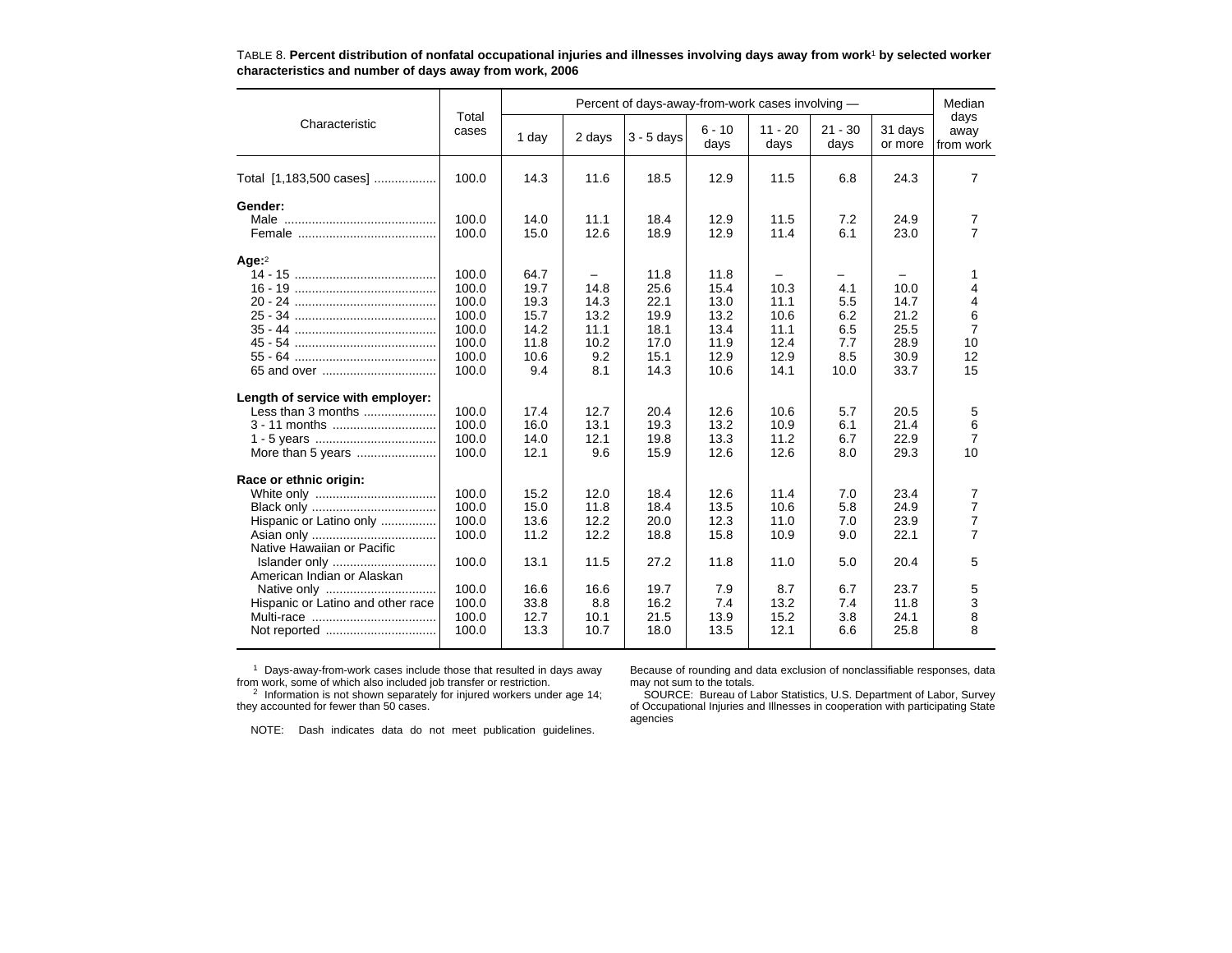|                                   |                |       |        | Percent of days-away-from-work cases involving - |                  |                   |                   |                    | Median                    |
|-----------------------------------|----------------|-------|--------|--------------------------------------------------|------------------|-------------------|-------------------|--------------------|---------------------------|
| Characteristic                    | Total<br>cases | 1 day | 2 days | $3 - 5$ days                                     | $6 - 10$<br>days | $11 - 20$<br>days | $21 - 30$<br>days | 31 days<br>or more | days<br>away<br>from work |
| Total [1,183,500 cases]           | 100.0          | 14.3  | 11.6   | 18.5                                             | 12.9             | 11.5              | 6.8               | 24.3               | $\overline{7}$            |
| Gender:                           |                |       |        |                                                  |                  |                   |                   |                    |                           |
|                                   | 100.0          | 14.0  | 11.1   | 18.4                                             | 12.9             | 11.5              | 7.2               | 24.9               | $\overline{7}$            |
|                                   | 100.0          | 15.0  | 12.6   | 18.9                                             | 12.9             | 11.4              | 6.1               | 23.0               | $\overline{7}$            |
| Age: $2$                          |                |       |        |                                                  |                  |                   |                   |                    |                           |
|                                   | 100.0          | 64.7  |        | 11.8                                             | 11.8             |                   | -                 |                    | 1                         |
|                                   | 100.0          | 19.7  | 14.8   | 25.6                                             | 15.4             | 10.3              | 4.1               | 10.0               | 4                         |
|                                   | 100.0          | 19.3  | 14.3   | 22.1                                             | 13.0             | 11.1              | 5.5               | 14.7               | 4                         |
|                                   | 100.0          | 15.7  | 13.2   | 19.9                                             | 13.2             | 10.6              | 6.2               | 21.2               | 6                         |
|                                   | 100.0          | 14.2  | 11.1   | 18.1                                             | 13.4             | 11.1              | 6.5               | 25.5               | $\overline{7}$            |
|                                   | 100.0          | 11.8  | 10.2   | 17.0                                             | 11.9             | 12.4              | 7.7               | 28.9               | 10                        |
|                                   | 100.0          | 10.6  | 9.2    | 15.1                                             | 12.9             | 12.9              | 8.5               | 30.9               | 12                        |
|                                   | 100.0          | 9.4   | 8.1    | 14.3                                             | 10.6             | 14.1              | 10.0              | 33.7               | 15                        |
| Length of service with employer:  |                |       |        |                                                  |                  |                   |                   |                    |                           |
| Less than 3 months                | 100.0          | 17.4  | 12.7   | 20.4                                             | 12.6             | 10.6              | 5.7               | 20.5               | 5                         |
|                                   | 100.0          | 16.0  | 13.1   | 19.3                                             | 13.2             | 10.9              | 6.1               | 21.4               | 6                         |
|                                   | 100.0          | 14.0  | 12.1   | 19.8                                             | 13.3             | 11.2              | 6.7               | 22.9               | $\overline{7}$            |
| More than 5 years                 | 100.0          | 12.1  | 9.6    | 15.9                                             | 12.6             | 12.6              | 8.0               | 29.3               | 10                        |
| Race or ethnic origin:            |                |       |        |                                                  |                  |                   |                   |                    |                           |
|                                   | 100.0          | 15.2  | 12.0   | 18.4                                             | 12.6             | 11.4              | 7.0               | 23.4               | $\overline{7}$            |
|                                   | 100.0          | 15.0  | 11.8   | 18.4                                             | 13.5             | 10.6              | 5.8               | 24.9               | $\overline{7}$            |
| Hispanic or Latino only           | 100.0          | 13.6  | 12.2   | 20.0                                             | 12.3             | 11.0              | 7.0               | 23.9               | $\overline{7}$            |
|                                   | 100.0          | 11.2  | 12.2   | 18.8                                             | 15.8             | 10.9              | 9.0               | 22.1               | $\overline{7}$            |
| Native Hawaiian or Pacific        |                |       |        |                                                  |                  |                   |                   |                    |                           |
| Islander only                     | 100.0          | 13.1  | 11.5   | 27.2                                             | 11.8             | 11.0              | 5.0               | 20.4               | 5                         |
| American Indian or Alaskan        |                |       |        |                                                  |                  |                   |                   |                    |                           |
| Native only                       | 100.0          | 16.6  | 16.6   | 19.7                                             | 7.9              | 8.7               | 6.7               | 23.7               | 5                         |
| Hispanic or Latino and other race | 100.0          | 33.8  | 8.8    | 16.2                                             | 7.4              | 13.2              | 7.4               | 11.8               | 3                         |
|                                   | 100.0          | 12.7  | 10.1   | 21.5                                             | 13.9             | 15.2              | 3.8               | 24.1               | 8                         |
| Not reported                      | 100.0          | 13.3  | 10.7   | 18.0                                             | 13.5             | 12.1              | 6.6               | 25.8               | 8                         |

TABLE 8. **Percent distribution of nonfatal occupational injuries and illnesses involving days away from work**1 **by selected worker characteristics and number of days away from work, 2006**

<sup>1</sup> Days-away-from-work cases include those that resulted in days away from work, some of which also included job transfer or restriction.<br><sup>2</sup> Information is not shown separately for injured workers under age 14;

Because of rounding and data exclusion of nonclassifiable responses, data

they accounted for fewer than 50 cases.

may not sum to the totals. SOURCE: Bureau of Labor Statistics, U.S. Department of Labor, Survey

NOTE: Dash indicates data do not meet publication guidelines.

of Occupational Injuries and Illnesses in cooperation with participating State agencies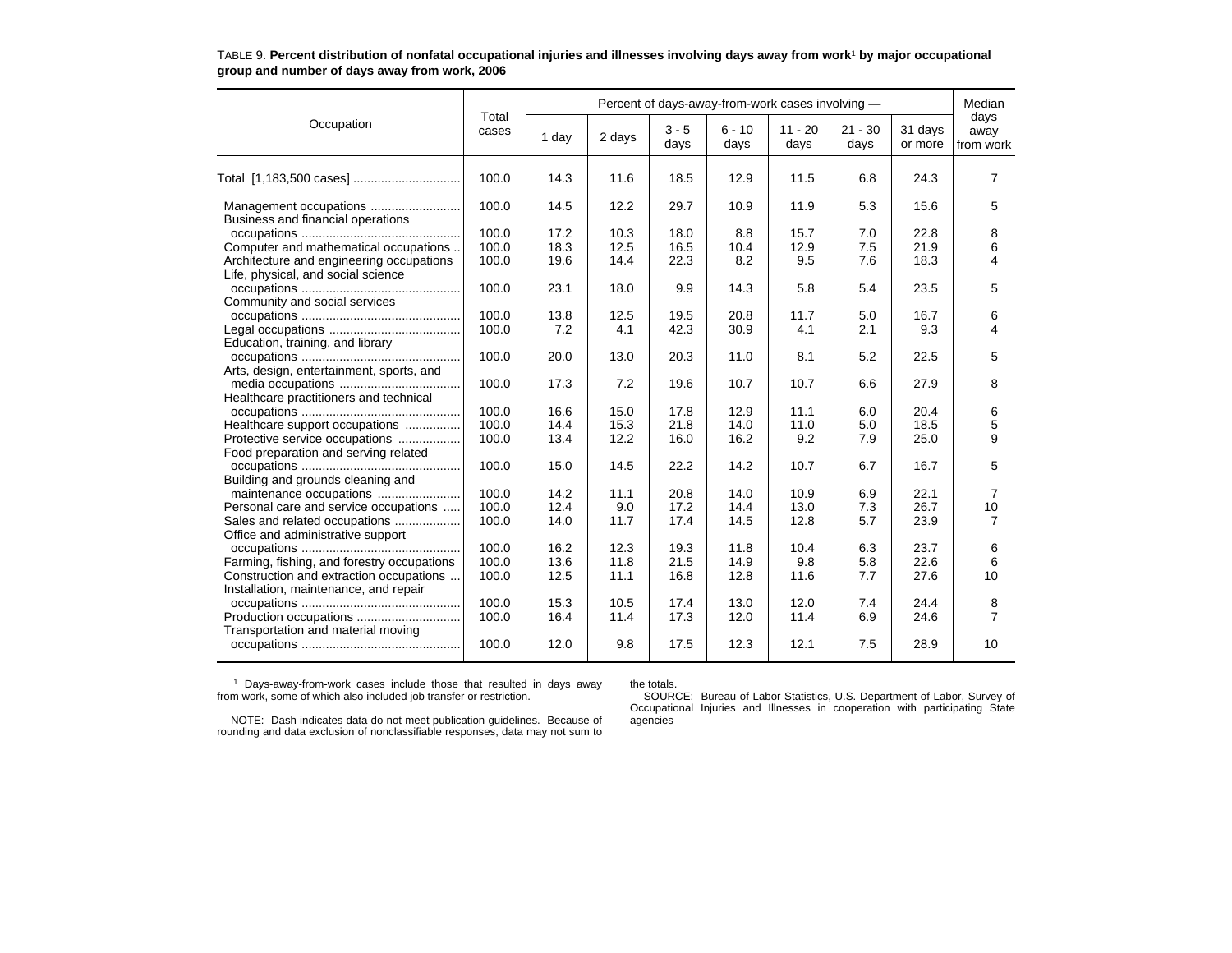|                                                             |                |       |        |                 |                  | Percent of days-away-from-work cases involving - |                   |                    | Median                    |
|-------------------------------------------------------------|----------------|-------|--------|-----------------|------------------|--------------------------------------------------|-------------------|--------------------|---------------------------|
| Occupation                                                  | Total<br>cases | 1 day | 2 days | $3 - 5$<br>days | $6 - 10$<br>days | $11 - 20$<br>days                                | $21 - 30$<br>days | 31 days<br>or more | days<br>away<br>from work |
| Total [1,183,500 cases]                                     | 100.0          | 14.3  | 11.6   | 18.5            | 12.9             | 11.5                                             | 6.8               | 24.3               | 7                         |
| Management occupations<br>Business and financial operations | 100.0          | 14.5  | 12.2   | 29.7            | 10.9             | 11.9                                             | 5.3               | 15.6               | 5                         |
|                                                             | 100.0          | 17.2  | 10.3   | 18.0            | 8.8              | 15.7                                             | 7.0               | 22.8               | 8                         |
| Computer and mathematical occupations                       | 100.0          | 18.3  | 12.5   | 16.5            | 10.4             | 12.9                                             | 7.5               | 21.9               | 6                         |
| Architecture and engineering occupations                    | 100.0          | 19.6  | 14.4   | 22.3            | 8.2              | 9.5                                              | 7.6               | 18.3               | 4                         |
| Life, physical, and social science                          |                |       |        |                 |                  |                                                  |                   |                    |                           |
|                                                             | 100.0          | 23.1  | 18.0   | 9.9             | 14.3             | 5.8                                              | 5.4               | 23.5               | 5                         |
| Community and social services                               |                |       |        |                 |                  |                                                  |                   |                    |                           |
|                                                             | 100.0          | 13.8  | 12.5   | 19.5            | 20.8             | 11.7                                             | 5.0               | 16.7               | 6                         |
|                                                             | 100.0          | 7.2   | 4.1    | 42.3            | 30.9             | 4.1                                              | 2.1               | 9.3                | 4                         |
| Education, training, and library                            |                |       |        |                 |                  |                                                  |                   |                    |                           |
|                                                             | 100.0          | 20.0  | 13.0   | 20.3            | 11.0             | 8.1                                              | 5.2               | 22.5               | 5                         |
| Arts, design, entertainment, sports, and                    |                |       |        |                 |                  |                                                  |                   |                    |                           |
|                                                             | 100.0          | 17.3  | 7.2    | 19.6            | 10.7             | 10.7                                             | 6.6               | 27.9               | 8                         |
| Healthcare practitioners and technical                      |                |       |        |                 |                  |                                                  |                   |                    |                           |
|                                                             | 100.0          | 16.6  | 15.0   | 17.8            | 12.9             | 11.1                                             | 6.0               | 20.4               | 6                         |
| Healthcare support occupations                              | 100.0          | 14.4  | 15.3   | 21.8            | 14.0             | 11.0                                             | 5.0               | 18.5               | 5                         |
| Protective service occupations                              | 100.0          | 13.4  | 12.2   | 16.0            | 16.2             | 9.2                                              | 7.9               | 25.0               | 9                         |
| Food preparation and serving related                        |                |       |        |                 |                  |                                                  |                   |                    |                           |
|                                                             | 100.0          | 15.0  | 14.5   | 22.2            | 14.2             | 10.7                                             | 6.7               | 16.7               | 5                         |
| Building and grounds cleaning and                           |                |       |        |                 |                  |                                                  |                   |                    |                           |
| maintenance occupations                                     | 100.0          | 14.2  | 11.1   | 20.8            | 14.0             | 10.9                                             | 6.9               | 22.1               | 7                         |
| Personal care and service occupations                       | 100.0          | 12.4  | 9.0    | 17.2            | 14.4             | 13.0                                             | 7.3               | 26.7               | 10                        |
| Sales and related occupations                               | 100.0          | 14.0  | 11.7   | 17.4            | 14.5             | 12.8                                             | 5.7               | 23.9               | 7                         |
| Office and administrative support                           |                |       |        |                 |                  |                                                  |                   |                    |                           |
|                                                             | 100.0          | 16.2  | 12.3   | 19.3            | 11.8             | 10.4                                             | 6.3               | 23.7               |                           |
|                                                             | 100.0          | 13.6  | 11.8   | 21.5            | 14.9             | 9.8                                              | 5.8               | 22.6               | 6<br>6                    |
| Farming, fishing, and forestry occupations                  | 100.0          | 12.5  |        | 16.8            | 12.8             |                                                  |                   | 27.6               | 10                        |
| Construction and extraction occupations                     |                |       | 11.1   |                 |                  | 11.6                                             | 7.7               |                    |                           |
| Installation, maintenance, and repair                       |                |       |        |                 |                  |                                                  |                   |                    |                           |
|                                                             | 100.0          | 15.3  | 10.5   | 17.4            | 13.0             | 12.0                                             | 7.4               | 24.4               | 8                         |
| Production occupations                                      | 100.0          | 16.4  | 11.4   | 17.3            | 12.0             | 11.4                                             | 6.9               | 24.6               | $\overline{7}$            |
| Transportation and material moving                          |                |       |        |                 |                  |                                                  |                   |                    |                           |
|                                                             | 100.0          | 12.0  | 9.8    | 17.5            | 12.3             | 12.1                                             | 7.5               | 28.9               | 10                        |

### TABLE 9. **Percent distribution of nonfatal occupational injuries and illnesses involving days away from work**1 **by major occupational group and number of days away from work, 2006**

1 Days-away-from-work cases include those that resulted in days away from work, some of which also included job transfer or restriction.

the totals.

 SOURCE: Bureau of Labor Statistics, U.S. Department of Labor, Survey of Occupational Injuries and Illnesses in cooperation with participating State agencies

NOTE: Dash indicates data do not meet publication guidelines. Because of rounding and data exclusion of nonclassifiable responses, data may not sum to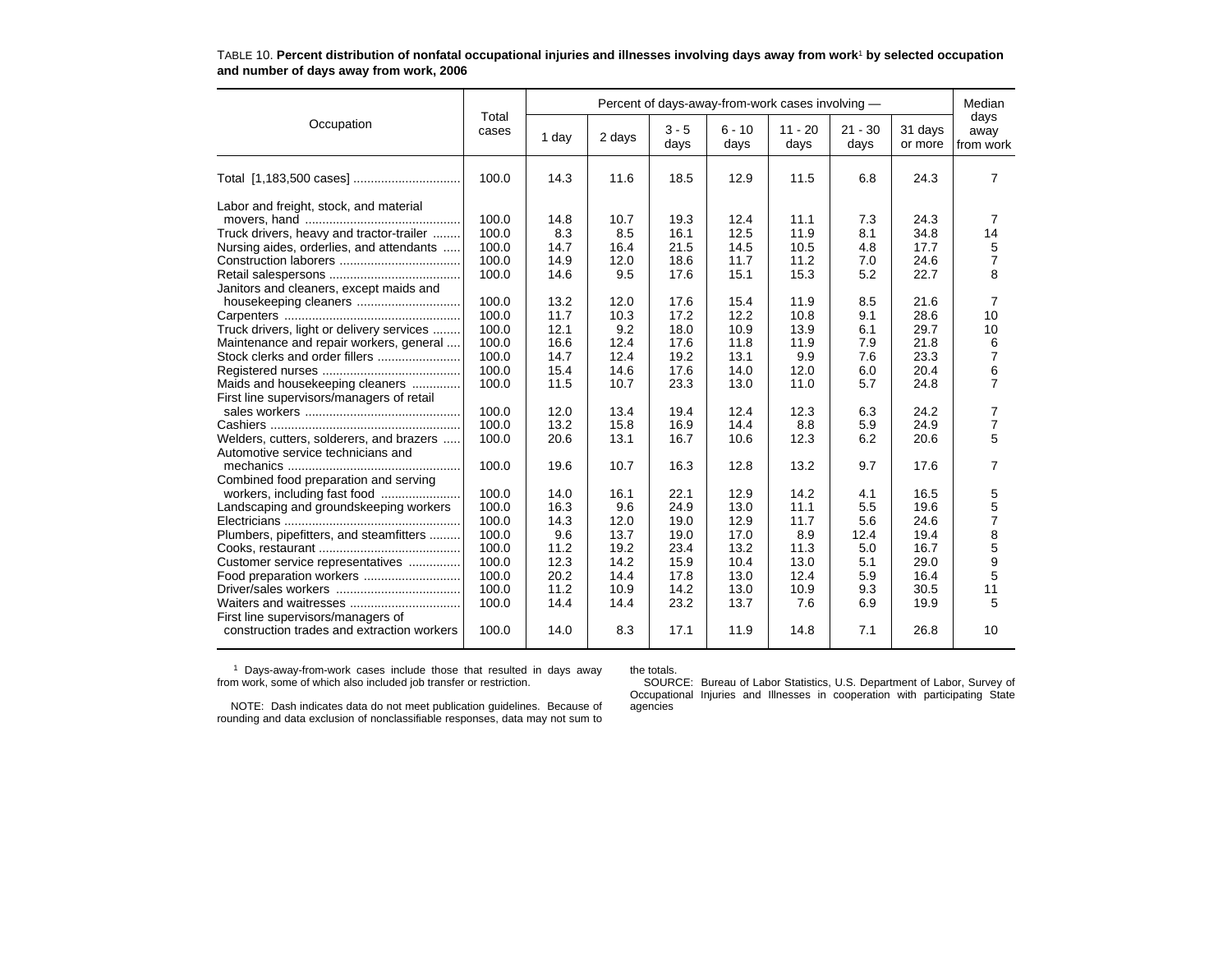|                                                                                                                                                                                                                                                                                                                                                                                                                                                                                                                                                                                                     |                                                                                                                                                                                  |                                                                                                                                                            |                                                                                                                                                          |                                                                                                                                                              |                                                                                                                                                              | Percent of days-away-from-work cases involving -                                                                                                          |                                                                                                                                           |                                                                                                                                                              | Median                                                                                                                                                               |
|-----------------------------------------------------------------------------------------------------------------------------------------------------------------------------------------------------------------------------------------------------------------------------------------------------------------------------------------------------------------------------------------------------------------------------------------------------------------------------------------------------------------------------------------------------------------------------------------------------|----------------------------------------------------------------------------------------------------------------------------------------------------------------------------------|------------------------------------------------------------------------------------------------------------------------------------------------------------|----------------------------------------------------------------------------------------------------------------------------------------------------------|--------------------------------------------------------------------------------------------------------------------------------------------------------------|--------------------------------------------------------------------------------------------------------------------------------------------------------------|-----------------------------------------------------------------------------------------------------------------------------------------------------------|-------------------------------------------------------------------------------------------------------------------------------------------|--------------------------------------------------------------------------------------------------------------------------------------------------------------|----------------------------------------------------------------------------------------------------------------------------------------------------------------------|
| Occupation                                                                                                                                                                                                                                                                                                                                                                                                                                                                                                                                                                                          | Total<br>cases                                                                                                                                                                   | 1 day                                                                                                                                                      | 2 days                                                                                                                                                   | $3 - 5$<br>days                                                                                                                                              | $6 - 10$<br>days                                                                                                                                             | $11 - 20$<br>days                                                                                                                                         | $21 - 30$<br>days                                                                                                                         | 31 days<br>or more                                                                                                                                           | days<br>away<br>from work                                                                                                                                            |
|                                                                                                                                                                                                                                                                                                                                                                                                                                                                                                                                                                                                     | 100.0                                                                                                                                                                            | 14.3                                                                                                                                                       | 11.6                                                                                                                                                     | 18.5                                                                                                                                                         | 12.9                                                                                                                                                         | 11.5                                                                                                                                                      | 6.8                                                                                                                                       | 24.3                                                                                                                                                         | $\overline{7}$                                                                                                                                                       |
| Labor and freight, stock, and material<br>Truck drivers, heavy and tractor-trailer<br>Nursing aides, orderlies, and attendants<br>Janitors and cleaners, except maids and<br>Truck drivers, light or delivery services<br>Maintenance and repair workers, general<br>Stock clerks and order fillers<br>Maids and housekeeping cleaners<br>First line supervisors/managers of retail<br>Welders, cutters, solderers, and brazers<br>Automotive service technicians and<br>Combined food preparation and serving<br>Landscaping and groundskeeping workers<br>Plumbers, pipefitters, and steamfitters | 100.0<br>100.0<br>100.0<br>100.0<br>100.0<br>100.0<br>100.0<br>100.0<br>100.0<br>100.0<br>100.0<br>100.0<br>100.0<br>100.0<br>100.0<br>100.0<br>100.0<br>100.0<br>100.0<br>100.0 | 14.8<br>8.3<br>14.7<br>14.9<br>14.6<br>13.2<br>11.7<br>12.1<br>16.6<br>14.7<br>15.4<br>11.5<br>12.0<br>13.2<br>20.6<br>19.6<br>14.0<br>16.3<br>14.3<br>9.6 | 10.7<br>8.5<br>16.4<br>12.0<br>9.5<br>12.0<br>10.3<br>9.2<br>12.4<br>12.4<br>14.6<br>10.7<br>13.4<br>15.8<br>13.1<br>10.7<br>16.1<br>9.6<br>12.0<br>13.7 | 19.3<br>16.1<br>21.5<br>18.6<br>17.6<br>17.6<br>17.2<br>18.0<br>17.6<br>19.2<br>17.6<br>23.3<br>19.4<br>16.9<br>16.7<br>16.3<br>22.1<br>24.9<br>19.0<br>19.0 | 12.4<br>12.5<br>14.5<br>11.7<br>15.1<br>15.4<br>12.2<br>10.9<br>11.8<br>13.1<br>14.0<br>13.0<br>12.4<br>14.4<br>10.6<br>12.8<br>12.9<br>13.0<br>12.9<br>17.0 | 11.1<br>11.9<br>10.5<br>11.2<br>15.3<br>11.9<br>10.8<br>13.9<br>11.9<br>9.9<br>12.0<br>11.0<br>12.3<br>8.8<br>12.3<br>13.2<br>14.2<br>11.1<br>11.7<br>8.9 | 7.3<br>8.1<br>4.8<br>7.0<br>5.2<br>8.5<br>9.1<br>6.1<br>7.9<br>7.6<br>6.0<br>5.7<br>6.3<br>5.9<br>6.2<br>9.7<br>4.1<br>5.5<br>5.6<br>12.4 | 24.3<br>34.8<br>17.7<br>24.6<br>22.7<br>21.6<br>28.6<br>29.7<br>21.8<br>23.3<br>20.4<br>24.8<br>24.2<br>24.9<br>20.6<br>17.6<br>16.5<br>19.6<br>24.6<br>19.4 | 7<br>14<br>5<br>$\overline{7}$<br>8<br>7<br>10<br>10<br>6<br>$\overline{7}$<br>6<br>$\overline{7}$<br>7<br>$\overline{7}$<br>5<br>7<br>5<br>5<br>$\overline{7}$<br>8 |
| Customer service representatives                                                                                                                                                                                                                                                                                                                                                                                                                                                                                                                                                                    | 100.0<br>100.0<br>100.0<br>100.0<br>100.0                                                                                                                                        | 11.2<br>12.3<br>20.2<br>11.2<br>14.4                                                                                                                       | 19.2<br>14.2<br>14.4<br>10.9<br>14.4                                                                                                                     | 23.4<br>15.9<br>17.8<br>14.2<br>23.2                                                                                                                         | 13.2<br>10.4<br>13.0<br>13.0<br>13.7                                                                                                                         | 11.3<br>13.0<br>12.4<br>10.9<br>7.6                                                                                                                       | 5.0<br>5.1<br>5.9<br>9.3<br>6.9                                                                                                           | 16.7<br>29.0<br>16.4<br>30.5<br>19.9                                                                                                                         | 5<br>9<br>5<br>11<br>5                                                                                                                                               |
| First line supervisors/managers of<br>construction trades and extraction workers                                                                                                                                                                                                                                                                                                                                                                                                                                                                                                                    | 100.0                                                                                                                                                                            | 14.0                                                                                                                                                       | 8.3                                                                                                                                                      | 17.1                                                                                                                                                         | 11.9                                                                                                                                                         | 14.8                                                                                                                                                      | 7.1                                                                                                                                       | 26.8                                                                                                                                                         | 10                                                                                                                                                                   |

#### TABLE 10. **Percent distribution of nonfatal occupational injuries and illnesses involving days away from work**1 **by selected occupation and number of days away from work, 2006**

1 Days-away-from-work cases include those that resulted in days away from work, some of which also included job transfer or restriction.

#### the totals.

SOURCE: Bureau of Labor Statistics, U.S. Department of Labor, Survey of Occupational Injuries and Illnesses in cooperation with participating State agencies

NOTE: Dash indicates data do not meet publication guidelines. Because of rounding and data exclusion of nonclassifiable responses, data may not sum to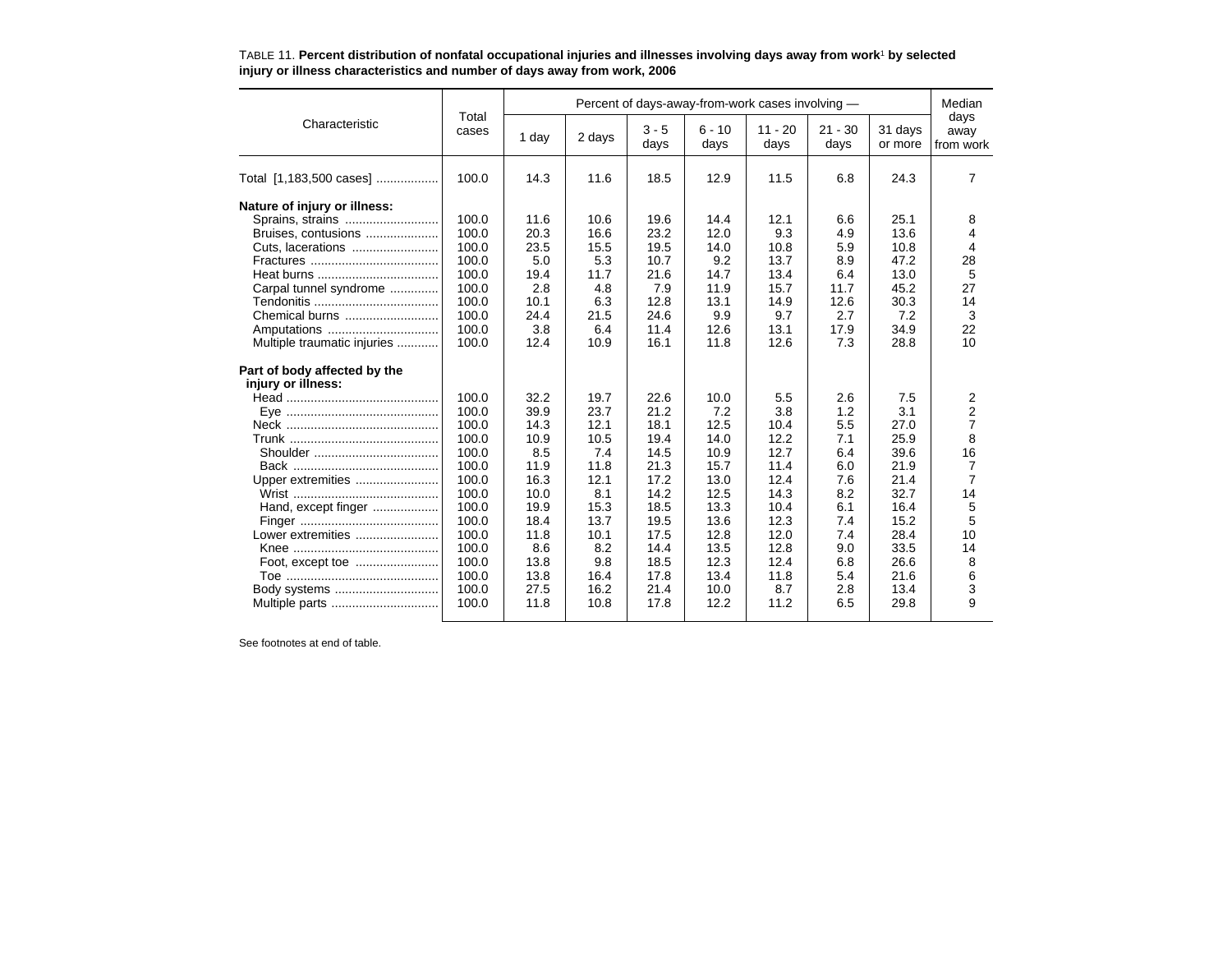|                              |                |       |        |                 | Percent of days-away-from-work cases involving - |                   |                   |                    | Median                    |
|------------------------------|----------------|-------|--------|-----------------|--------------------------------------------------|-------------------|-------------------|--------------------|---------------------------|
| Characteristic               | Total<br>cases | 1 day | 2 days | $3 - 5$<br>days | $6 - 10$<br>days                                 | $11 - 20$<br>days | $21 - 30$<br>days | 31 days<br>or more | days<br>away<br>from work |
| Total [1,183,500 cases]      | 100.0          | 14.3  | 11.6   | 18.5            | 12.9                                             | 11.5              | 6.8               | 24.3               | 7                         |
| Nature of injury or illness: |                |       |        |                 |                                                  |                   |                   |                    |                           |
|                              | 100.0          | 11.6  | 10.6   | 19.6            | 14.4                                             | 12.1              | 6.6               | 25.1               | 8                         |
| Bruises, contusions          | 100.0          | 20.3  | 16.6   | 23.2            | 12.0                                             | 9.3               | 4.9               | 13.6               | 4                         |
|                              | 100.0          | 23.5  | 15.5   | 19.5            | 14.0                                             | 10.8              | 5.9               | 10.8               | 4                         |
|                              | 100.0          | 5.0   | 5.3    | 10.7            | 9.2                                              | 13.7              | 8.9               | 47.2               | 28                        |
|                              | 100.0          | 19.4  | 11.7   | 21.6            | 14.7                                             | 13.4              | 6.4               | 13.0               | 5                         |
| Carpal tunnel syndrome       | 100.0          | 2.8   | 4.8    | 7.9             | 11.9                                             | 15.7              | 11.7              | 45.2               | 27                        |
|                              | 100.0          | 10.1  | 6.3    | 12.8            | 13.1                                             | 14.9              | 12.6              | 30.3               | 14                        |
| Chemical burns               | 100.0          | 24.4  | 21.5   | 24.6            | 9.9                                              | 9.7               | 2.7               | 7.2                | 3                         |
| Amputations                  | 100.0          | 3.8   | 6.4    | 11.4            | 12.6                                             | 13.1              | 17.9              | 34.9               | 22                        |
| Multiple traumatic injuries  | 100.0          | 12.4  | 10.9   | 16.1            | 11.8                                             | 12.6              | 7.3               | 28.8               | 10                        |
| Part of body affected by the |                |       |        |                 |                                                  |                   |                   |                    |                           |
| injury or illness:           |                |       |        |                 |                                                  |                   |                   |                    |                           |
|                              | 100.0          | 32.2  | 19.7   | 22.6            | 10.0                                             | 5.5               | 2.6               | 7.5                | 2                         |
|                              | 100.0          | 39.9  | 23.7   | 21.2            | 7.2                                              | 3.8               | 1.2               | 3.1                | $\overline{2}$            |
|                              | 100.0          | 14.3  | 12.1   | 18.1            | 12.5                                             | 10.4              | 5.5               | 27.0               | $\overline{7}$            |
|                              | 100.0          | 10.9  | 10.5   | 19.4            | 14.0                                             | 12.2              | 7.1               | 25.9               | 8                         |
|                              | 100.0          | 8.5   | 7.4    | 14.5            | 10.9                                             | 12.7              | 6.4               | 39.6               | 16                        |
|                              | 100.0          | 11.9  | 11.8   | 21.3            | 15.7                                             | 11.4              | 6.0               | 21.9               | 7                         |
| Upper extremities            | 100.0          | 16.3  | 12.1   | 17.2            | 13.0                                             | 12.4              | 7.6               | 21.4               | $\overline{7}$            |
|                              | 100.0          | 10.0  | 8.1    | 14.2            | 12.5                                             | 14.3              | 8.2               | 32.7               | 14                        |
| Hand, except finger          | 100.0          | 19.9  | 15.3   | 18.5            | 13.3                                             | 10.4              | 6.1               | 16.4               | 5                         |
|                              | 100.0          | 18.4  | 13.7   | 19.5            | 13.6                                             | 12.3              | 7.4               | 15.2               | 5                         |
| Lower extremities            | 100.0          | 11.8  | 10.1   | 17.5            | 12.8                                             | 12.0              | 7.4               | 28.4               | 10                        |
|                              | 100.0          | 8.6   | 8.2    | 14.4            | 13.5                                             | 12.8              | 9.0               | 33.5               | 14                        |
|                              | 100.0          | 13.8  | 9.8    | 18.5            | 12.3                                             | 12.4              | 6.8               | 26.6               | 8                         |
|                              | 100.0          | 13.8  | 16.4   | 17.8            | 13.4                                             | 11.8              | 5.4               | 21.6               | 6                         |
|                              | 100.0          | 27.5  | 16.2   | 21.4            | 10.0                                             | 8.7               | 2.8               | 13.4               | 3                         |
| Multiple parts               | 100.0          | 11.8  | 10.8   | 17.8            | 12.2                                             | 11.2              | 6.5               | 29.8               | 9                         |
|                              |                |       |        |                 |                                                  |                   |                   |                    |                           |

#### TABLE 11. **Percent distribution of nonfatal occupational injuries and illnesses involving days away from work**1 **by selected injury or illness characteristics and number of days away from work, 2006**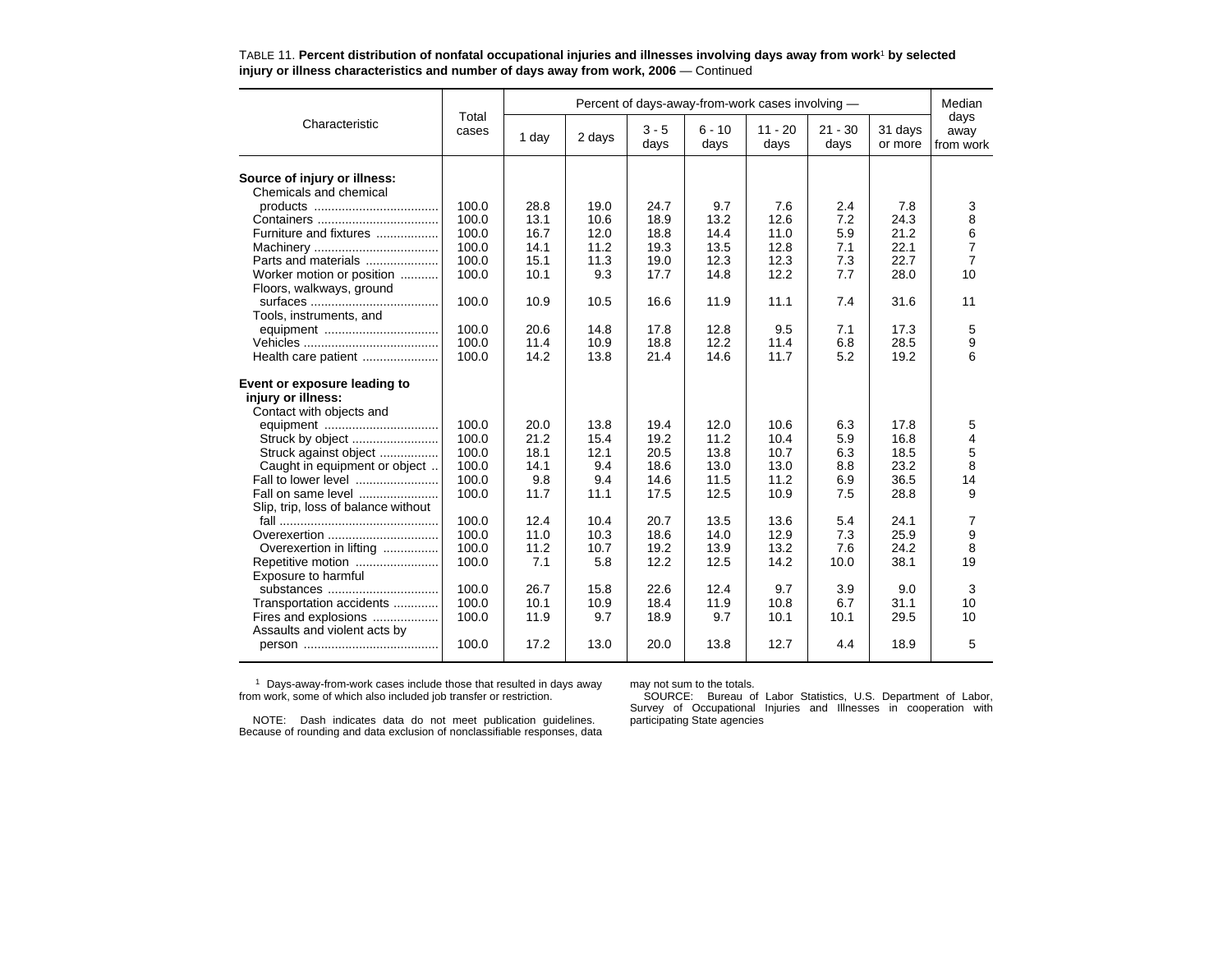|                                     | Total          |              |              |                 | Percent of days-away-from-work cases involving - |                   |                   |                    | Median                    |
|-------------------------------------|----------------|--------------|--------------|-----------------|--------------------------------------------------|-------------------|-------------------|--------------------|---------------------------|
| Characteristic                      | cases          | 1 day        | 2 days       | $3 - 5$<br>days | $6 - 10$<br>days                                 | $11 - 20$<br>days | $21 - 30$<br>days | 31 days<br>or more | days<br>away<br>from work |
|                                     |                |              |              |                 |                                                  |                   |                   |                    |                           |
| Source of injury or illness:        |                |              |              |                 |                                                  |                   |                   |                    |                           |
| Chemicals and chemical              |                |              |              |                 |                                                  |                   |                   |                    |                           |
|                                     | 100.0<br>100.0 | 28.8<br>13.1 | 19.0<br>10.6 | 24.7<br>18.9    | 9.7<br>13.2                                      | 7.6<br>12.6       | 2.4<br>7.2        | 7.8<br>24.3        | 3<br>8                    |
|                                     |                |              |              |                 |                                                  |                   |                   |                    |                           |
| Furniture and fixtures              | 100.0          | 16.7         | 12.0         | 18.8            | 14.4                                             | 11.0              | 5.9               | 21.2               | 6                         |
|                                     | 100.0          | 14.1         | 11.2         | 19.3            | 13.5                                             | 12.8              | 7.1               | 22.1               | 7                         |
| Parts and materials                 | 100.0          | 15.1         | 11.3         | 19.0            | 12.3                                             | 12.3              | 7.3               | 22.7               | $\overline{7}$            |
| Worker motion or position           | 100.0          | 10.1         | 9.3          | 17.7            | 14.8                                             | 12.2              | 7.7               | 28.0               | 10                        |
| Floors, walkways, ground            |                |              |              |                 |                                                  |                   |                   |                    |                           |
|                                     | 100.0          | 10.9         | 10.5         | 16.6            | 11.9                                             | 11.1              | 7.4               | 31.6               | 11                        |
| Tools, instruments, and             |                |              |              |                 |                                                  |                   |                   |                    |                           |
|                                     | 100.0          | 20.6         | 14.8         | 17.8            | 12.8                                             | 9.5               | 7.1               | 17.3               | 5                         |
|                                     | 100.0          | 11.4         | 10.9         | 18.8            | 12.2                                             | 11.4              | 6.8               | 28.5               | 9                         |
| Health care patient                 | 100.0          | 14.2         | 13.8         | 21.4            | 14.6                                             | 11.7              | 5.2               | 19.2               | 6                         |
| Event or exposure leading to        |                |              |              |                 |                                                  |                   |                   |                    |                           |
| injury or illness:                  |                |              |              |                 |                                                  |                   |                   |                    |                           |
| Contact with objects and            |                |              |              |                 |                                                  |                   |                   |                    |                           |
|                                     | 100.0          | 20.0         | 13.8         | 19.4            | 12.0                                             | 10.6              | 6.3               | 17.8               | 5                         |
| Struck by object                    | 100.0          | 21.2         | 15.4         | 19.2            | 11.2                                             | 10.4              | 5.9               | 16.8               | 4                         |
| Struck against object               | 100.0          | 18.1         | 12.1         | 20.5            | 13.8                                             | 10.7              | 6.3               | 18.5               | 5                         |
| Caught in equipment or object       | 100.0          | 14.1         | 9.4          | 18.6            | 13.0                                             | 13.0              | 8.8               | 23.2               | 8                         |
| Fall to lower level                 | 100.0          | 9.8          | 9.4          | 14.6            | 11.5                                             | 11.2              | 6.9               | 36.5               | 14                        |
| Fall on same level                  | 100.0          | 11.7         | 11.1         | 17.5            | 12.5                                             | 10.9              | 7.5               | 28.8               | 9                         |
| Slip, trip, loss of balance without |                |              |              |                 |                                                  |                   |                   |                    |                           |
|                                     | 100.0          | 12.4         | 10.4         | 20.7            | 13.5                                             | 13.6              | 5.4               | 24.1               |                           |
| Overexertion                        | 100.0          | 11.0         | 10.3         | 18.6            | 14.0                                             | 12.9              | 7.3               | 25.9               | 7<br>9                    |
|                                     | 100.0          |              |              |                 |                                                  |                   |                   |                    | 8                         |
| Overexertion in lifting             |                | 11.2<br>7.1  | 10.7         | 19.2<br>12.2    | 13.9                                             | 13.2<br>14.2      | 7.6               | 24.2<br>38.1       | 19                        |
| Repetitive motion                   | 100.0          |              | 5.8          |                 | 12.5                                             |                   | 10.0              |                    |                           |
| Exposure to harmful                 |                |              |              |                 |                                                  |                   |                   |                    |                           |
| substances                          | 100.0          | 26.7         | 15.8         | 22.6            | 12.4                                             | 9.7               | 3.9               | 9.0                | 3                         |
| Transportation accidents            | 100.0          | 10.1         | 10.9         | 18.4            | 11.9                                             | 10.8              | 6.7               | 31.1               | 10                        |
| Fires and explosions                | 100.0          | 11.9         | 9.7          | 18.9            | 9.7                                              | 10.1              | 10.1              | 29.5               | 10                        |
| Assaults and violent acts by        |                |              |              |                 |                                                  |                   |                   |                    |                           |
|                                     | 100.0          | 17.2         | 13.0         | 20.0            | 13.8                                             | 12.7              | 4.4               | 18.9               | 5                         |
|                                     |                |              |              |                 |                                                  |                   |                   |                    |                           |

TABLE 11. **Percent distribution of nonfatal occupational injuries and illnesses involving days away from work**1 **by selected injury or illness characteristics and number of days away from work, 2006** — Continued

1 Days-away-from-work cases include those that resulted in days away from work, some of which also included job transfer or restriction.

NOTE: Dash indicates data do not meet publication guidelines. Because of rounding and data exclusion of nonclassifiable responses, data may not sum to the totals.

SOURCE: Bureau of Labor Statistics, U.S. Department of Labor, Survey of Occupational Injuries and Illnesses in cooperation with participating State agencies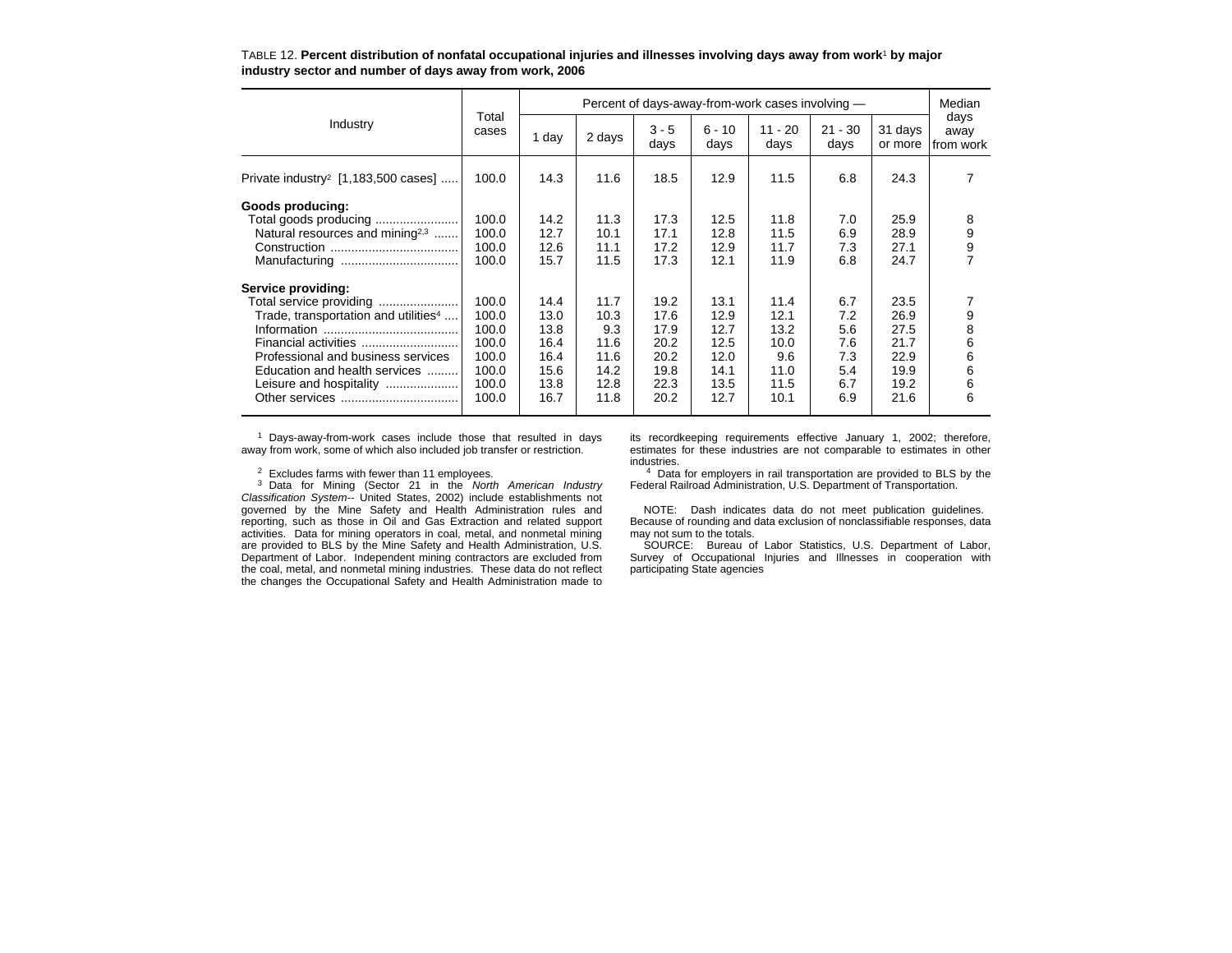|                                                                                                                                                                                               |                                                    |                                              |                                              |                                              |                                              | Percent of days-away-from-work cases involving - |                                        |                                              | Median                                               |
|-----------------------------------------------------------------------------------------------------------------------------------------------------------------------------------------------|----------------------------------------------------|----------------------------------------------|----------------------------------------------|----------------------------------------------|----------------------------------------------|--------------------------------------------------|----------------------------------------|----------------------------------------------|------------------------------------------------------|
| Industry                                                                                                                                                                                      | Total<br>cases                                     | 1 day                                        | 2 days                                       | $3 - 5$<br>days                              | $6 - 10$<br>days                             | $11 - 20$<br>days                                | $21 - 30$<br>days                      | 31 days<br>or more                           | days<br>away<br>from work                            |
| Private industry <sup>2</sup> [1,183,500 cases]                                                                                                                                               | 100.0                                              | 14.3                                         | 11.6                                         | 18.5                                         | 12.9                                         | 11.5                                             | 6.8                                    | 24.3                                         | 7                                                    |
| Goods producing:<br>Total goods producing<br>Natural resources and mining <sup>2,3</sup><br>Service providing:<br>Total service providing<br>Trade, transportation and utilities <sup>4</sup> | 100.0<br>100.0<br>100.0<br>100.0<br>100.0<br>100.0 | 14.2<br>12.7<br>12.6<br>15.7<br>14.4<br>13.0 | 11.3<br>10.1<br>11.1<br>11.5<br>11.7<br>10.3 | 17.3<br>17.1<br>17.2<br>17.3<br>19.2<br>17.6 | 12.5<br>12.8<br>12.9<br>12.1<br>13.1<br>12.9 | 11.8<br>11.5<br>11.7<br>11.9<br>11.4<br>12.1     | 7.0<br>6.9<br>7.3<br>6.8<br>6.7<br>7.2 | 25.9<br>28.9<br>27.1<br>24.7<br>23.5<br>26.9 | 8<br>$\begin{array}{c} 9 \\ 9 \\ 7 \end{array}$<br>9 |
| Financial activities<br>Professional and business services<br>Education and health services<br>Leisure and hospitality                                                                        | 100.0<br>100.0<br>100.0<br>100.0<br>100.0<br>100.0 | 13.8<br>16.4<br>16.4<br>15.6<br>13.8<br>16.7 | 9.3<br>11.6<br>11.6<br>14.2<br>12.8<br>11.8  | 17.9<br>20.2<br>20.2<br>19.8<br>22.3<br>20.2 | 12.7<br>12.5<br>12.0<br>14.1<br>13.5<br>12.7 | 13.2<br>10.0<br>9.6<br>11.0<br>11.5<br>10.1      | 5.6<br>7.6<br>7.3<br>5.4<br>6.7<br>6.9 | 27.5<br>21.7<br>22.9<br>19.9<br>19.2<br>21.6 | 8<br>6<br>6<br>6<br>6<br>6                           |

TABLE 12. **Percent distribution of nonfatal occupational injuries and illnesses involving days away from work**1 **by major industry sector and number of days away from work, 2006**

<sup>1</sup> Days-away-from-work cases include those that resulted in days away from work, some of which also included job transfer or restriction.

 $2$  Excludes farms with fewer than 11 employees.

3 Data for Mining (Sector 21 in the *North American Industry Classification System--* United States, 2002) include establishments not governed by the Mine Safety and Health Administration rules and reporting, such as those in Oil and Gas Extraction and related support activities. Data for mining operators in coal, metal, and nonmetal mining are provided to BLS by the Mine Safety and Health Administration, U.S. Department of Labor. Independent mining contractors are excluded from the coal, metal, and nonmetal mining industries. These data do not reflect the changes the Occupational Safety and Health Administration made to

its recordkeeping requirements effective January 1, 2002; therefore, estimates for these industries are not comparable to estimates in other industries.

<sup>4</sup> Data for employers in rail transportation are provided to BLS by the Federal Railroad Administration, U.S. Department of Transportation.

NOTE: Dash indicates data do not meet publication guidelines. Because of rounding and data exclusion of nonclassifiable responses, data may not sum to the totals.

SOURCE: Bureau of Labor Statistics, U.S. Department of Labor, Survey of Occupational Injuries and Illnesses in cooperation with participating State agencies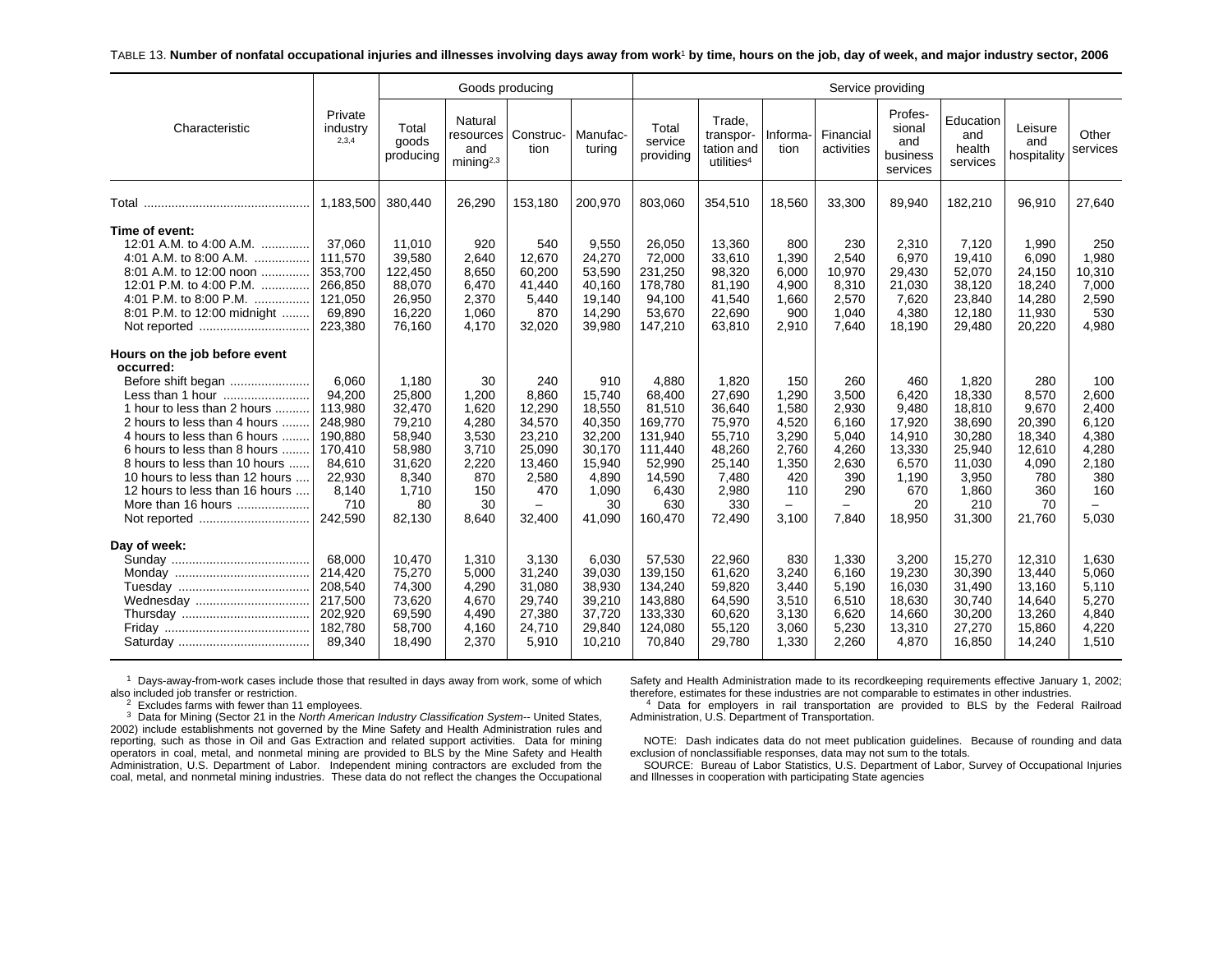#### TABLE 13. **Number of nonfatal occupational injuries and illnesses involving days away from work**1 **by time, hours on the job, day of week, and major industry sector, 2006**

|                                                                                                                                                                                                                                                                                                                            |                                                                                                            |                                                                                                     | Goods producing                                                                       |                                                                                                                      |                                                                                                   |                                                                                                           |                                                                                                      |                                                                                  | Service providing                                                                     |                                                                                              |                                                                                                      |                                                                                            |                                                                                  |
|----------------------------------------------------------------------------------------------------------------------------------------------------------------------------------------------------------------------------------------------------------------------------------------------------------------------------|------------------------------------------------------------------------------------------------------------|-----------------------------------------------------------------------------------------------------|---------------------------------------------------------------------------------------|----------------------------------------------------------------------------------------------------------------------|---------------------------------------------------------------------------------------------------|-----------------------------------------------------------------------------------------------------------|------------------------------------------------------------------------------------------------------|----------------------------------------------------------------------------------|---------------------------------------------------------------------------------------|----------------------------------------------------------------------------------------------|------------------------------------------------------------------------------------------------------|--------------------------------------------------------------------------------------------|----------------------------------------------------------------------------------|
| Characteristic                                                                                                                                                                                                                                                                                                             | Private<br>industry<br>2,3,4                                                                               | Total<br>goods<br>producing                                                                         | Natural<br>and<br>mining <sup>2,3</sup>                                               | resources   Construc-<br>tion                                                                                        | Manufac-<br>turing                                                                                | Total<br>service<br>providing                                                                             | Trade,<br>transpor-<br>tation and<br>utilities <sup>4</sup>                                          | Informa-<br>tion                                                                 | Financial<br>activities                                                               | Profes-<br>sional<br>and<br>business<br>services                                             | Education<br>and<br>health<br>services                                                               | Leisure<br>and<br>hospitality                                                              | Other<br>services                                                                |
|                                                                                                                                                                                                                                                                                                                            | 1.183.500                                                                                                  | 380,440                                                                                             | 26,290                                                                                | 153,180                                                                                                              | 200,970                                                                                           | 803,060                                                                                                   | 354,510                                                                                              | 18,560                                                                           | 33,300                                                                                | 89,940                                                                                       | 182,210                                                                                              | 96,910                                                                                     | 27,640                                                                           |
| Time of event:<br>12:01 A.M. to 4:00 A.M.<br>4:01 A.M. to 8:00 A.M.<br>8:01 A.M. to 12:00 noon<br>12:01 P.M. to 4:00 P.M.<br>4:01 P.M. to 8:00 P.M.<br>.<br>8:01 P.M. to 12:00 midnight<br>Not reported                                                                                                                    | 37,060<br>111.570<br>353,700<br>266,850<br>121,050<br>69,890<br>223,380                                    | 11,010<br>39,580<br>122,450<br>88,070<br>26,950<br>16,220<br>76,160                                 | 920<br>2,640<br>8,650<br>6,470<br>2,370<br>1,060<br>4.170                             | 540<br>12.670<br>60,200<br>41,440<br>5,440<br>870<br>32,020                                                          | 9,550<br>24,270<br>53,590<br>40,160<br>19,140<br>14,290<br>39,980                                 | 26,050<br>72,000<br>231,250<br>178,780<br>94,100<br>53,670<br>147,210                                     | 13,360<br>33,610<br>98,320<br>81,190<br>41,540<br>22,690<br>63,810                                   | 800<br>1,390<br>6,000<br>4,900<br>1,660<br>900<br>2,910                          | 230<br>2,540<br>10,970<br>8,310<br>2,570<br>1,040<br>7,640                            | 2,310<br>6,970<br>29,430<br>21,030<br>7,620<br>4,380<br>18,190                               | 7,120<br>19,410<br>52,070<br>38,120<br>23,840<br>12,180<br>29,480                                    | 1,990<br>6.090<br>24,150<br>18,240<br>14,280<br>11,930<br>20,220                           | 250<br>1,980<br>10,310<br>7,000<br>2,590<br>530<br>4,980                         |
| Hours on the job before event<br>occurred:<br>Before shift began<br>1 hour to less than 2 hours<br>2 hours to less than 4 hours<br>4 hours to less than 6 hours<br>6 hours to less than 8 hours<br>8 hours to less than 10 hours<br>10 hours to less than 12 hours<br>12 hours to less than 16 hours<br>More than 16 hours | 6.060<br>94,200<br>113,980<br>248,980<br>190,880<br>170,410<br>84.610<br>22,930<br>8,140<br>710<br>242,590 | 1,180<br>25,800<br>32,470<br>79,210<br>58,940<br>58,980<br>31,620<br>8,340<br>1,710<br>80<br>82,130 | 30<br>1.200<br>1,620<br>4,280<br>3,530<br>3,710<br>2,220<br>870<br>150<br>30<br>8,640 | 240<br>8.860<br>12,290<br>34,570<br>23,210<br>25,090<br>13.460<br>2,580<br>470<br>$\overline{\phantom{0}}$<br>32,400 | 910<br>15,740<br>18,550<br>40,350<br>32,200<br>30,170<br>15,940<br>4,890<br>1,090<br>30<br>41,090 | 4,880<br>68,400<br>81,510<br>169,770<br>131,940<br>111,440<br>52.990<br>14,590<br>6,430<br>630<br>160,470 | 1,820<br>27,690<br>36,640<br>75,970<br>55,710<br>48,260<br>25,140<br>7,480<br>2,980<br>330<br>72,490 | 150<br>1,290<br>1,580<br>4,520<br>3,290<br>2,760<br>1,350<br>420<br>110<br>3,100 | 260<br>3,500<br>2,930<br>6.160<br>5,040<br>4,260<br>2,630<br>390<br>290<br>-<br>7,840 | 460<br>6,420<br>9,480<br>17,920<br>14,910<br>13,330<br>6,570<br>1,190<br>670<br>20<br>18,950 | 1,820<br>18,330<br>18,810<br>38,690<br>30,280<br>25,940<br>11.030<br>3,950<br>1,860<br>210<br>31,300 | 280<br>8,570<br>9,670<br>20,390<br>18,340<br>12,610<br>4,090<br>780<br>360<br>70<br>21,760 | 100<br>2,600<br>2,400<br>6,120<br>4,380<br>4,280<br>2,180<br>380<br>160<br>5,030 |
| Day of week:<br>Wednesday                                                                                                                                                                                                                                                                                                  | 68.000<br>214,420<br>208,540<br>217,500<br>202,920<br>182,780<br>89,340                                    | 10,470<br>75,270<br>74,300<br>73,620<br>69,590<br>58,700<br>18,490                                  | 1,310<br>5,000<br>4,290<br>4,670<br>4,490<br>4,160<br>2,370                           | 3,130<br>31,240<br>31,080<br>29,740<br>27,380<br>24,710<br>5,910                                                     | 6,030<br>39,030<br>38,930<br>39,210<br>37,720<br>29,840<br>10,210                                 | 57,530<br>139,150<br>134,240<br>143,880<br>133,330<br>124,080<br>70,840                                   | 22.960<br>61,620<br>59,820<br>64,590<br>60,620<br>55,120<br>29,780                                   | 830<br>3,240<br>3,440<br>3,510<br>3,130<br>3,060<br>1,330                        | 1.330<br>6,160<br>5,190<br>6,510<br>6,620<br>5,230<br>2,260                           | 3,200<br>19,230<br>16,030<br>18,630<br>14,660<br>13,310<br>4,870                             | 15,270<br>30,390<br>31,490<br>30,740<br>30,200<br>27,270<br>16,850                                   | 12,310<br>13,440<br>13,160<br>14,640<br>13,260<br>15,860<br>14,240                         | 1,630<br>5,060<br>5,110<br>5,270<br>4,840<br>4,220<br>1,510                      |

 $1$  Days-away-from-work cases include those that resulted in days away from work, some of which also included job transfer or restriction.

 $2$  Excludes farms with fewer than 11 employees.

3 Data for Mining (Sector 21 in the *North American Industry Classification System--* United States, 2002) include establishments not governed by the Mine Safety and Health Administration rules and reporting, such as those in Oil and Gas Extraction and related support activities. Data for mining operators in coal, metal, and nonmetal mining are provided to BLS by the Mine Safety and Health Administration, U.S. Department of Labor. Independent mining contractors are excluded from the coal, metal, and nonmetal mining industries. These data do not reflect the changes the Occupational

Safety and Health Administration made to its recordkeeping requirements effective January 1, 2002; therefore, estimates for these industries are not comparable to estimates in other industries.

4 Data for employers in rail transportation are provided to BLS by the Federal Railroad Administration, U.S. Department of Transportation.

NOTE: Dash indicates data do not meet publication guidelines. Because of rounding and data exclusion of nonclassifiable responses, data may not sum to the totals.

SOURCE: Bureau of Labor Statistics, U.S. Department of Labor, Survey of Occupational Injuries and Illnesses in cooperation with participating State agencies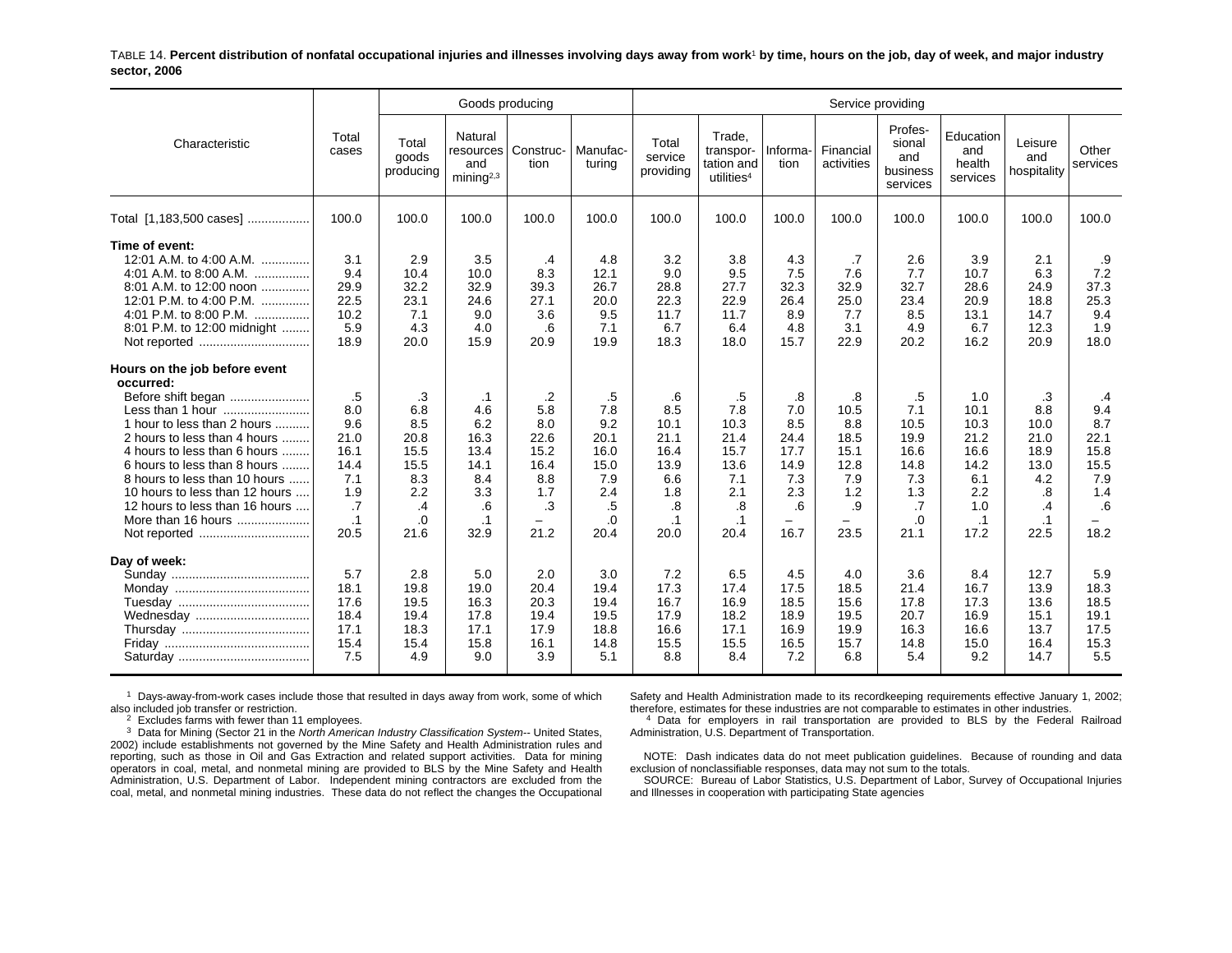TABLE 14. **Percent distribution of nonfatal occupational injuries and illnesses involving days away from work**1 **by time, hours on the job, day of week, and major industry sector, 2006**

|                                                                                                                                                                                                                                                                                                                                                                |                                                                                   |                                                                                 | Goods producing                                                                   |                                                                                         |                                                                            |                                                                                    |                                                                                    |                                                                      |                                                                       | Service providing                                                           |                                                                                       |                                                                                   |                                                                             |
|----------------------------------------------------------------------------------------------------------------------------------------------------------------------------------------------------------------------------------------------------------------------------------------------------------------------------------------------------------------|-----------------------------------------------------------------------------------|---------------------------------------------------------------------------------|-----------------------------------------------------------------------------------|-----------------------------------------------------------------------------------------|----------------------------------------------------------------------------|------------------------------------------------------------------------------------|------------------------------------------------------------------------------------|----------------------------------------------------------------------|-----------------------------------------------------------------------|-----------------------------------------------------------------------------|---------------------------------------------------------------------------------------|-----------------------------------------------------------------------------------|-----------------------------------------------------------------------------|
| Characteristic                                                                                                                                                                                                                                                                                                                                                 | Total<br>cases                                                                    | Total<br>goods<br>producing                                                     | Natural<br>resources<br>and<br>minin a <sup>2,3</sup>                             | Construc-<br>tion                                                                       | Manufac-<br>turing                                                         | Total<br>service<br>providing                                                      | Trade.<br>transpor-<br>tation and<br>utilities <sup>4</sup>                        | Informa-<br>tion                                                     | Financial<br>activities                                               | Profes-<br>sional<br>and<br>business<br>services                            | Education<br>and<br>health<br>services                                                | Leisure<br>and<br>hospitality                                                     | Other<br>services                                                           |
| Total [1,183,500 cases]                                                                                                                                                                                                                                                                                                                                        | 100.0                                                                             | 100.0                                                                           | 100.0                                                                             | 100.0                                                                                   | 100.0                                                                      | 100.0                                                                              | 100.0                                                                              | 100.0                                                                | 100.0                                                                 | 100.0                                                                       | 100.0                                                                                 | 100.0                                                                             | 100.0                                                                       |
| Time of event:<br>12:01 A.M. to 4:00 A.M.<br>4:01 A.M. to 8:00 A.M.<br>8:01 A.M. to 12:00 noon<br>12:01 P.M. to 4:00 P.M.<br>4:01 P.M. to 8:00 P.M.<br>.<br>8:01 P.M. to 12:00 midnight                                                                                                                                                                        | 3.1<br>9.4<br>29.9<br>22.5<br>10.2<br>5.9<br>18.9                                 | 2.9<br>10.4<br>32.2<br>23.1<br>7.1<br>4.3<br>20.0                               | 3.5<br>10.0<br>32.9<br>24.6<br>9.0<br>4.0<br>15.9                                 | .4<br>8.3<br>39.3<br>27.1<br>3.6<br>.6<br>20.9                                          | 4.8<br>12.1<br>26.7<br>20.0<br>9.5<br>7.1<br>19.9                          | 3.2<br>9.0<br>28.8<br>22.3<br>11.7<br>6.7<br>18.3                                  | 3.8<br>9.5<br>27.7<br>22.9<br>11.7<br>6.4<br>18.0                                  | 4.3<br>7.5<br>32.3<br>26.4<br>8.9<br>4.8<br>15.7                     | .7<br>7.6<br>32.9<br>25.0<br>7.7<br>3.1<br>22.9                       | 2.6<br>7.7<br>32.7<br>23.4<br>8.5<br>4.9<br>20.2                            | 3.9<br>10.7<br>28.6<br>20.9<br>13.1<br>6.7<br>16.2                                    | 2.1<br>6.3<br>24.9<br>18.8<br>14.7<br>12.3<br>20.9                                | .9<br>7.2<br>37.3<br>25.3<br>9.4<br>1.9<br>18.0                             |
| Hours on the job before event<br>occurred:<br>Before shift began<br>Less than 1 hour<br>1 hour to less than 2 hours<br>2 hours to less than 4 hours<br>4 hours to less than 6 hours<br>6 hours to less than 8 hours<br>8 hours to less than 10 hours<br>10 hours to less than 12 hours<br>12 hours to less than 16 hours<br>More than 16 hours<br>Not reported | .5<br>8.0<br>9.6<br>21.0<br>16.1<br>14.4<br>7.1<br>1.9<br>.7<br>$\cdot$ 1<br>20.5 | .3<br>6.8<br>8.5<br>20.8<br>15.5<br>15.5<br>8.3<br>2.2<br>$\cdot$<br>.0<br>21.6 | .1<br>4.6<br>6.2<br>16.3<br>13.4<br>14.1<br>8.4<br>3.3<br>.6<br>$\cdot$ 1<br>32.9 | .2<br>5.8<br>8.0<br>22.6<br>15.2<br>16.4<br>8.8<br>1.7<br>.3<br>$\qquad \qquad$<br>21.2 | .5<br>7.8<br>9.2<br>20.1<br>16.0<br>15.0<br>7.9<br>2.4<br>.5<br>.0<br>20.4 | .6<br>8.5<br>10.1<br>21.1<br>16.4<br>13.9<br>6.6<br>1.8<br>.8<br>$\cdot$ 1<br>20.0 | .5<br>7.8<br>10.3<br>21.4<br>15.7<br>13.6<br>7.1<br>2.1<br>.8<br>$\cdot$ 1<br>20.4 | .8<br>7.0<br>8.5<br>24.4<br>17.7<br>14.9<br>7.3<br>2.3<br>.6<br>16.7 | .8<br>10.5<br>8.8<br>18.5<br>15.1<br>12.8<br>7.9<br>1.2<br>.9<br>23.5 | .5<br>7.1<br>10.5<br>19.9<br>16.6<br>14.8<br>7.3<br>1.3<br>.7<br>.0<br>21.1 | 1.0<br>10.1<br>10.3<br>21.2<br>16.6<br>14.2<br>6.1<br>2.2<br>1.0<br>$\cdot$ 1<br>17.2 | .3<br>8.8<br>10.0<br>21.0<br>18.9<br>13.0<br>4.2<br>.8<br>.4<br>$\cdot$ 1<br>22.5 | .4<br>9.4<br>8.7<br>22.1<br>15.8<br>15.5<br>7.9<br>1.4<br>.6<br>$-$<br>18.2 |
| Day of week:<br>Wednesday                                                                                                                                                                                                                                                                                                                                      | 5.7<br>18.1<br>17.6<br>18.4<br>17.1<br>15.4<br>7.5                                | 2.8<br>19.8<br>19.5<br>19.4<br>18.3<br>15.4<br>4.9                              | 5.0<br>19.0<br>16.3<br>17.8<br>17.1<br>15.8<br>9.0                                | 2.0<br>20.4<br>20.3<br>19.4<br>17.9<br>16.1<br>3.9                                      | 3.0<br>19.4<br>19.4<br>19.5<br>18.8<br>14.8<br>5.1                         | 7.2<br>17.3<br>16.7<br>17.9<br>16.6<br>15.5<br>8.8                                 | 6.5<br>17.4<br>16.9<br>18.2<br>17.1<br>15.5<br>8.4                                 | 4.5<br>17.5<br>18.5<br>18.9<br>16.9<br>16.5<br>7.2                   | 4.0<br>18.5<br>15.6<br>19.5<br>19.9<br>15.7<br>6.8                    | 3.6<br>21.4<br>17.8<br>20.7<br>16.3<br>14.8<br>5.4                          | 8.4<br>16.7<br>17.3<br>16.9<br>16.6<br>15.0<br>9.2                                    | 12.7<br>13.9<br>13.6<br>15.1<br>13.7<br>16.4<br>14.7                              | 5.9<br>18.3<br>18.5<br>19.1<br>17.5<br>15.3<br>5.5                          |

 $1$  Days-away-from-work cases include those that resulted in days away from work, some of which also included job transfer or restriction.

 $2$  Excludes farms with fewer than 11 employees.

3 Data for Mining (Sector 21 in the *North American Industry Classification System--* United States, 2002) include establishments not governed by the Mine Safety and Health Administration rules and reporting, such as those in Oil and Gas Extraction and related support activities. Data for mining operators in coal, metal, and nonmetal mining are provided to BLS by the Mine Safety and Health Administration, U.S. Department of Labor. Independent mining contractors are excluded from the coal, metal, and nonmetal mining industries. These data do not reflect the changes the Occupational

Safety and Health Administration made to its recordkeeping requirements effective January 1, 2002; therefore, estimates for these industries are not comparable to estimates in other industries.

<sup>4</sup> Data for employers in rail transportation are provided to BLS by the Federal Railroad Administration, U.S. Department of Transportation.

NOTE: Dash indicates data do not meet publication guidelines. Because of rounding and data exclusion of nonclassifiable responses, data may not sum to the totals.

SOURCE: Bureau of Labor Statistics, U.S. Department of Labor, Survey of Occupational Injuries and Illnesses in cooperation with participating State agencies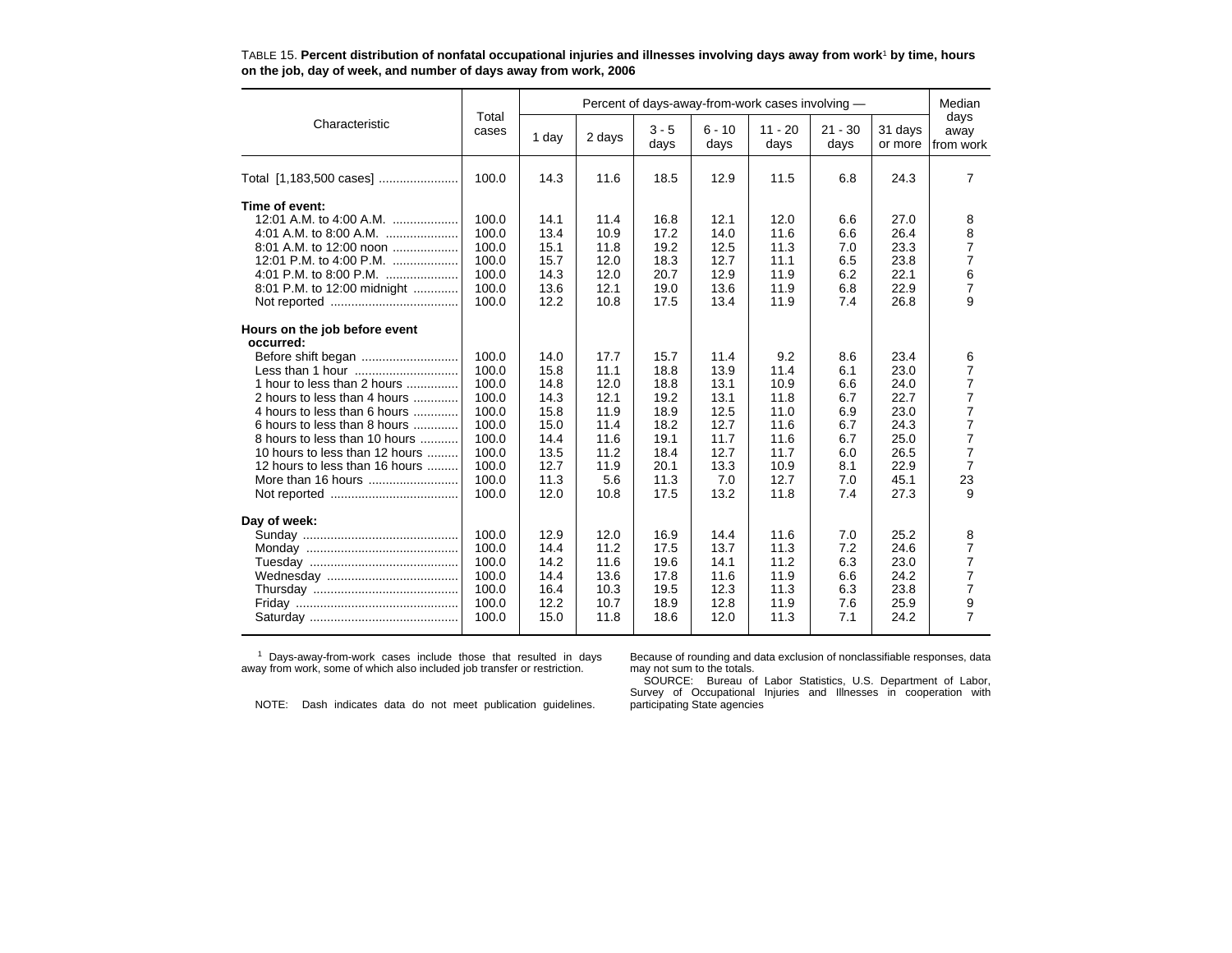|                                                                                                                                                                                                                                                                                            |                                                                                                 |                                                                                      |                                                                                      |                                                                                      |                                                                                      | Percent of days-away-from-work cases involving -                                    |                                                                           |                                                                                      | Median                                                                                                  |
|--------------------------------------------------------------------------------------------------------------------------------------------------------------------------------------------------------------------------------------------------------------------------------------------|-------------------------------------------------------------------------------------------------|--------------------------------------------------------------------------------------|--------------------------------------------------------------------------------------|--------------------------------------------------------------------------------------|--------------------------------------------------------------------------------------|-------------------------------------------------------------------------------------|---------------------------------------------------------------------------|--------------------------------------------------------------------------------------|---------------------------------------------------------------------------------------------------------|
| Characteristic                                                                                                                                                                                                                                                                             | Total<br>cases                                                                                  | 1 day                                                                                | 2 days                                                                               | $3 - 5$<br>days                                                                      | $6 - 10$<br>days                                                                     | $11 - 20$<br>days                                                                   | $21 - 30$<br>days                                                         | 31 days<br>or more                                                                   | days<br>away<br>from work                                                                               |
| Total [1,183,500 cases]                                                                                                                                                                                                                                                                    | 100.0                                                                                           | 14.3                                                                                 | 11.6                                                                                 | 18.5                                                                                 | 12.9                                                                                 | 11.5                                                                                | 6.8                                                                       | 24.3                                                                                 | 7                                                                                                       |
| Time of event:<br>12:01 A.M. to 4:00 A.M.<br>4:01 A.M. to 8:00 A.M.<br>8:01 A.M. to 12:00 noon<br>4:01 P.M. to 8:00 P.M.<br>8:01 P.M. to 12:00 midnight<br>Hours on the job before event<br>occurred:<br>Before shift began<br>1 hour to less than 2 hours<br>2 hours to less than 4 hours | 100.0<br>100.0<br>100.0<br>100.0<br>100.0<br>100.0<br>100.0<br>100.0<br>100.0<br>100.0<br>100.0 | 14.1<br>13.4<br>15.1<br>15.7<br>14.3<br>13.6<br>12.2<br>14.0<br>15.8<br>14.8<br>14.3 | 11.4<br>10.9<br>11.8<br>12.0<br>12.0<br>12.1<br>10.8<br>17.7<br>11.1<br>12.0<br>12.1 | 16.8<br>17.2<br>19.2<br>18.3<br>20.7<br>19.0<br>17.5<br>15.7<br>18.8<br>18.8<br>19.2 | 12.1<br>14.0<br>12.5<br>12.7<br>12.9<br>13.6<br>13.4<br>11.4<br>13.9<br>13.1<br>13.1 | 12.0<br>11.6<br>11.3<br>11.1<br>11.9<br>11.9<br>11.9<br>9.2<br>11.4<br>10.9<br>11.8 | 6.6<br>6.6<br>7.0<br>6.5<br>6.2<br>6.8<br>7.4<br>8.6<br>6.1<br>6.6<br>6.7 | 27.0<br>26.4<br>23.3<br>23.8<br>22.1<br>22.9<br>26.8<br>23.4<br>23.0<br>24.0<br>22.7 | 8<br>8<br>$\overline{7}$<br>$\overline{7}$<br>6<br>$\overline{7}$<br>9<br>6<br>7<br>7<br>$\overline{7}$ |
| 4 hours to less than 6 hours<br>6 hours to less than 8 hours<br>8 hours to less than 10 hours<br>10 hours to less than 12 hours<br>12 hours to less than 16 hours<br>More than 16 hours                                                                                                    | 100.0<br>100.0<br>100.0<br>100.0<br>100.0<br>100.0<br>100.0                                     | 15.8<br>15.0<br>14.4<br>13.5<br>12.7<br>11.3<br>12.0                                 | 11.9<br>11.4<br>11.6<br>11.2<br>11.9<br>5.6<br>10.8                                  | 18.9<br>18.2<br>19.1<br>18.4<br>20.1<br>11.3<br>17.5                                 | 12.5<br>12.7<br>11.7<br>12.7<br>13.3<br>7.0<br>13.2                                  | 11.0<br>11.6<br>11.6<br>11.7<br>10.9<br>12.7<br>11.8                                | 6.9<br>6.7<br>6.7<br>6.0<br>8.1<br>7.0<br>7.4                             | 23.0<br>24.3<br>25.0<br>26.5<br>22.9<br>45.1<br>27.3                                 | $\overline{7}$<br>7<br>$\overline{7}$<br>7<br>$\overline{7}$<br>23<br>9                                 |
| Day of week:                                                                                                                                                                                                                                                                               | 100.0<br>100.0<br>100.0<br>100.0<br>100.0<br>100.0<br>100.0                                     | 12.9<br>14.4<br>14.2<br>14.4<br>16.4<br>12.2<br>15.0                                 | 12.0<br>11.2<br>11.6<br>13.6<br>10.3<br>10.7<br>11.8                                 | 16.9<br>17.5<br>19.6<br>17.8<br>19.5<br>18.9<br>18.6                                 | 14.4<br>13.7<br>14.1<br>11.6<br>12.3<br>12.8<br>12.0                                 | 11.6<br>11.3<br>11.2<br>11.9<br>11.3<br>11.9<br>11.3                                | 7.0<br>7.2<br>6.3<br>6.6<br>6.3<br>7.6<br>7.1                             | 25.2<br>24.6<br>23.0<br>24.2<br>23.8<br>25.9<br>24.2                                 | 8<br>7<br>$\overline{7}$<br>7<br>$\overline{7}$<br>9<br>$\overline{7}$                                  |

TABLE 15. **Percent distribution of nonfatal occupational injuries and illnesses involving days away from work**1 **by time, hours on the job, day of week, and number of days away from work, 2006**

1 Days-away-from-work cases include those that resulted in days away from work, some of which also included job transfer or restriction.

Because of rounding and data exclusion of nonclassifiable responses, data may not sum to the totals.

NOTE: Dash indicates data do not meet publication guidelines.

SOURCE: Bureau of Labor Statistics, U.S. Department of Labor, Survey of Occupational Injuries and Illnesses in cooperation with participating State agencies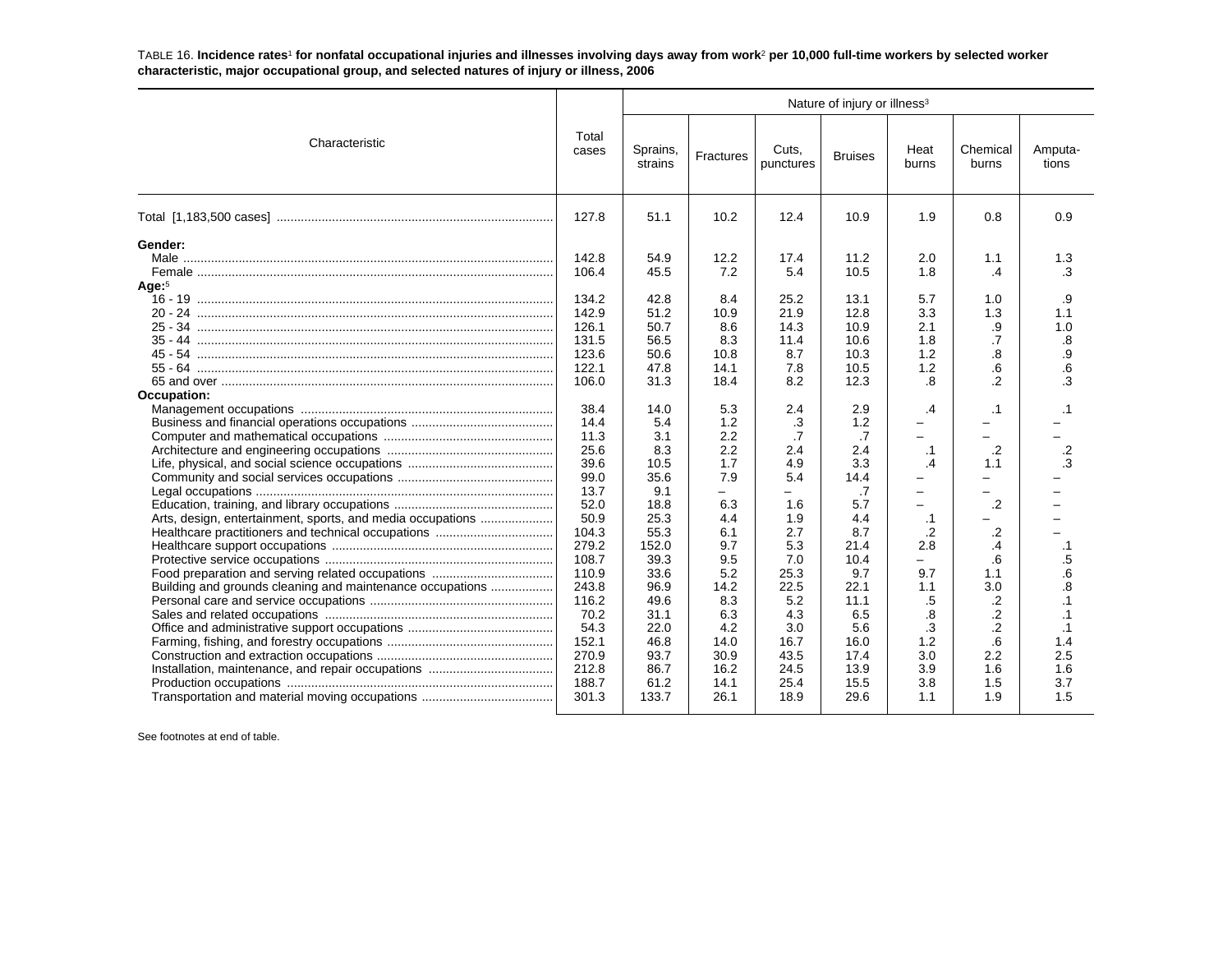TABLE 16. **Incidence rates**1 **for nonfatal occupational injuries and illnesses involving days away from work**2 **per 10,000 full-time workers by selected worker characteristic, major occupational group, and selected natures of injury or illness, 2006**

|                                                                                                                                                                                                             |                                                                                                                                                                                                                                                        |                                                                                                                                                                                                                                   |                                                                                                                                                                                                                |                                                                                                                                                                                                                                   | Nature of injury or illness <sup>3</sup>                                                                                                                                                                                            |                                                                                                                                                                                                                                                                     |                                                                                                                                                                                                                                                |                                                                                                                                                                               |
|-------------------------------------------------------------------------------------------------------------------------------------------------------------------------------------------------------------|--------------------------------------------------------------------------------------------------------------------------------------------------------------------------------------------------------------------------------------------------------|-----------------------------------------------------------------------------------------------------------------------------------------------------------------------------------------------------------------------------------|----------------------------------------------------------------------------------------------------------------------------------------------------------------------------------------------------------------|-----------------------------------------------------------------------------------------------------------------------------------------------------------------------------------------------------------------------------------|-------------------------------------------------------------------------------------------------------------------------------------------------------------------------------------------------------------------------------------|---------------------------------------------------------------------------------------------------------------------------------------------------------------------------------------------------------------------------------------------------------------------|------------------------------------------------------------------------------------------------------------------------------------------------------------------------------------------------------------------------------------------------|-------------------------------------------------------------------------------------------------------------------------------------------------------------------------------|
| Characteristic                                                                                                                                                                                              | Total<br>cases                                                                                                                                                                                                                                         | Sprains,<br>strains                                                                                                                                                                                                               | Fractures                                                                                                                                                                                                      | Cuts.<br>punctures                                                                                                                                                                                                                | <b>Bruises</b>                                                                                                                                                                                                                      | Heat<br>burns                                                                                                                                                                                                                                                       | Chemical<br>burns                                                                                                                                                                                                                              | Amputa-<br>tions                                                                                                                                                              |
|                                                                                                                                                                                                             | 127.8                                                                                                                                                                                                                                                  | 51.1                                                                                                                                                                                                                              | 10.2                                                                                                                                                                                                           | 12.4                                                                                                                                                                                                                              | 10.9                                                                                                                                                                                                                                | 1.9                                                                                                                                                                                                                                                                 | 0.8                                                                                                                                                                                                                                            | 0.9                                                                                                                                                                           |
| Gender:<br>Age: <sup>5</sup><br>$35 - 44$<br>$45 - 54$<br>55 - 64<br>Occupation:<br>Arts, design, entertainment, sports, and media occupations<br>Building and grounds cleaning and maintenance occupations | 142.8<br>106.4<br>134.2<br>142.9<br>126.1<br>131.5<br>123.6<br>122.1<br>106.0<br>38.4<br>14.4<br>11.3<br>25.6<br>39.6<br>99.0<br>13.7<br>52.0<br>50.9<br>104.3<br>279.2<br>108.7<br>110.9<br>243.8<br>116.2<br>70.2<br>54.3<br>152.1<br>270.9<br>212.8 | 54.9<br>45.5<br>42.8<br>51.2<br>50.7<br>56.5<br>50.6<br>47.8<br>31.3<br>14.0<br>5.4<br>3.1<br>8.3<br>10.5<br>35.6<br>9.1<br>18.8<br>25.3<br>55.3<br>152.0<br>39.3<br>33.6<br>96.9<br>49.6<br>31.1<br>22.0<br>46.8<br>93.7<br>86.7 | 12.2<br>7.2<br>8.4<br>10.9<br>8.6<br>8.3<br>10.8<br>14.1<br>18.4<br>5.3<br>1.2<br>2.2<br>2.2<br>1.7<br>7.9<br>-<br>6.3<br>4.4<br>6.1<br>9.7<br>9.5<br>5.2<br>14.2<br>8.3<br>6.3<br>4.2<br>14.0<br>30.9<br>16.2 | 17.4<br>5.4<br>25.2<br>21.9<br>14.3<br>11.4<br>8.7<br>7.8<br>8.2<br>2.4<br>.3<br>$\overline{.7}$<br>2.4<br>4.9<br>5.4<br>$\equiv$<br>1.6<br>1.9<br>2.7<br>5.3<br>7.0<br>25.3<br>22.5<br>5.2<br>4.3<br>3.0<br>16.7<br>43.5<br>24.5 | 11.2<br>10.5<br>13.1<br>12.8<br>10.9<br>10.6<br>10.3<br>10.5<br>12.3<br>2.9<br>1.2<br>$\overline{.7}$<br>2.4<br>3.3<br>14.4<br>.7<br>5.7<br>4.4<br>8.7<br>21.4<br>10.4<br>9.7<br>22.1<br>11.1<br>6.5<br>5.6<br>16.0<br>17.4<br>13.9 | 2.0<br>1.8<br>5.7<br>3.3<br>2.1<br>1.8<br>1.2<br>1.2<br>.8<br>.4<br>$\equiv$<br>$\equiv$<br>$\cdot$ 1<br>.4<br>$\equiv$<br>$\overline{\phantom{0}}$<br>$\cdot$ 1<br>$\cdot$<br>2.8<br>$\overline{\phantom{0}}$<br>9.7<br>1.1<br>.5<br>.8<br>.3<br>1.2<br>3.0<br>3.9 | 1.1<br>$\cdot$ 4<br>1.0<br>1.3<br>.9<br>.7<br>.8<br>.6<br>$\overline{2}$<br>$\cdot$ 1<br>-<br>-<br>$\cdot$<br>1.1<br>Ξ.<br>-<br>$\cdot$<br>$\cdot$<br>$\mathcal{A}$<br>.6<br>1.1<br>3.0<br>.2<br>$\overline{2}$<br>$\cdot$<br>.6<br>2.2<br>1.6 | 1.3<br>.3<br>.9<br>1.1<br>1.0<br>.8<br>.9<br>.6<br>.3<br>$\cdot$ 1<br>.2<br>.3<br>$\cdot$ 1<br>$.5\,$<br>.6<br>.8<br>$\cdot$ 1<br>$\cdot$ 1<br>$\cdot$ 1<br>1.4<br>2.5<br>1.6 |
|                                                                                                                                                                                                             | 188.7<br>301.3                                                                                                                                                                                                                                         | 61.2<br>133.7                                                                                                                                                                                                                     | 14.1<br>26.1                                                                                                                                                                                                   | 25.4<br>18.9                                                                                                                                                                                                                      | 15.5<br>29.6                                                                                                                                                                                                                        | 3.8<br>1.1                                                                                                                                                                                                                                                          | 1.5<br>1.9                                                                                                                                                                                                                                     | 3.7<br>1.5                                                                                                                                                                    |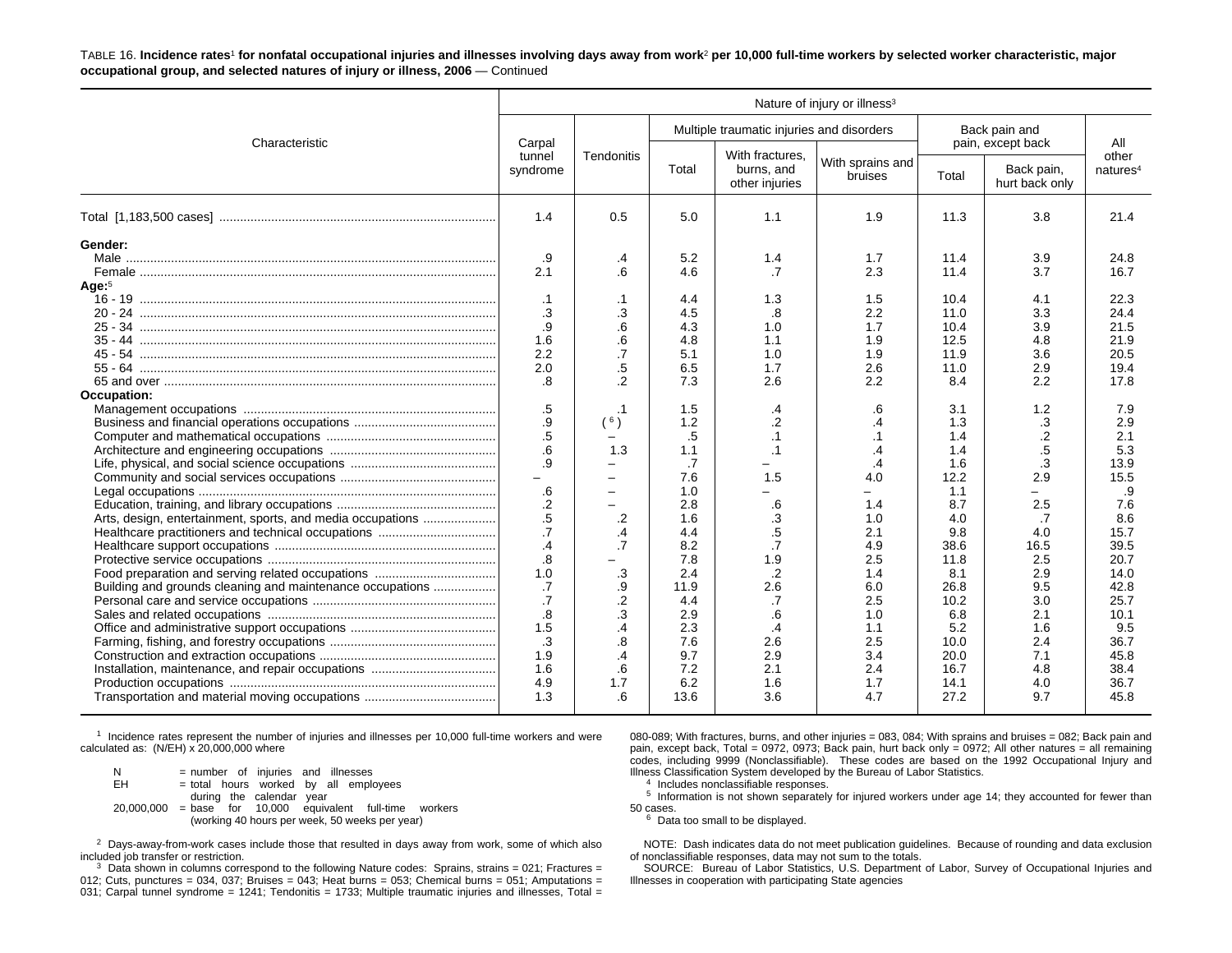TABLE 16. **Incidence rates**1 **for nonfatal occupational injuries and illnesses involving days away from work**2 **per 10,000 full-time workers by selected worker characteristic, major occupational group, and selected natures of injury or illness, 2006** — Continued

|                                                                                                                                                                       |                                                                                                                                                                                                                                                                    |                                                                                                                                                                                                                                                  |                                                                                                                                                                                                                           |                                                                                                                                                                                                                            | Nature of injury or illness <sup>3</sup>                                                                                                                                                                                                       |                                                                                                                                                                                                                                         |                                                                                                                                                                                                                        |                                                                                                                                                                                                                                             |
|-----------------------------------------------------------------------------------------------------------------------------------------------------------------------|--------------------------------------------------------------------------------------------------------------------------------------------------------------------------------------------------------------------------------------------------------------------|--------------------------------------------------------------------------------------------------------------------------------------------------------------------------------------------------------------------------------------------------|---------------------------------------------------------------------------------------------------------------------------------------------------------------------------------------------------------------------------|----------------------------------------------------------------------------------------------------------------------------------------------------------------------------------------------------------------------------|------------------------------------------------------------------------------------------------------------------------------------------------------------------------------------------------------------------------------------------------|-----------------------------------------------------------------------------------------------------------------------------------------------------------------------------------------------------------------------------------------|------------------------------------------------------------------------------------------------------------------------------------------------------------------------------------------------------------------------|---------------------------------------------------------------------------------------------------------------------------------------------------------------------------------------------------------------------------------------------|
| Characteristic                                                                                                                                                        | Carpal                                                                                                                                                                                                                                                             |                                                                                                                                                                                                                                                  |                                                                                                                                                                                                                           | Multiple traumatic injuries and disorders                                                                                                                                                                                  |                                                                                                                                                                                                                                                |                                                                                                                                                                                                                                         | Back pain and<br>pain, except back                                                                                                                                                                                     | All                                                                                                                                                                                                                                         |
|                                                                                                                                                                       | tunnel<br>syndrome                                                                                                                                                                                                                                                 | Tendonitis                                                                                                                                                                                                                                       | Total                                                                                                                                                                                                                     | With fractures,<br>burns, and<br>other injuries                                                                                                                                                                            | With sprains and<br>bruises                                                                                                                                                                                                                    | Total                                                                                                                                                                                                                                   | Back pain,<br>hurt back only                                                                                                                                                                                           | other<br>natures <sup>4</sup>                                                                                                                                                                                                               |
|                                                                                                                                                                       | 1.4                                                                                                                                                                                                                                                                | 0.5                                                                                                                                                                                                                                              | 5.0                                                                                                                                                                                                                       | 1.1                                                                                                                                                                                                                        | 1.9                                                                                                                                                                                                                                            | 11.3                                                                                                                                                                                                                                    | 3.8                                                                                                                                                                                                                    | 21.4                                                                                                                                                                                                                                        |
| Gender:<br>Age <sup>5</sup><br>Occupation:<br>Arts, design, entertainment, sports, and media occupations<br>Building and grounds cleaning and maintenance occupations | .9<br>2.1<br>$\cdot$ 1<br>.3<br>.9<br>1.6<br>2.2<br>2.0<br>.8<br>.5<br>$\cdot{9}$<br>.5<br>.6<br>.9<br>$\overline{\phantom{0}}$<br>.6<br>$\cdot$<br>$.5\,$<br>.7<br>$\cdot$<br>.8<br>1.0<br>.7<br>.7<br>$\boldsymbol{.8}$<br>1.5<br>.3<br>1.9<br>1.6<br>4.9<br>1.3 | $\cdot$<br>.6<br>.1<br>.3<br>.6<br>.6<br>.7<br>$.5\,$<br>$\overline{2}$<br>$\cdot$ 1<br>(6)<br>$\overline{\phantom{0}}$<br>1.3<br>$\overline{\phantom{m}}$<br>.2<br>.4<br>.7<br>$\cdot$ 3<br>.9<br>.2<br>3.<br>.4<br>8.<br>.4<br>.6<br>1.7<br>.6 | 5.2<br>4.6<br>4.4<br>4.5<br>4.3<br>4.8<br>5.1<br>6.5<br>7.3<br>1.5<br>1.2<br>$.5\,$<br>1.1<br>.7<br>7.6<br>1.0<br>2.8<br>1.6<br>4.4<br>8.2<br>7.8<br>2.4<br>11.9<br>4.4<br>2.9<br>2.3<br>7.6<br>9.7<br>7.2<br>6.2<br>13.6 | 1.4<br>.7<br>1.3<br>.8<br>1.0<br>1.1<br>1.0<br>1.7<br>2.6<br>.4<br>$\cdot$<br>$\cdot$ 1<br>$\cdot$ 1<br>1.5<br>.6<br>.3<br>$.5\,$<br>.7<br>1.9<br>$\cdot$<br>2.6<br>.7<br>.6<br>$\cdot$<br>2.6<br>2.9<br>2.1<br>1.6<br>3.6 | 1.7<br>2.3<br>1.5<br>2.2<br>1.7<br>1.9<br>1.9<br>2.6<br>2.2<br>.6<br>$\overline{.4}$<br>$\cdot$ 1<br>$\cdot$<br>$\overline{A}$<br>4.0<br>1.4<br>1.0<br>2.1<br>4.9<br>2.5<br>1.4<br>6.0<br>2.5<br>1.0<br>1.1<br>2.5<br>3.4<br>2.4<br>1.7<br>4.7 | 11.4<br>11.4<br>10.4<br>11.0<br>10.4<br>12.5<br>11.9<br>11.0<br>8.4<br>3.1<br>1.3<br>1.4<br>1.4<br>1.6<br>12.2<br>1.1<br>8.7<br>4.0<br>9.8<br>38.6<br>11.8<br>8.1<br>26.8<br>10.2<br>6.8<br>5.2<br>10.0<br>20.0<br>16.7<br>14.1<br>27.2 | 3.9<br>3.7<br>4.1<br>3.3<br>3.9<br>4.8<br>3.6<br>2.9<br>2.2<br>1.2<br>.3<br>$\cdot$ .2<br>$.5\,$<br>.3<br>2.9<br>2.5<br>.7<br>4.0<br>16.5<br>2.5<br>2.9<br>9.5<br>3.0<br>2.1<br>1.6<br>2.4<br>7.1<br>4.8<br>4.0<br>9.7 | 24.8<br>16.7<br>22.3<br>24.4<br>21.5<br>21.9<br>20.5<br>19.4<br>17.8<br>7.9<br>2.9<br>2.1<br>5.3<br>13.9<br>15.5<br>.9<br>7.6<br>8.6<br>15.7<br>39.5<br>20.7<br>14.0<br>42.8<br>25.7<br>10.1<br>9.5<br>36.7<br>45.8<br>38.4<br>36.7<br>45.8 |

1 Incidence rates represent the number of injuries and illnesses per 10,000 full-time workers and were calculated as: (N/EH) x 20,000,000 where

| N  | = number of injuries and illnesses                          |
|----|-------------------------------------------------------------|
| EH | = total hours worked by all employees                       |
|    | during the calendar year                                    |
|    | $20,000,000$ = base for 10,000 equivalent full-time workers |
|    | (working 40 hours per week, 50 weeks per year)              |

 $2$  Days-away-from-work cases include those that resulted in days away from work, some of which also included job transfer or restriction.

<sup>3</sup> Data shown in columns correspond to the following Nature codes: Sprains, strains = 021; Fractures = 012; Cuts, punctures = 034, 037; Bruises = 043; Heat burns = 053; Chemical burns = 051; Amputations = 031; Carpal tunnel syndrome = 1241; Tendonitis = 1733; Multiple traumatic injuries and illnesses, Total = 080-089; With fractures, burns, and other injuries = 083, 084; With sprains and bruises = 082; Back pain and pain, except back, Total = 0972, 0973; Back pain, hurt back only = 0972; All other natures = all remaining codes, including 9999 (Nonclassifiable). These codes are based on the 1992 Occupational Injury and Illness Classification System developed by the Bureau of Labor Statistics.

4 Includes nonclassifiable responses.

 $5$  Information is not shown separately for injured workers under age 14; they accounted for fewer than 50 cases.

 $6$  Data too small to be displayed.

NOTE: Dash indicates data do not meet publication guidelines. Because of rounding and data exclusion of nonclassifiable responses, data may not sum to the totals.

SOURCE: Bureau of Labor Statistics, U.S. Department of Labor, Survey of Occupational Injuries and Illnesses in cooperation with participating State agencies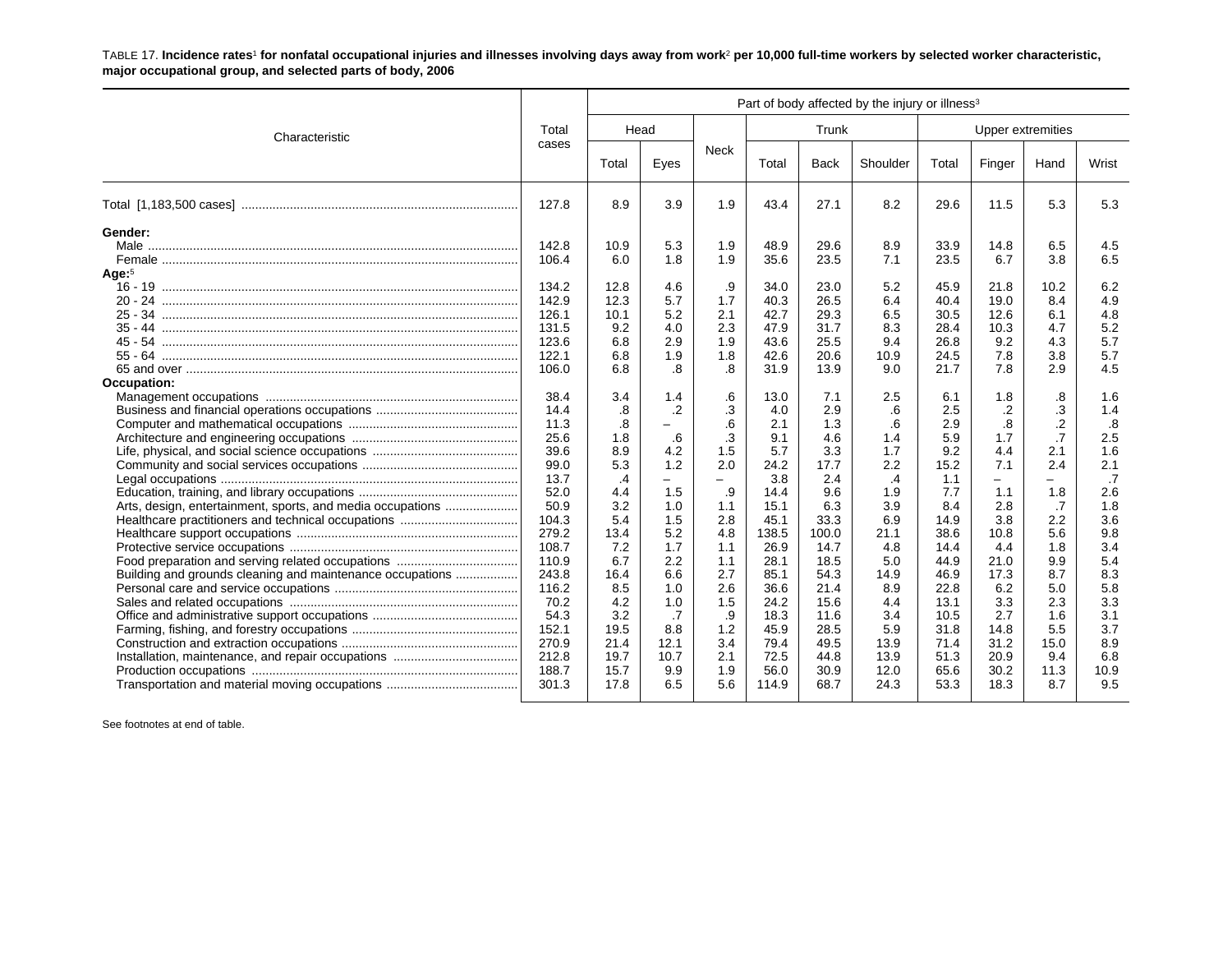TABLE 17. **Incidence rates**1 **for nonfatal occupational injuries and illnesses involving days away from work**2 **per 10,000 full-time workers by selected worker characteristic, major occupational group, and selected parts of body, 2006**

| Head<br>Eyes                                                                                                                   | Neck                                                                                                                             |                                                                                                                                                          | Trunk                                                                                                                                                 |                                                                                                                                           |                                                                                                                                                      |                                                                                                                                                   |                                                                                                                                                      |                                                                                                                                                |  |
|--------------------------------------------------------------------------------------------------------------------------------|----------------------------------------------------------------------------------------------------------------------------------|----------------------------------------------------------------------------------------------------------------------------------------------------------|-------------------------------------------------------------------------------------------------------------------------------------------------------|-------------------------------------------------------------------------------------------------------------------------------------------|------------------------------------------------------------------------------------------------------------------------------------------------------|---------------------------------------------------------------------------------------------------------------------------------------------------|------------------------------------------------------------------------------------------------------------------------------------------------------|------------------------------------------------------------------------------------------------------------------------------------------------|--|
|                                                                                                                                |                                                                                                                                  |                                                                                                                                                          |                                                                                                                                                       |                                                                                                                                           |                                                                                                                                                      |                                                                                                                                                   | Upper extremities                                                                                                                                    |                                                                                                                                                |  |
|                                                                                                                                |                                                                                                                                  | Total                                                                                                                                                    | <b>Back</b>                                                                                                                                           | Shoulder                                                                                                                                  | Total                                                                                                                                                | Finger                                                                                                                                            | Hand                                                                                                                                                 | Wrist                                                                                                                                          |  |
| 3.9                                                                                                                            | 1.9                                                                                                                              | 43.4                                                                                                                                                     | 27.1                                                                                                                                                  | 8.2                                                                                                                                       | 29.6                                                                                                                                                 | 11.5                                                                                                                                              | 5.3                                                                                                                                                  | 5.3                                                                                                                                            |  |
| 5.3<br>1.8<br>4.6<br>5.7                                                                                                       | 1.9<br>1.9<br>.9<br>1.7                                                                                                          | 48.9<br>35.6<br>34.0<br>40.3                                                                                                                             | 29.6<br>23.5<br>23.0<br>26.5                                                                                                                          | 8.9<br>7.1<br>5.2<br>6.4                                                                                                                  | 33.9<br>23.5<br>45.9<br>40.4                                                                                                                         | 14.8<br>6.7<br>21.8<br>19.0                                                                                                                       | 6.5<br>3.8<br>10.2<br>8.4                                                                                                                            | 4.5<br>6.5<br>6.2<br>4.9                                                                                                                       |  |
| 4.0<br>2.9<br>1.9<br>.8                                                                                                        | 2.3<br>1.9<br>1.8<br>.8                                                                                                          | 47.9<br>43.6<br>42.6<br>31.9                                                                                                                             | 31.7<br>25.5<br>20.6<br>13.9                                                                                                                          | 8.3<br>9.4<br>10.9<br>9.0                                                                                                                 | 28.4<br>26.8<br>24.5<br>21.7                                                                                                                         | 10.3<br>9.2<br>7.8<br>7.8                                                                                                                         | 4.7<br>4.3<br>3.8<br>2.9                                                                                                                             | 4.8<br>5.2<br>5.7<br>5.7<br>4.5                                                                                                                |  |
| 1.4<br>$\cdot$<br>.6<br>4.2<br>1.2<br>1.5<br>1.0<br>1.5<br>5.2<br>1.7<br>2.2<br>6.6<br>1.0<br>1.0<br>.7<br>8.8<br>12.1<br>10.7 | .6<br>.3<br>.6<br>.3<br>1.5<br>2.0<br>-<br>.9<br>1.1<br>2.8<br>4.8<br>1.1<br>1.1<br>2.7<br>2.6<br>1.5<br>.9<br>1.2<br>3.4<br>2.1 | 13.0<br>4.0<br>2.1<br>9.1<br>5.7<br>24.2<br>3.8<br>14.4<br>15.1<br>45.1<br>138.5<br>26.9<br>28.1<br>85.1<br>36.6<br>24.2<br>18.3<br>45.9<br>79.4<br>72.5 | 7.1<br>2.9<br>1.3<br>4.6<br>3.3<br>17.7<br>2.4<br>9.6<br>6.3<br>33.3<br>100.0<br>14.7<br>18.5<br>54.3<br>21.4<br>15.6<br>11.6<br>28.5<br>49.5<br>44.8 | 2.5<br>.6<br>.6<br>1.4<br>1.7<br>2.2<br>.4<br>1.9<br>3.9<br>6.9<br>21.1<br>4.8<br>5.0<br>14.9<br>8.9<br>4.4<br>3.4<br>5.9<br>13.9<br>13.9 | 6.1<br>2.5<br>2.9<br>5.9<br>9.2<br>15.2<br>1.1<br>7.7<br>8.4<br>14.9<br>38.6<br>14.4<br>44.9<br>46.9<br>22.8<br>13.1<br>10.5<br>31.8<br>71.4<br>51.3 | 1.8<br>$\cdot$<br>.8<br>1.7<br>4.4<br>7.1<br>$-$<br>1.1<br>2.8<br>3.8<br>10.8<br>4.4<br>21.0<br>17.3<br>6.2<br>3.3<br>2.7<br>14.8<br>31.2<br>20.9 | .8<br>.3<br>$\cdot$<br>$\overline{.7}$<br>2.1<br>2.4<br>-<br>1.8<br>.7<br>2.2<br>5.6<br>1.8<br>9.9<br>8.7<br>5.0<br>2.3<br>1.6<br>5.5<br>15.0<br>9.4 | 1.6<br>1.4<br>.8<br>2.5<br>1.6<br>2.1<br>.7<br>2.6<br>1.8<br>3.6<br>9.8<br>3.4<br>5.4<br>8.3<br>5.8<br>3.3<br>3.1<br>3.7<br>8.9<br>6.8<br>10.9 |  |
|                                                                                                                                | 5.2<br>9.9<br>6.5                                                                                                                | 2.1<br>1.9<br>5.6                                                                                                                                        | 42.7<br>56.0<br>114.9                                                                                                                                 | 29.3<br>30.9<br>68.7                                                                                                                      | 6.5<br>12.0<br>24.3                                                                                                                                  | 30.5<br>65.6<br>53.3                                                                                                                              | 12.6<br>30.2<br>18.3                                                                                                                                 | 6.1<br>11.3<br>8.7                                                                                                                             |  |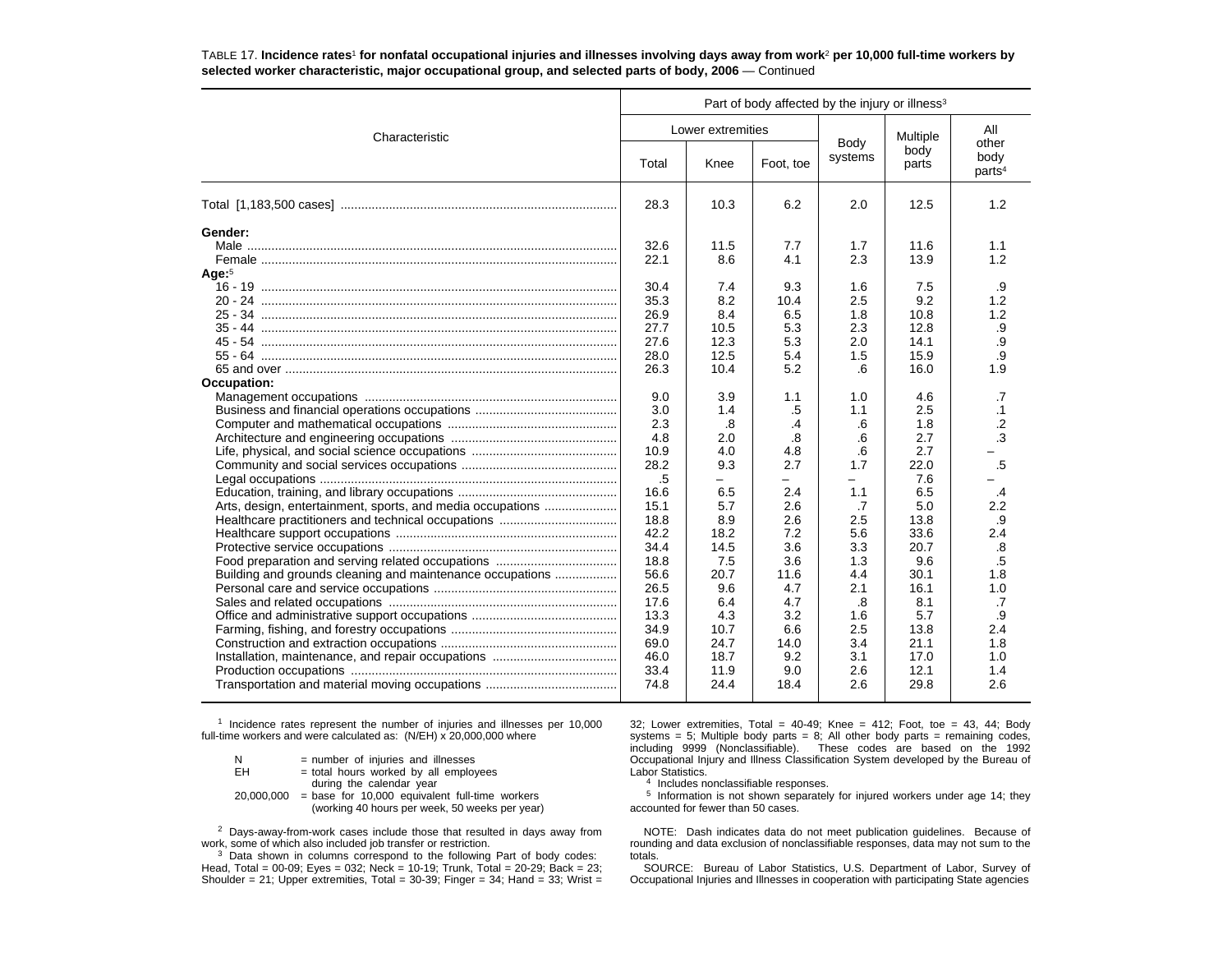|                                                            | Part of body affected by the injury or illness <sup>3</sup> |                   |            |            |               |                            |  |  |  |
|------------------------------------------------------------|-------------------------------------------------------------|-------------------|------------|------------|---------------|----------------------------|--|--|--|
| Characteristic                                             |                                                             | Lower extremities |            | Body       | Multiple      | All<br>other               |  |  |  |
|                                                            | Total                                                       | Knee              | Foot, toe  | systems    | body<br>parts | body<br>parts <sup>4</sup> |  |  |  |
|                                                            | 28.3                                                        | 10.3              | 6.2        | 2.0        | 12.5          | 1.2                        |  |  |  |
| Gender:                                                    |                                                             |                   |            |            |               |                            |  |  |  |
|                                                            | 32.6                                                        | 11.5              | 7.7        | 1.7        | 11.6          | 1.1                        |  |  |  |
|                                                            | 22.1                                                        | 8.6               | 4.1        | 2.3        | 13.9          | 1.2                        |  |  |  |
| Age <sup>5</sup>                                           |                                                             |                   |            |            |               |                            |  |  |  |
|                                                            | 30.4                                                        | 7.4               | 9.3        | 1.6        | 7.5           | .9                         |  |  |  |
|                                                            | 35.3                                                        | 8.2               | 10.4       | 2.5        | 9.2           | 1.2                        |  |  |  |
|                                                            | 26.9                                                        | 8.4               | 6.5        | 1.8        | 10.8          | 1.2                        |  |  |  |
|                                                            | 27.7<br>27.6                                                | 10.5<br>12.3      | 5.3<br>5.3 | 2.3<br>2.0 | 12.8<br>14.1  | .9<br>.9                   |  |  |  |
|                                                            | 28.0                                                        | 12.5              | 5.4        | 1.5        | 15.9          | .9                         |  |  |  |
|                                                            | 26.3                                                        | 10.4              | 5.2        | .6         | 16.0          | 1.9                        |  |  |  |
| Occupation:                                                |                                                             |                   |            |            |               |                            |  |  |  |
|                                                            | 9.0                                                         | 3.9               | 1.1        | 1.0        | 4.6           | .7                         |  |  |  |
|                                                            | 3.0                                                         | 1.4               | .5         | 1.1        | 2.5           | $\cdot$ 1                  |  |  |  |
|                                                            | 2.3                                                         | .8                | .4         | .6         | 1.8           | $\cdot$ .2                 |  |  |  |
|                                                            | 4.8                                                         | 2.0               | .8         | .6         | 2.7           | $\cdot$ 3                  |  |  |  |
|                                                            | 10.9                                                        | 4.0               | 4.8        | .6         | 2.7           |                            |  |  |  |
|                                                            | 28.2                                                        | 9.3               | 2.7        | 1.7        | 22.0          | .5                         |  |  |  |
|                                                            | .5                                                          |                   | $\equiv$   |            | 7.6           |                            |  |  |  |
|                                                            | 16.6                                                        | 6.5               | 2.4        | 1.1        | 6.5           | $\cdot$                    |  |  |  |
| Arts, design, entertainment, sports, and media occupations | 15.1                                                        | 5.7               | 2.6        | .7         | 5.0           | 2.2                        |  |  |  |
|                                                            | 18.8                                                        | 8.9               | 2.6        | 2.5        | 13.8          | .9                         |  |  |  |
|                                                            | 42.2                                                        | 18.2              | 7.2        | 5.6        | 33.6          | 2.4                        |  |  |  |
|                                                            | 34.4                                                        | 14.5              | 3.6        | 3.3        | 20.7          | .8                         |  |  |  |
|                                                            | 18.8                                                        | 7.5               | 3.6        | 1.3        | 9.6           | .5                         |  |  |  |
| Building and grounds cleaning and maintenance occupations  | 56.6                                                        | 20.7              | 11.6       | 4.4        | 30.1          | 1.8                        |  |  |  |
|                                                            | 26.5                                                        | 9.6               | 4.7        | 2.1        | 16.1          | 1.0                        |  |  |  |
|                                                            | 17.6                                                        | 6.4               | 4.7        | .8         | 8.1           | .7                         |  |  |  |
|                                                            | 13.3                                                        | 4.3               | 3.2        | 1.6        | 5.7           | .9                         |  |  |  |
|                                                            | 34.9                                                        | 10.7              | 6.6        | 2.5        | 13.8          | 2.4                        |  |  |  |
|                                                            | 69.0                                                        | 24.7              | 14.0       | 3.4        | 21.1          | 1.8                        |  |  |  |
|                                                            | 46.0                                                        | 18.7              | 9.2        | 3.1        | 17.0          | 1.0                        |  |  |  |
|                                                            | 33.4                                                        | 11.9              | 9.0        | 2.6        | 12.1          | 1.4                        |  |  |  |
|                                                            | 74.8                                                        | 24.4              | 18.4       | 2.6        | 29.8          | 2.6                        |  |  |  |

TABLE 17. **Incidence rates**1 **for nonfatal occupational injuries and illnesses involving days away from work**2 **per 10,000 full-time workers by selected worker characteristic, major occupational group, and selected parts of body, 2006** — Continued

<sup>1</sup> Incidence rates represent the number of injuries and illnesses per 10,000 full-time workers and were calculated as: (N/EH) x 20,000,000 where

| = number of injuries and illnesses               |
|--------------------------------------------------|
| = total hours worked by all employees            |
| during the calendar year                         |
| $=$ base for 10,000 equivalent full-time workers |
| (working 40 hours per week, 50 weeks per year)   |
|                                                  |

<sup>2</sup> Days-away-from-work cases include those that resulted in days away from work, some of which also included job transfer or restriction.

<sup>3</sup> Data shown in columns correspond to the following Part of body codes: Head, Total = 00-09; Eyes = 032; Neck = 10-19; Trunk, Total = 20-29; Back = 23; Shoulder = 21; Upper extremities, Total =  $30-39$ ; Finger =  $34$ ; Hand =  $33$ ; Wrist = 32; Lower extremities, Total = 40-49; Knee = 412; Foot, toe = 43, 44; Body systems = 5; Multiple body parts =  $8$ ; All other body parts = remaining codes, including 9999 (Nonclassifiable). These codes are based on the 1992 Occupational Injury and Illness Classification System developed by the Bureau of Labor Statistics.

4 Includes nonclassifiable responses.

<sup>5</sup> Information is not shown separately for injured workers under age 14; they accounted for fewer than 50 cases.

NOTE: Dash indicates data do not meet publication guidelines. Because of rounding and data exclusion of nonclassifiable responses, data may not sum to the totals.

 SOURCE: Bureau of Labor Statistics, U.S. Department of Labor, Survey of Occupational Injuries and Illnesses in cooperation with participating State agencies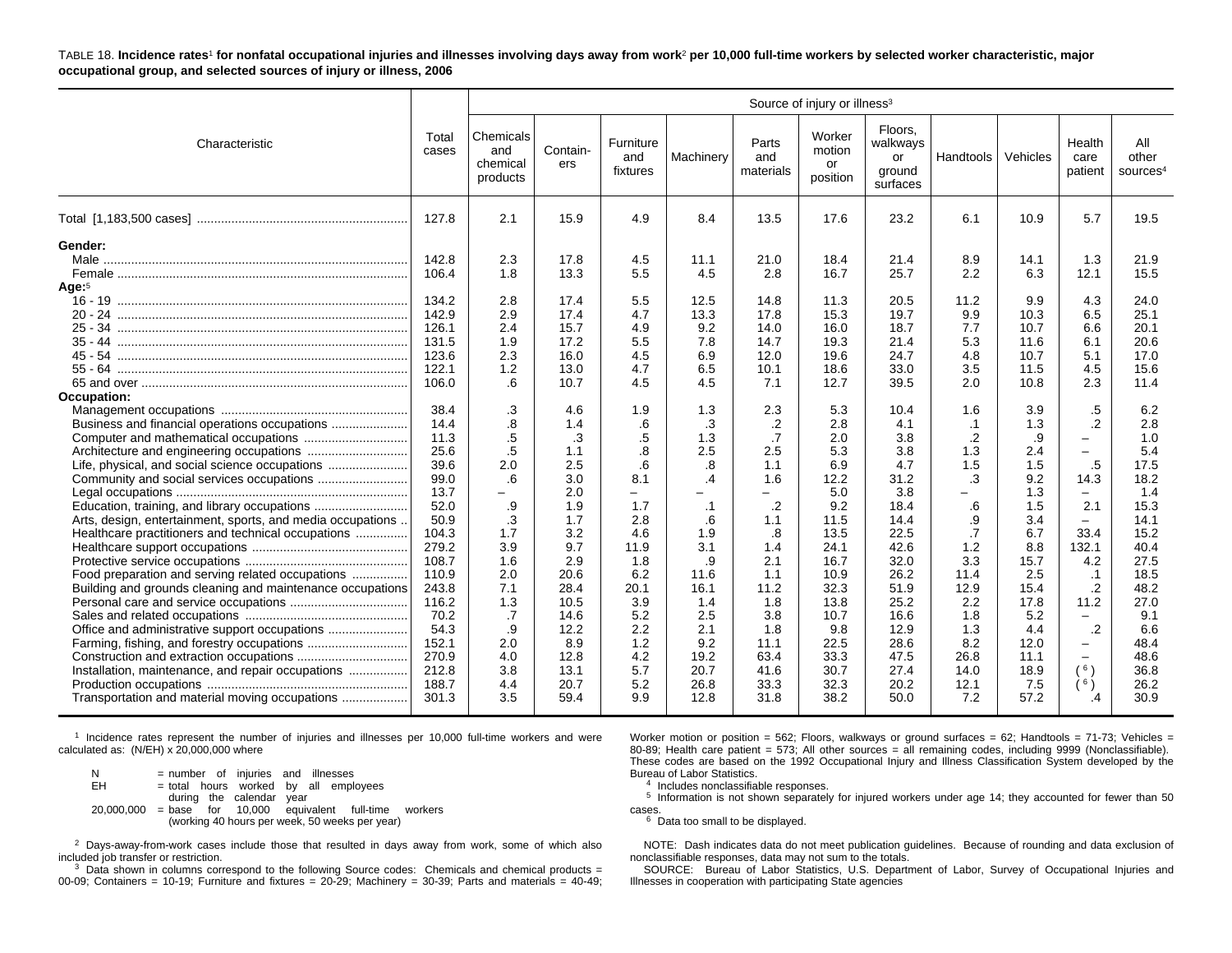TABLE 18. **Incidence rates**1 **for nonfatal occupational injuries and illnesses involving days away from work**2 **per 10,000 full-time workers by selected worker characteristic, major occupational group, and selected sources of injury or illness, 2006**

|                                                                                                                                                                                                                                                                                                                                                                                        |                                                                                                                                                                                                                                                                          | Source of injury or illness <sup>3</sup>                                                                                                                                                                                               |                                                                                                                                                                                                                                        |                                                                                                                                                                                                              |                                                                                                                                                                                                                                       |                                                                                                                                                                                                                                                                         |                                                                                                                                                                                                                                              |                                                                                                                                                                                                                                                 |                                                                                                                                                                                                                                        |                                                                                                                                                                                                                                    |                                                                                                                                                                                                                                                                   |                                                                                                                                                                                                                                               |
|----------------------------------------------------------------------------------------------------------------------------------------------------------------------------------------------------------------------------------------------------------------------------------------------------------------------------------------------------------------------------------------|--------------------------------------------------------------------------------------------------------------------------------------------------------------------------------------------------------------------------------------------------------------------------|----------------------------------------------------------------------------------------------------------------------------------------------------------------------------------------------------------------------------------------|----------------------------------------------------------------------------------------------------------------------------------------------------------------------------------------------------------------------------------------|--------------------------------------------------------------------------------------------------------------------------------------------------------------------------------------------------------------|---------------------------------------------------------------------------------------------------------------------------------------------------------------------------------------------------------------------------------------|-------------------------------------------------------------------------------------------------------------------------------------------------------------------------------------------------------------------------------------------------------------------------|----------------------------------------------------------------------------------------------------------------------------------------------------------------------------------------------------------------------------------------------|-------------------------------------------------------------------------------------------------------------------------------------------------------------------------------------------------------------------------------------------------|----------------------------------------------------------------------------------------------------------------------------------------------------------------------------------------------------------------------------------------|------------------------------------------------------------------------------------------------------------------------------------------------------------------------------------------------------------------------------------|-------------------------------------------------------------------------------------------------------------------------------------------------------------------------------------------------------------------------------------------------------------------|-----------------------------------------------------------------------------------------------------------------------------------------------------------------------------------------------------------------------------------------------|
| Characteristic                                                                                                                                                                                                                                                                                                                                                                         | Total<br>cases                                                                                                                                                                                                                                                           | Chemicals<br>and<br>chemical<br>products                                                                                                                                                                                               | Contain-<br>ers                                                                                                                                                                                                                        | Furniture<br>and<br>fixtures                                                                                                                                                                                 | Machinery                                                                                                                                                                                                                             | Parts<br>and<br>materials                                                                                                                                                                                                                                               | Worker<br>motion<br>or<br>position                                                                                                                                                                                                           | Floors.<br>walkways<br>or<br>ground<br>surfaces                                                                                                                                                                                                 | Handtools                                                                                                                                                                                                                              | Vehicles                                                                                                                                                                                                                           | Health<br>care<br>patient                                                                                                                                                                                                                                         | All<br>other<br>sources <sup>4</sup>                                                                                                                                                                                                          |
|                                                                                                                                                                                                                                                                                                                                                                                        | 127.8                                                                                                                                                                                                                                                                    | 2.1                                                                                                                                                                                                                                    | 15.9                                                                                                                                                                                                                                   | 4.9                                                                                                                                                                                                          | 8.4                                                                                                                                                                                                                                   | 13.5                                                                                                                                                                                                                                                                    | 17.6                                                                                                                                                                                                                                         | 23.2                                                                                                                                                                                                                                            | 6.1                                                                                                                                                                                                                                    | 10.9                                                                                                                                                                                                                               | 5.7                                                                                                                                                                                                                                                               | 19.5                                                                                                                                                                                                                                          |
| Gender:<br>Age: <sup>5</sup><br>Occupation:<br>Business and financial operations occupations<br>Arts, design, entertainment, sports, and media occupations<br>Healthcare practitioners and technical occupations<br>Food preparation and serving related occupations<br>Building and grounds cleaning and maintenance occupations<br>Installation, maintenance, and repair occupations | 142.8<br>106.4<br>134.2<br>142.9<br>126.1<br>131.5<br>123.6<br>122.1<br>106.0<br>38.4<br>14.4<br>11.3<br>25.6<br>39.6<br>99.0<br>13.7<br>52.0<br>50.9<br>104.3<br>279.2<br>108.7<br>110.9<br>243.8<br>116.2<br>70.2<br>54.3<br>152.1<br>270.9<br>212.8<br>188.7<br>301.3 | 2.3<br>1.8<br>2.8<br>2.9<br>2.4<br>1.9<br>2.3<br>1.2<br>.6<br>$\cdot$ 3<br>$\boldsymbol{.8}$<br>.5<br>.5<br>2.0<br>.6<br>-<br>.9<br>$\cdot$ 3<br>1.7<br>3.9<br>1.6<br>2.0<br>7.1<br>1.3<br>.7<br>.9<br>2.0<br>4.0<br>3.8<br>4.4<br>3.5 | 17.8<br>13.3<br>17.4<br>17.4<br>15.7<br>17.2<br>16.0<br>13.0<br>10.7<br>4.6<br>1.4<br>.3<br>1.1<br>2.5<br>3.0<br>2.0<br>1.9<br>1.7<br>3.2<br>9.7<br>2.9<br>20.6<br>28.4<br>10.5<br>14.6<br>12.2<br>8.9<br>12.8<br>13.1<br>20.7<br>59.4 | 4.5<br>5.5<br>5.5<br>4.7<br>4.9<br>5.5<br>4.5<br>4.7<br>4.5<br>1.9<br>.6<br>.5<br>8.<br>.6<br>8.1<br>1.7<br>2.8<br>4.6<br>11.9<br>1.8<br>6.2<br>20.1<br>3.9<br>5.2<br>2.2<br>1.2<br>4.2<br>5.7<br>5.2<br>9.9 | 11.1<br>4.5<br>12.5<br>13.3<br>9.2<br>7.8<br>6.9<br>6.5<br>4.5<br>1.3<br>.3<br>1.3<br>2.5<br>.8<br>$\overline{.4}$<br>$\cdot$ 1<br>.6<br>1.9<br>3.1<br>.9<br>11.6<br>16.1<br>1.4<br>2.5<br>2.1<br>9.2<br>19.2<br>20.7<br>26.8<br>12.8 | 21.0<br>2.8<br>14.8<br>17.8<br>14.0<br>14.7<br>12.0<br>10.1<br>7.1<br>2.3<br>.2<br>.7<br>2.5<br>1.1<br>1.6<br>$\overline{\phantom{m}}$<br>$\cdot$<br>1.1<br>$\boldsymbol{.8}$<br>1.4<br>2.1<br>1.1<br>11.2<br>1.8<br>3.8<br>1.8<br>11.1<br>63.4<br>41.6<br>33.3<br>31.8 | 18.4<br>16.7<br>11.3<br>15.3<br>16.0<br>19.3<br>19.6<br>18.6<br>12.7<br>5.3<br>2.8<br>2.0<br>5.3<br>6.9<br>12.2<br>5.0<br>9.2<br>11.5<br>13.5<br>24.1<br>16.7<br>10.9<br>32.3<br>13.8<br>10.7<br>9.8<br>22.5<br>33.3<br>30.7<br>32.3<br>38.2 | 21.4<br>25.7<br>20.5<br>19.7<br>18.7<br>21.4<br>24.7<br>33.0<br>39.5<br>10.4<br>4.1<br>3.8<br>3.8<br>4.7<br>31.2<br>3.8<br>18.4<br>14.4<br>22.5<br>42.6<br>32.0<br>26.2<br>51.9<br>25.2<br>16.6<br>12.9<br>28.6<br>47.5<br>27.4<br>20.2<br>50.0 | 8.9<br>2.2<br>11.2<br>9.9<br>7.7<br>5.3<br>4.8<br>3.5<br>2.0<br>1.6<br>$\cdot$ 1<br>$\cdot$<br>1.3<br>1.5<br>.3<br>$\equiv$<br>.6<br>.9<br>.7<br>1.2<br>3.3<br>11.4<br>12.9<br>2.2<br>1.8<br>1.3<br>8.2<br>26.8<br>14.0<br>12.1<br>7.2 | 14.1<br>6.3<br>9.9<br>10.3<br>10.7<br>11.6<br>10.7<br>11.5<br>10.8<br>3.9<br>1.3<br>.9<br>2.4<br>1.5<br>9.2<br>1.3<br>1.5<br>3.4<br>6.7<br>8.8<br>15.7<br>2.5<br>15.4<br>17.8<br>5.2<br>4.4<br>12.0<br>11.1<br>18.9<br>7.5<br>57.2 | 1.3<br>12.1<br>4.3<br>6.5<br>6.6<br>6.1<br>5.1<br>4.5<br>2.3<br>.5<br>$\cdot$<br>L.<br>$-$<br>.5<br>14.3<br>-<br>2.1<br>$\overline{\phantom{0}}$<br>33.4<br>132.1<br>4.2<br>.1<br>$\cdot$ .2<br>11.2<br>$-$<br>$\cdot$<br>-<br>-<br>(6)<br>( <sup>6</sup> )<br>.4 | 21.9<br>15.5<br>24.0<br>25.1<br>20.1<br>20.6<br>17.0<br>15.6<br>11.4<br>6.2<br>2.8<br>1.0<br>5.4<br>17.5<br>18.2<br>1.4<br>15.3<br>14.1<br>15.2<br>40.4<br>27.5<br>18.5<br>48.2<br>27.0<br>9.1<br>6.6<br>48.4<br>48.6<br>36.8<br>26.2<br>30.9 |

1 Incidence rates represent the number of injuries and illnesses per 10,000 full-time workers and were calculated as:  $(N/EH) \times 20,000,000$  where

 $N = number of injuries and illnesses$ <br> $EH = total hours worked by all empl$  $=$  total hours worked by all employees during the calendar year  $20,000,000 = \text{base}$  for  $10,000$  equivalent full-time workers (working 40 hours per week, 50 weeks per year)

 $2$  Days-away-from-work cases include those that resulted in days away from work, some of which also included job transfer or restriction.

 $3$  Data shown in columns correspond to the following Source codes: Chemicals and chemical products = 00-09; Containers = 10-19; Furniture and fixtures =  $20-29$ ; Machinery =  $30-39$ ; Parts and materials =  $40-49$ ; Worker motion or position = 562; Floors, walkways or ground surfaces = 62; Handtools = 71-73; Vehicles = 80-89; Health care patient = 573; All other sources = all remaining codes, including 9999 (Nonclassifiable). These codes are based on the 1992 Occupational Injury and Illness Classification System developed by the Bureau of Labor Statistics.

4 Includes nonclassifiable responses.

5 Information is not shown separately for injured workers under age 14; they accounted for fewer than 50 cases.

 $6$  Data too small to be displayed.

NOTE: Dash indicates data do not meet publication guidelines. Because of rounding and data exclusion of nonclassifiable responses, data may not sum to the totals.

SOURCE: Bureau of Labor Statistics, U.S. Department of Labor, Survey of Occupational Injuries and Illnesses in cooperation with participating State agencies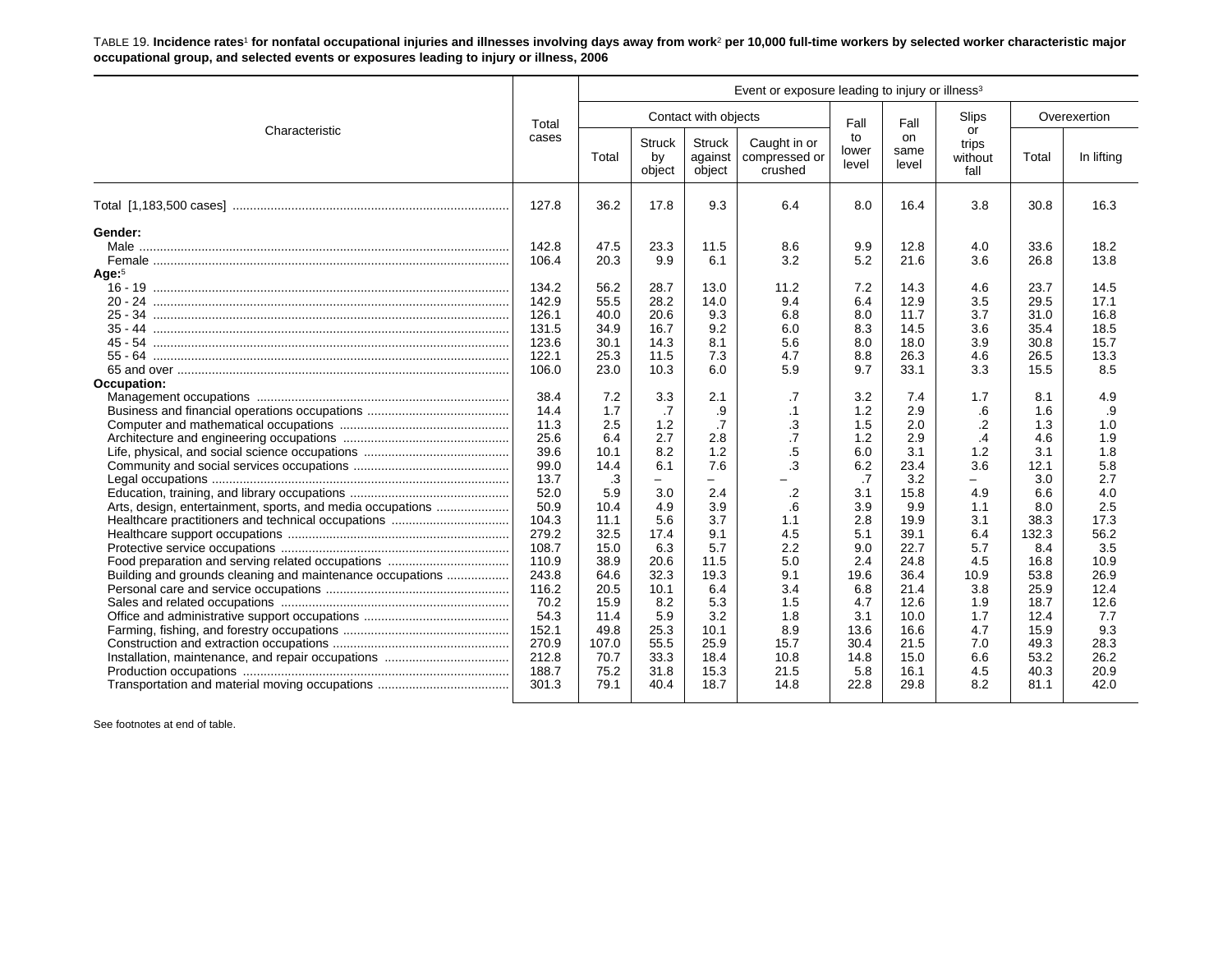TABLE 19. **Incidence rates**1 **for nonfatal occupational injuries and illnesses involving days away from work**2 **per 10,000 full-time workers by selected worker characteristic major occupational group, and selected events or exposures leading to injury or illness, 2006**

|                                                                                                                         |                                                                                                       | Event or exposure leading to injury or illness <sup>3</sup>                                   |                                                                                         |                                                                                       |                                                                                    |                                                                                      |                                                                                             |                                                                                     |                                                                                             |                                                                                          |  |  |
|-------------------------------------------------------------------------------------------------------------------------|-------------------------------------------------------------------------------------------------------|-----------------------------------------------------------------------------------------------|-----------------------------------------------------------------------------------------|---------------------------------------------------------------------------------------|------------------------------------------------------------------------------------|--------------------------------------------------------------------------------------|---------------------------------------------------------------------------------------------|-------------------------------------------------------------------------------------|---------------------------------------------------------------------------------------------|------------------------------------------------------------------------------------------|--|--|
| Characteristic                                                                                                          | Total                                                                                                 |                                                                                               |                                                                                         | Contact with objects                                                                  |                                                                                    | Fall                                                                                 | Fall                                                                                        | Slips<br>or                                                                         |                                                                                             | Overexertion                                                                             |  |  |
|                                                                                                                         |                                                                                                       | Total                                                                                         | <b>Struck</b><br>by<br>object                                                           | <b>Struck</b><br>against<br>object                                                    | Caught in or<br>compressed or<br>crushed                                           | to<br>lower<br>level                                                                 | on<br>same<br>level                                                                         | trips<br>without<br>fall                                                            | Total                                                                                       | In lifting                                                                               |  |  |
|                                                                                                                         | 127.8                                                                                                 | 36.2                                                                                          | 17.8                                                                                    | 9.3                                                                                   | 6.4                                                                                | 8.0                                                                                  | 16.4                                                                                        | 3.8                                                                                 | 30.8                                                                                        | 16.3                                                                                     |  |  |
| Gender:<br>Age: <sup>5</sup>                                                                                            | 142.8<br>106.4<br>134.2<br>142.9                                                                      | 47.5<br>20.3<br>56.2<br>55.5                                                                  | 23.3<br>9.9<br>28.7<br>28.2                                                             | 11.5<br>6.1<br>13.0<br>14.0                                                           | 8.6<br>3.2<br>11.2<br>9.4                                                          | 9.9<br>5.2<br>7.2<br>6.4                                                             | 12.8<br>21.6<br>14.3<br>12.9                                                                | 4.0<br>3.6<br>4.6<br>3.5                                                            | 33.6<br>26.8<br>23.7<br>29.5                                                                | 18.2<br>13.8<br>14.5<br>17.1                                                             |  |  |
| 35 - 44<br>Occupation:                                                                                                  | 126.1<br>131.5<br>123.6<br>122.1<br>106.0                                                             | 40.0<br>34.9<br>30.1<br>25.3<br>23.0                                                          | 20.6<br>16.7<br>14.3<br>11.5<br>10.3                                                    | 9.3<br>9.2<br>8.1<br>7.3<br>6.0                                                       | 6.8<br>6.0<br>5.6<br>4.7<br>5.9                                                    | 8.0<br>8.3<br>8.0<br>8.8<br>9.7                                                      | 11.7<br>14.5<br>18.0<br>26.3<br>33.1                                                        | 3.7<br>3.6<br>3.9<br>4.6<br>3.3                                                     | 31.0<br>35.4<br>30.8<br>26.5<br>15.5                                                        | 16.8<br>18.5<br>15.7<br>13.3<br>8.5                                                      |  |  |
|                                                                                                                         | 38.4<br>14.4<br>11.3<br>25.6<br>39.6<br>99.0<br>13.7<br>52.0                                          | 7.2<br>1.7<br>2.5<br>6.4<br>10.1<br>14.4<br>.3<br>5.9                                         | 3.3<br>.7<br>1.2<br>2.7<br>8.2<br>6.1<br>$-$<br>3.0                                     | 2.1<br>.9<br>.7<br>2.8<br>1.2<br>7.6<br>$\overline{\phantom{0}}$<br>2.4               | .7<br>$\cdot$ 1<br>$\cdot$ 3<br>$\overline{.7}$<br>.5<br>$\overline{3}$<br>$\cdot$ | 3.2<br>1.2<br>1.5<br>1.2<br>6.0<br>6.2<br>.7<br>3.1                                  | 7.4<br>2.9<br>2.0<br>2.9<br>3.1<br>23.4<br>3.2<br>15.8                                      | 1.7<br>.6<br>$\cdot$ .2<br>$\cdot$<br>1.2<br>3.6<br>$\overline{\phantom{0}}$<br>4.9 | 8.1<br>1.6<br>1.3<br>4.6<br>3.1<br>12.1<br>3.0<br>6.6                                       | 4.9<br>.9<br>1.0<br>1.9<br>1.8<br>5.8<br>2.7<br>4.0                                      |  |  |
| Arts, design, entertainment, sports, and media occupations<br>Building and grounds cleaning and maintenance occupations | 50.9<br>104.3<br>279.2<br>108.7<br>110.9<br>243.8<br>116.2<br>70.2<br>54.3<br>152.1<br>270.9<br>212.8 | 10.4<br>11.1<br>32.5<br>15.0<br>38.9<br>64.6<br>20.5<br>15.9<br>11.4<br>49.8<br>107.0<br>70.7 | 4.9<br>5.6<br>17.4<br>6.3<br>20.6<br>32.3<br>10.1<br>8.2<br>5.9<br>25.3<br>55.5<br>33.3 | 3.9<br>3.7<br>9.1<br>5.7<br>11.5<br>19.3<br>6.4<br>5.3<br>3.2<br>10.1<br>25.9<br>18.4 | .6<br>1.1<br>4.5<br>2.2<br>5.0<br>9.1<br>3.4<br>1.5<br>1.8<br>8.9<br>15.7<br>10.8  | 3.9<br>2.8<br>5.1<br>9.0<br>2.4<br>19.6<br>6.8<br>4.7<br>3.1<br>13.6<br>30.4<br>14.8 | 9.9<br>19.9<br>39.1<br>22.7<br>24.8<br>36.4<br>21.4<br>12.6<br>10.0<br>16.6<br>21.5<br>15.0 | 1.1<br>3.1<br>6.4<br>5.7<br>4.5<br>10.9<br>3.8<br>1.9<br>1.7<br>4.7<br>7.0<br>6.6   | 8.0<br>38.3<br>132.3<br>8.4<br>16.8<br>53.8<br>25.9<br>18.7<br>12.4<br>15.9<br>49.3<br>53.2 | 2.5<br>17.3<br>56.2<br>3.5<br>10.9<br>26.9<br>12.4<br>12.6<br>7.7<br>9.3<br>28.3<br>26.2 |  |  |
|                                                                                                                         | 188.7<br>301.3                                                                                        | 75.2<br>79.1                                                                                  | 31.8<br>40.4                                                                            | 15.3<br>18.7                                                                          | 21.5<br>14.8                                                                       | 5.8<br>22.8                                                                          | 16.1<br>29.8                                                                                | 4.5<br>8.2                                                                          | 40.3<br>81.1                                                                                | 20.9<br>42.0                                                                             |  |  |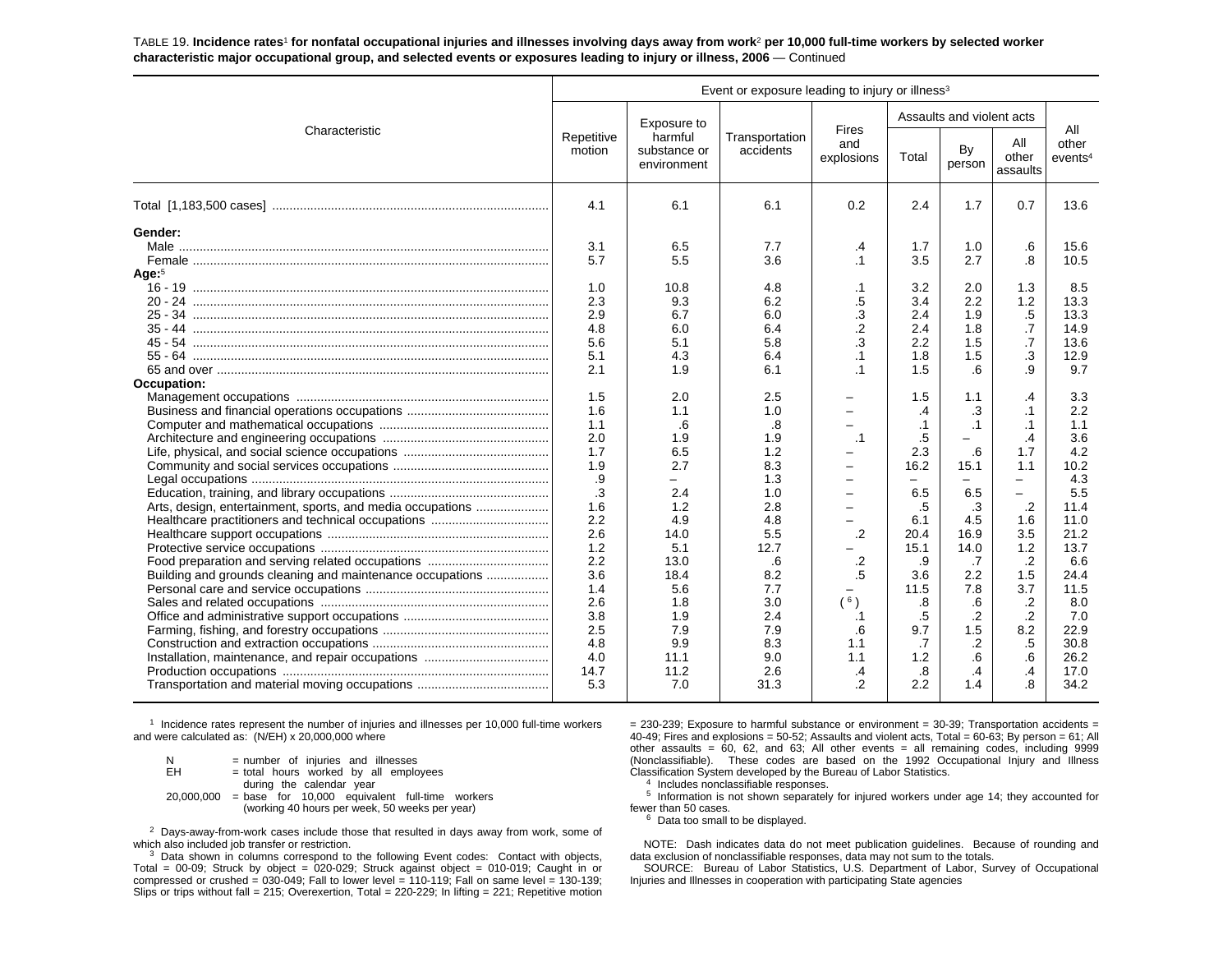TABLE 19. **Incidence rates**1 **for nonfatal occupational injuries and illnesses involving days away from work**2 **per 10,000 full-time workers by selected worker characteristic major occupational group, and selected events or exposures leading to injury or illness, 2006** — Continued

|                                                                                                                                                               | Event or exposure leading to injury or illness <sup>3</sup>                                                                                                                             |                                                                                                                                                                                                                   |                                                                                                                                                                                          |                                                                                                                                                                                                       |                                                                                                                                                                                                                  |                                                                                                                                                                                                      |                                                                                                                                                                                                                                             |                                                                                                                                                                                                          |  |  |  |  |
|---------------------------------------------------------------------------------------------------------------------------------------------------------------|-----------------------------------------------------------------------------------------------------------------------------------------------------------------------------------------|-------------------------------------------------------------------------------------------------------------------------------------------------------------------------------------------------------------------|------------------------------------------------------------------------------------------------------------------------------------------------------------------------------------------|-------------------------------------------------------------------------------------------------------------------------------------------------------------------------------------------------------|------------------------------------------------------------------------------------------------------------------------------------------------------------------------------------------------------------------|------------------------------------------------------------------------------------------------------------------------------------------------------------------------------------------------------|---------------------------------------------------------------------------------------------------------------------------------------------------------------------------------------------------------------------------------------------|----------------------------------------------------------------------------------------------------------------------------------------------------------------------------------------------------------|--|--|--|--|
| Characteristic                                                                                                                                                |                                                                                                                                                                                         | Exposure to                                                                                                                                                                                                       |                                                                                                                                                                                          | Fires                                                                                                                                                                                                 |                                                                                                                                                                                                                  | Assaults and violent acts                                                                                                                                                                            |                                                                                                                                                                                                                                             | All                                                                                                                                                                                                      |  |  |  |  |
|                                                                                                                                                               | Repetitive<br>motion                                                                                                                                                                    | harmful<br>substance or<br>environment                                                                                                                                                                            | Transportation<br>accidents                                                                                                                                                              | and<br>explosions                                                                                                                                                                                     | Total                                                                                                                                                                                                            | By<br>person                                                                                                                                                                                         | All<br>other<br>assaults                                                                                                                                                                                                                    | other<br>$e$ vents <sup>4</sup>                                                                                                                                                                          |  |  |  |  |
|                                                                                                                                                               | 4.1                                                                                                                                                                                     | 6.1                                                                                                                                                                                                               | 6.1                                                                                                                                                                                      | 0.2                                                                                                                                                                                                   | 2.4                                                                                                                                                                                                              | 1.7                                                                                                                                                                                                  | 0.7                                                                                                                                                                                                                                         | 13.6                                                                                                                                                                                                     |  |  |  |  |
| Gender:<br>Age: $5$<br>Occupation:<br>Arts, design, entertainment, sports, and media occupations<br>Building and grounds cleaning and maintenance occupations | 3.1<br>5.7<br>1.0<br>2.3<br>2.9<br>4.8<br>5.6<br>5.1<br>2.1<br>1.5<br>1.6<br>1.1<br>2.0<br>1.7<br>1.9<br>.9<br>.3<br>1.6<br>2.2<br>2.6<br>1.2<br>2.2<br>3.6<br>1.4<br>2.6<br>3.8<br>2.5 | 6.5<br>5.5<br>10.8<br>9.3<br>6.7<br>6.0<br>5.1<br>4.3<br>1.9<br>2.0<br>1.1<br>.6<br>1.9<br>6.5<br>2.7<br>$\overline{\phantom{0}}$<br>2.4<br>1.2<br>4.9<br>14.0<br>5.1<br>13.0<br>18.4<br>5.6<br>1.8<br>1.9<br>7.9 | 7.7<br>3.6<br>4.8<br>6.2<br>6.0<br>6.4<br>5.8<br>6.4<br>6.1<br>2.5<br>1.0<br>.8<br>1.9<br>1.2<br>8.3<br>1.3<br>1.0<br>2.8<br>4.8<br>5.5<br>12.7<br>.6<br>8.2<br>7.7<br>3.0<br>2.4<br>7.9 | .4<br>.1<br>.1<br>.5<br>.3<br>$\overline{2}$<br>.3<br>.1<br>$\cdot$ 1<br>$\overline{\phantom{0}}$<br>$\cdot$ 1<br>-<br>$\equiv$<br>-<br>$\overline{\phantom{0}}$<br>.2<br>.2<br>.5<br>(6)<br>.1<br>.6 | 1.7<br>3.5<br>3.2<br>3.4<br>2.4<br>2.4<br>2.2<br>1.8<br>1.5<br>1.5<br>$\cdot$<br>$\cdot$ 1<br>.5<br>2.3<br>16.2<br>$\frac{1}{2}$<br>6.5<br>.5<br>6.1<br>20.4<br>15.1<br>.9<br>3.6<br>11.5<br>.8<br>$.5\,$<br>9.7 | 1.0<br>2.7<br>2.0<br>2.2<br>1.9<br>1.8<br>1.5<br>1.5<br>.6<br>1.1<br>.3<br>$\cdot$ 1<br>Ξ.<br>.6<br>15.1<br>$\equiv$<br>6.5<br>.3<br>4.5<br>16.9<br>14.0<br>.7<br>2.2<br>7.8<br>.6<br>$\cdot$<br>1.5 | .6<br>.8<br>1.3<br>1.2<br>.5<br>.7<br>$\cdot$ 7<br>.3<br>.9<br>.4<br>$\cdot$ 1<br>$\cdot$ 1<br>.4<br>1.7<br>1.1<br>$\equiv$<br>$\overline{\phantom{0}}$<br>$\cdot$<br>1.6<br>3.5<br>1.2<br>.2<br>1.5<br>3.7<br>$\cdot$<br>$\cdot$ .2<br>8.2 | 15.6<br>10.5<br>8.5<br>13.3<br>13.3<br>14.9<br>13.6<br>12.9<br>9.7<br>3.3<br>2.2<br>1.1<br>3.6<br>4.2<br>10.2<br>4.3<br>5.5<br>11.4<br>11.0<br>21.2<br>13.7<br>6.6<br>24.4<br>11.5<br>8.0<br>7.0<br>22.9 |  |  |  |  |
|                                                                                                                                                               | 4.8<br>4.0<br>14.7<br>5.3                                                                                                                                                               | 9.9<br>11.1<br>11.2<br>7.0                                                                                                                                                                                        | 8.3<br>9.0<br>2.6<br>31.3                                                                                                                                                                | 1.1<br>1.1<br>.4<br>$\overline{2}$                                                                                                                                                                    | .7<br>1.2<br>.8<br>2.2                                                                                                                                                                                           | $\cdot$<br>.6<br>$\cdot$<br>1.4                                                                                                                                                                      | .5<br>.6<br>.4<br>8.                                                                                                                                                                                                                        | 30.8<br>26.2<br>17.0<br>34.2                                                                                                                                                                             |  |  |  |  |

1 Incidence rates represent the number of injuries and illnesses per 10,000 full-time workers and were calculated as: (N/EH) x 20,000,000 where

| N   | = number of injuries and illnesses                                                                                                        |
|-----|-------------------------------------------------------------------------------------------------------------------------------------------|
| EH. | = total hours worked by all employees                                                                                                     |
|     | during the calendar year<br>$20,000,000$ = base for 10,000 equivalent full-time workers<br>(working 40 hours per week, 50 weeks per year) |

 $2$  Days-away-from-work cases include those that resulted in days away from work, some of which also included job transfer or restriction.

 $3$  Data shown in columns correspond to the following Event codes: Contact with objects, Total =  $00-09$ ; Struck by object =  $020-029$ ; Struck against object =  $010-019$ ; Caught in or compressed or crushed =  $030-049$ ; Fall to lower level =  $110-119$ ; Fall on same level =  $130-139$ ; Slips or trips without fall = 215; Overexertion, Total = 220-229; In lifting = 221; Repetitive motion  $= 230-239$ ; Exposure to harmful substance or environment = 30-39; Transportation accidents = 40-49; Fires and explosions = 50-52; Assaults and violent acts, Total = 60-63; By person = 61; All other assaults =  $60$ ,  $62$ , and  $63$ ; All other events = all remaining codes, including 9999 (Nonclassifiable). These codes are based on the 1992 Occupational Injury and Illness Classification System developed by the Bureau of Labor Statistics.

4 Includes nonclassifiable responses.

 $5$  Information is not shown separately for injured workers under age 14; they accounted for fewer than 50 cases.

 $6$  Data too small to be displayed.

NOTE: Dash indicates data do not meet publication guidelines. Because of rounding and data exclusion of nonclassifiable responses, data may not sum to the totals.

SOURCE: Bureau of Labor Statistics, U.S. Department of Labor, Survey of Occupational Injuries and Illnesses in cooperation with participating State agencies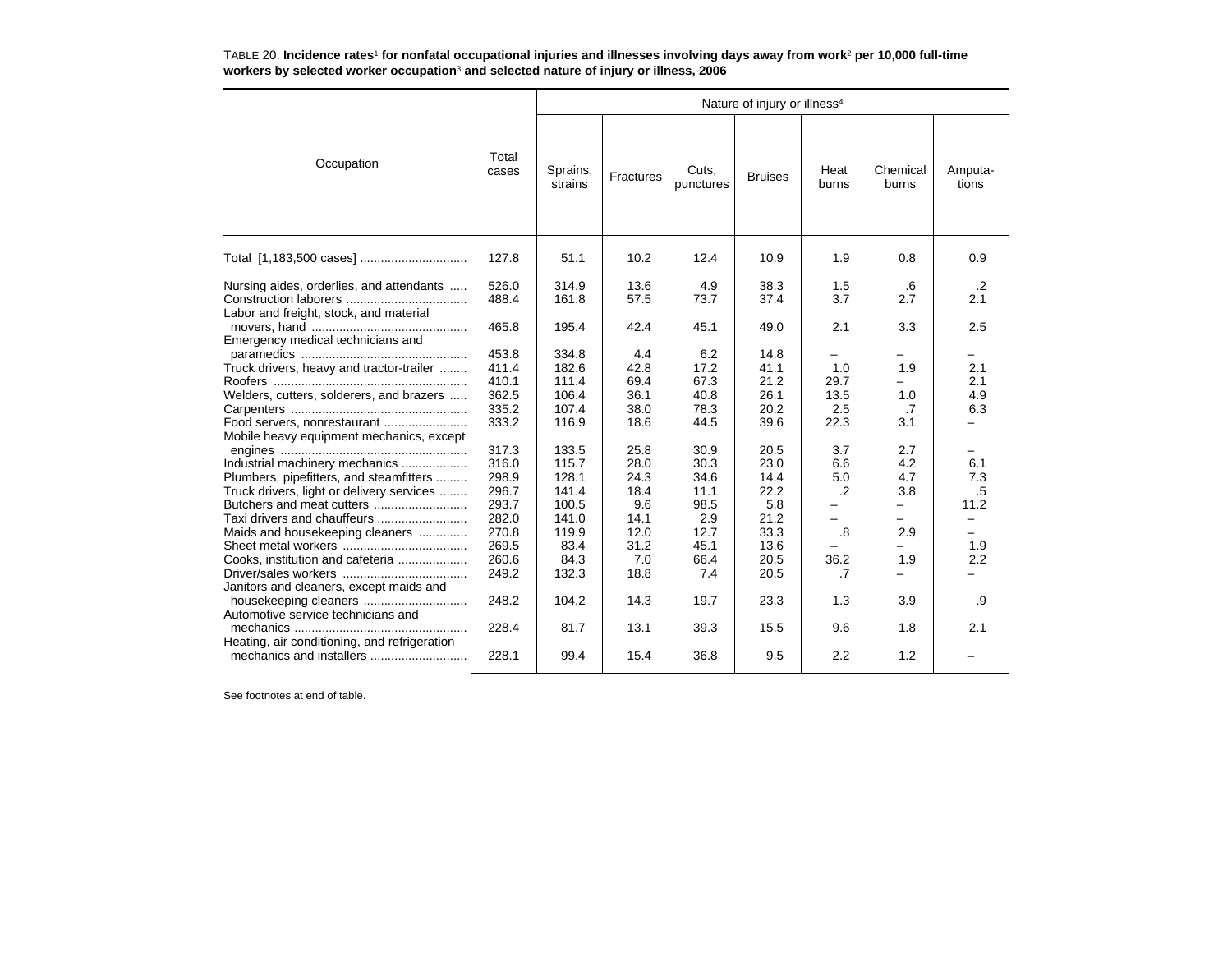TABLE 20. **Incidence rates**1 **for nonfatal occupational injuries and illnesses involving days away from work**2 **per 10,000 full-time workers by selected worker occupation**3 **and selected nature of injury or illness, 2006**

|                                                                                                        |                                  |                                |                             |                             | Nature of injury or illness <sup>4</sup> |                     |                   |                                        |
|--------------------------------------------------------------------------------------------------------|----------------------------------|--------------------------------|-----------------------------|-----------------------------|------------------------------------------|---------------------|-------------------|----------------------------------------|
| Occupation                                                                                             | Total<br>cases                   | Sprains,<br>strains            | Fractures                   | Cuts.<br>punctures          | <b>Bruises</b>                           | Heat<br>burns       | Chemical<br>burns | Amputa-<br>tions                       |
|                                                                                                        | 127.8                            | 51.1                           | 10.2                        | 12.4                        | 10.9                                     | 1.9                 | 0.8               | 0.9                                    |
| Nursing aides, orderlies, and attendants<br>Labor and freight, stock, and material                     | 526.0<br>488.4                   | 314.9<br>161.8                 | 13.6<br>57.5                | 4.9<br>73.7                 | 38.3<br>37.4                             | 1.5<br>3.7          | .6<br>2.7         | $.2\phantom{0}$<br>2.1                 |
| Emergency medical technicians and                                                                      | 465.8<br>453.8                   | 195.4<br>334.8                 | 42.4<br>4.4                 | 45.1<br>6.2                 | 49.0<br>14.8                             | 2.1                 | 3.3               | 2.5                                    |
| Truck drivers, heavy and tractor-trailer<br>Welders, cutters, solderers, and brazers                   | 411.4<br>410.1<br>362.5          | 182.6<br>111.4<br>106.4        | 42.8<br>69.4<br>36.1        | 17.2<br>67.3<br>40.8        | 41.1<br>21.2<br>26.1                     | 1.0<br>29.7<br>13.5 | 1.9<br>1.0        | 2.1<br>2.1<br>4.9                      |
| Food servers, nonrestaurant<br>Mobile heavy equipment mechanics, except                                | 335.2<br>333.2                   | 107.4<br>116.9                 | 38.0<br>18.6                | 78.3<br>44.5                | 20.2<br>39.6                             | 2.5<br>22.3         | .7<br>3.1         | 6.3<br>$\overline{\phantom{0}}$        |
| Industrial machinery mechanics<br>Plumbers, pipefitters, and steamfitters                              | 317.3<br>316.0<br>298.9          | 133.5<br>115.7<br>128.1        | 25.8<br>28.0<br>24.3        | 30.9<br>30.3<br>34.6        | 20.5<br>23.0<br>14.4                     | 3.7<br>6.6<br>5.0   | 2.7<br>4.2<br>4.7 | $\overline{\phantom{0}}$<br>6.1<br>7.3 |
| Truck drivers, light or delivery services<br>Butchers and meat cutters<br>Taxi drivers and chauffeurs  | 296.7<br>293.7<br>282.0          | 141.4<br>100.5<br>141.0        | 18.4<br>9.6<br>14.1         | 11.1<br>98.5<br>2.9         | 22.2<br>5.8<br>21.2                      | $\cdot$ .2          | 3.8<br>-          | .5<br>11.2<br>$\qquad \qquad -$        |
| Maids and housekeeping cleaners<br>Cooks, institution and cafeteria                                    | 270.8<br>269.5<br>260.6<br>249.2 | 119.9<br>83.4<br>84.3<br>132.3 | 12.0<br>31.2<br>7.0<br>18.8 | 12.7<br>45.1<br>66.4<br>7.4 | 33.3<br>13.6<br>20.5<br>20.5             | .8<br>36.2<br>.7    | 2.9<br>1.9        | 1.9<br>2.2                             |
| Janitors and cleaners, except maids and<br>housekeeping cleaners<br>Automotive service technicians and | 248.2                            | 104.2                          | 14.3                        | 19.7                        | 23.3                                     | 1.3                 | 3.9               | .9                                     |
| Heating, air conditioning, and refrigeration<br>mechanics and installers                               | 228.4<br>228.1                   | 81.7<br>99.4                   | 13.1<br>15.4                | 39.3<br>36.8                | 15.5<br>9.5                              | 9.6<br>2.2          | 1.8<br>1.2        | 2.1                                    |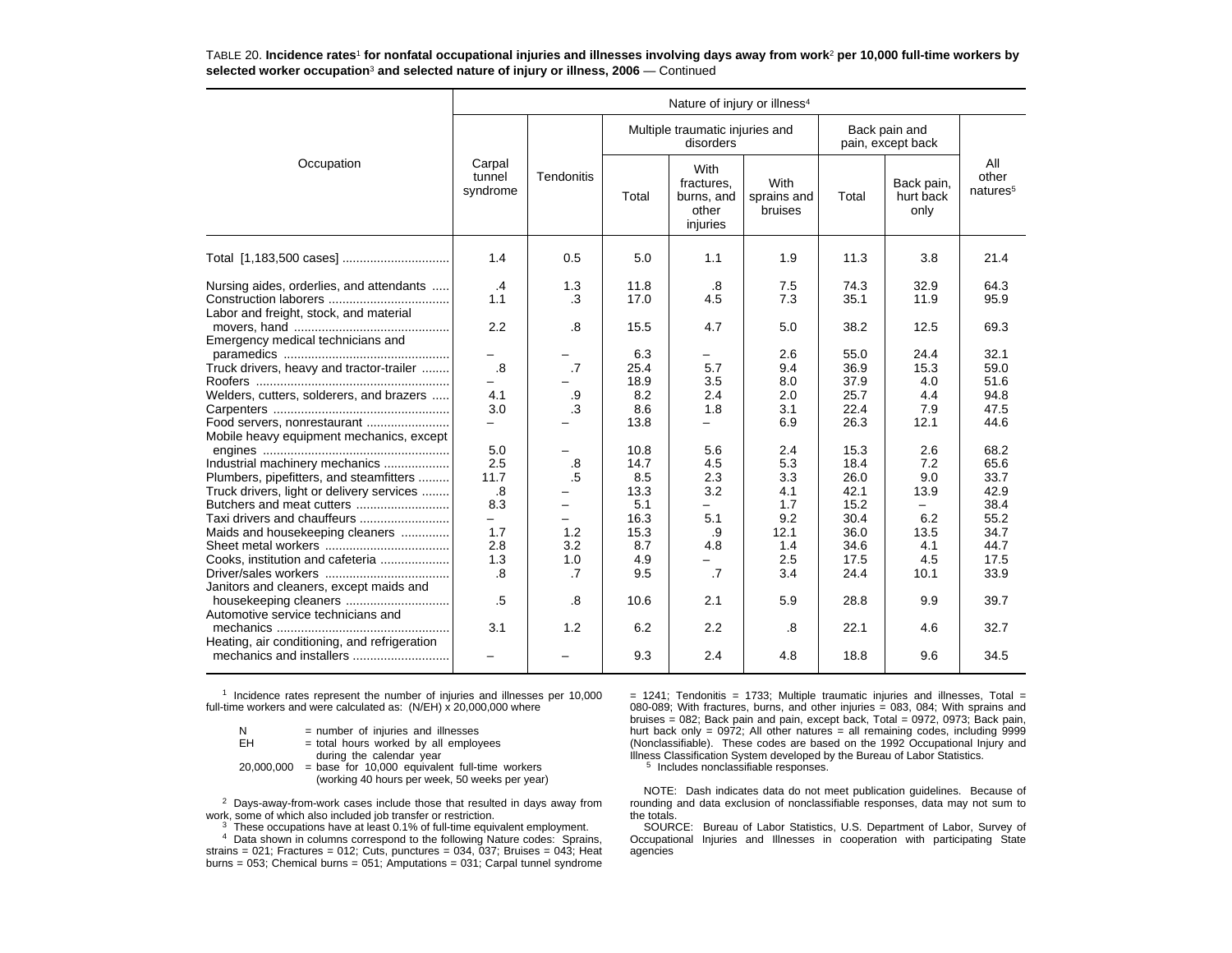TABLE 20. **Incidence rates**1 **for nonfatal occupational injuries and illnesses involving days away from work**2 **per 10,000 full-time workers by selected worker occupation**3 **and selected nature of injury or illness, 2006** — Continued

|                                              | Nature of injury or illness <sup>4</sup> |                          |             |                                                       |                                |                                    |                                 |                                      |  |
|----------------------------------------------|------------------------------------------|--------------------------|-------------|-------------------------------------------------------|--------------------------------|------------------------------------|---------------------------------|--------------------------------------|--|
|                                              |                                          |                          |             | Multiple traumatic injuries and<br>disorders          |                                | Back pain and<br>pain, except back |                                 |                                      |  |
| Occupation                                   | Carpal<br>tunnel<br>syndrome             | <b>Tendonitis</b>        | Total       | With<br>fractures,<br>burns, and<br>other<br>injuries | With<br>sprains and<br>bruises | Total                              | Back pain,<br>hurt back<br>only | All<br>other<br>natures <sup>5</sup> |  |
|                                              | 1.4                                      | 0.5                      | 5.0         | 1.1                                                   | 1.9                            | 11.3                               | 3.8                             | 21.4                                 |  |
| Nursing aides, orderlies, and attendants     | $\cdot$ 4                                | 1.3                      | 11.8        | .8                                                    | 7.5                            | 74.3                               | 32.9                            | 64.3                                 |  |
|                                              | 1.1                                      | $\cdot$ 3                | 17.0        | 4.5                                                   | 7.3                            | 35.1                               | 11.9                            | 95.9                                 |  |
| Labor and freight, stock, and material       |                                          |                          |             |                                                       |                                |                                    |                                 |                                      |  |
|                                              | 2.2                                      | .8                       | 15.5        | 4.7                                                   | 5.0                            | 38.2                               | 12.5                            | 69.3                                 |  |
| Emergency medical technicians and            |                                          |                          |             |                                                       |                                |                                    |                                 |                                      |  |
| Truck drivers, heavy and tractor-trailer     | .8                                       | .7                       | 6.3<br>25.4 | 5.7                                                   | 2.6<br>9.4                     | 55.0<br>36.9                       | 24.4<br>15.3                    | 32.1<br>59.0                         |  |
|                                              |                                          |                          | 18.9        | 3.5                                                   | 8.0                            | 37.9                               | 4.0                             | 51.6                                 |  |
| Welders, cutters, solderers, and brazers     | 4.1                                      | .9                       | 8.2         | 2.4                                                   | 2.0                            | 25.7                               | 4.4                             | 94.8                                 |  |
|                                              | 3.0                                      | .3                       | 8.6         | 1.8                                                   | 3.1                            | 22.4                               | 7.9                             | 47.5                                 |  |
| Food servers, nonrestaurant                  | $\overline{\phantom{0}}$                 |                          | 13.8        | $\overline{\phantom{0}}$                              | 6.9                            | 26.3                               | 12.1                            | 44.6                                 |  |
| Mobile heavy equipment mechanics, except     |                                          |                          |             |                                                       |                                |                                    |                                 |                                      |  |
|                                              | 5.0                                      |                          | 10.8        | 5.6                                                   | 2.4                            | 15.3                               | 2.6                             | 68.2                                 |  |
| Industrial machinery mechanics               | 2.5                                      | .8                       | 14.7        | 4.5                                                   | 5.3                            | 18.4                               | 7.2                             | 65.6                                 |  |
| Plumbers, pipefitters, and steamfitters      | 11.7                                     | .5                       | 8.5         | 2.3                                                   | 3.3                            | 26.0                               | 9.0                             | 33.7                                 |  |
| Truck drivers, light or delivery services    | .8                                       |                          | 13.3        | 3.2                                                   | 4.1                            | 42.1                               | 13.9                            | 42.9                                 |  |
|                                              | 8.3                                      | -                        | 5.1         | $\overline{\phantom{0}}$                              | 1.7                            | 15.2                               |                                 | 38.4                                 |  |
| Taxi drivers and chauffeurs                  | -                                        | $\overline{\phantom{0}}$ | 16.3        | 5.1                                                   | 9.2                            | 30.4                               | 6.2                             | 55.2                                 |  |
| Maids and housekeeping cleaners              | 1.7                                      | 1.2                      | 15.3        | .9                                                    | 12.1                           | 36.0                               | 13.5                            | 34.7                                 |  |
|                                              | 2.8                                      | 3.2                      | 8.7         | 4.8                                                   | 1.4                            | 34.6                               | 4.1                             | 44.7                                 |  |
| Cooks, institution and cafeteria             | 1.3                                      | 1.0                      | 4.9         |                                                       | 2.5                            | 17.5                               | 4.5                             | 17.5                                 |  |
|                                              | .8                                       | .7                       | 9.5         | .7                                                    | 3.4                            | 24.4                               | 10.1                            | 33.9                                 |  |
| Janitors and cleaners, except maids and      |                                          |                          |             |                                                       |                                |                                    |                                 |                                      |  |
|                                              | .5                                       | .8                       | 10.6        | 2.1                                                   | 5.9                            | 28.8                               | 9.9                             | 39.7                                 |  |
| Automotive service technicians and           |                                          |                          |             |                                                       |                                |                                    |                                 |                                      |  |
|                                              | 3.1                                      | 1.2                      | 6.2         | 2.2                                                   | .8                             | 22.1                               | 4.6                             | 32.7                                 |  |
| Heating, air conditioning, and refrigeration |                                          |                          | 9.3         | 2.4                                                   | 4.8                            | 18.8                               | 9.6                             | 34.5                                 |  |

<sup>1</sup> Incidence rates represent the number of injuries and illnesses per 10,000 full-time workers and were calculated as: (N/EH) x 20,000,000 where

| <b>N</b><br>$=$ number of injuries and illnesses |  |  |  |  |
|--------------------------------------------------|--|--|--|--|
|--------------------------------------------------|--|--|--|--|

| EH |  |  |  |  |  | = total hours worked by all employees |  |
|----|--|--|--|--|--|---------------------------------------|--|
|----|--|--|--|--|--|---------------------------------------|--|

during the calendar year

 $20,000,000 =$  base for 10,000 equivalent full-time workers (working 40 hours per week, 50 weeks per year)

2 Days-away-from-work cases include those that resulted in days away from work, some of which also included job transfer or restriction.

 $3$  These occupations have at least 0.1% of full-time equivalent employment.

<sup>4</sup> Data shown in columns correspond to the following Nature codes: Sprains, strains = 021; Fractures = 012; Cuts, punctures = 034,  $\overline{0}37$ ; Bruises = 043; Heat burns = 053; Chemical burns = 051; Amputations = 031; Carpal tunnel syndrome  $= 1241$ ; Tendonitis = 1733; Multiple traumatic injuries and illnesses, Total = 080-089; With fractures, burns, and other injuries = 083, 084; With sprains and bruises = 082; Back pain and pain, except back, Total = 0972, 0973; Back pain, hurt back only = 0972; All other natures = all remaining codes, including 9999 (Nonclassifiable). These codes are based on the 1992 Occupational Injury and Illness Classification System developed by the Bureau of Labor Statistics.

<sup>5</sup> Includes nonclassifiable responses.

NOTE: Dash indicates data do not meet publication guidelines. Because of rounding and data exclusion of nonclassifiable responses, data may not sum to the totals.

 SOURCE: Bureau of Labor Statistics, U.S. Department of Labor, Survey of Occupational Injuries and Illnesses in cooperation with participating State agencies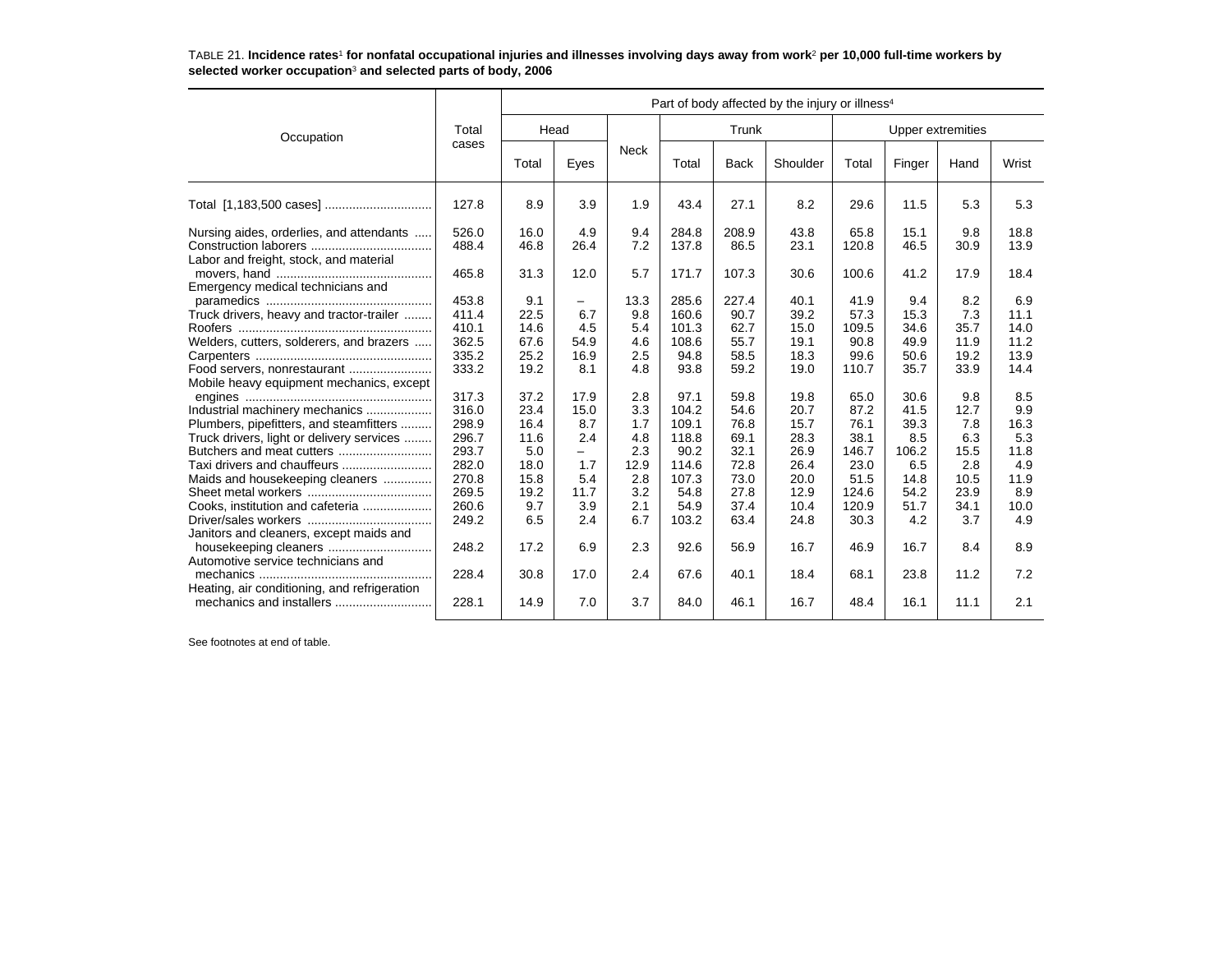| TABLE 21. Incidence rates <sup>1</sup> for nonfatal occupational injuries and illnesses involving days away from work <sup>2</sup> per 10,000 full-time workers by |  |  |
|--------------------------------------------------------------------------------------------------------------------------------------------------------------------|--|--|
| selected worker occupation <sup>3</sup> and selected parts of body, 2006                                                                                           |  |  |

|                                                                                             |                         | Part of body affected by the injury or illness <sup>4</sup> |                     |                   |                        |                      |                      |                          |                      |                      |                      |
|---------------------------------------------------------------------------------------------|-------------------------|-------------------------------------------------------------|---------------------|-------------------|------------------------|----------------------|----------------------|--------------------------|----------------------|----------------------|----------------------|
| Occupation                                                                                  | Total                   | Head                                                        |                     |                   | Trunk                  |                      |                      | <b>Upper extremities</b> |                      |                      |                      |
|                                                                                             | cases                   | Total                                                       | Eyes                | <b>Neck</b>       | Total                  | <b>Back</b>          | Shoulder             | Total                    | Finger               | Hand                 | Wrist                |
|                                                                                             | 127.8                   | 8.9                                                         | 3.9                 | 1.9               | 43.4                   | 27.1                 | 8.2                  | 29.6                     | 11.5                 | 5.3                  | 5.3                  |
| Nursing aides, orderlies, and attendants<br>Labor and freight, stock, and material          | 526.0<br>488.4          | 16.0<br>46.8                                                | 4.9<br>26.4         | 9.4<br>7.2        | 284.8<br>137.8         | 208.9<br>86.5        | 43.8<br>23.1         | 65.8<br>120.8            | 15.1<br>46.5         | 9.8<br>30.9          | 18.8<br>13.9         |
| Emergency medical technicians and                                                           | 465.8<br>453.8          | 31.3<br>9.1                                                 | 12.0                | 5.7<br>13.3       | 171.7<br>285.6         | 107.3<br>227.4       | 30.6<br>40.1         | 100.6<br>41.9            | 41.2<br>9.4          | 17.9<br>8.2          | 18.4<br>6.9          |
| Truck drivers, heavy and tractor-trailer                                                    | 411.4<br>410.1          | 22.5<br>14.6                                                | -<br>6.7<br>4.5     | 9.8<br>5.4        | 160.6<br>101.3         | 90.7<br>62.7         | 39.2<br>15.0         | 57.3<br>109.5            | 15.3<br>34.6         | 7.3<br>35.7          | 11.1<br>14.0         |
| Welders, cutters, solderers, and brazers<br>Food servers, nonrestaurant                     | 362.5<br>335.2<br>333.2 | 67.6<br>25.2<br>19.2                                        | 54.9<br>16.9<br>8.1 | 4.6<br>2.5<br>4.8 | 108.6<br>94.8<br>93.8  | 55.7<br>58.5<br>59.2 | 19.1<br>18.3<br>19.0 | 90.8<br>99.6<br>110.7    | 49.9<br>50.6<br>35.7 | 11.9<br>19.2<br>33.9 | 11.2<br>13.9<br>14.4 |
| Mobile heavy equipment mechanics, except<br>Industrial machinery mechanics                  | 317.3<br>316.0          | 37.2<br>23.4                                                | 17.9<br>15.0        | 2.8<br>3.3        | 97.1<br>104.2          | 59.8<br>54.6         | 19.8<br>20.7         | 65.0<br>87.2             | 30.6<br>41.5         | 9.8<br>12.7          | 8.5<br>9.9           |
| Plumbers, pipefitters, and steamfitters<br>Truck drivers, light or delivery services        | 298.9<br>296.7<br>293.7 | 16.4<br>11.6                                                | 8.7<br>2.4          | 1.7<br>4.8<br>2.3 | 109.1<br>118.8<br>90.2 | 76.8<br>69.1<br>32.1 | 15.7<br>28.3<br>26.9 | 76.1<br>38.1<br>146.7    | 39.3<br>8.5          | 7.8<br>6.3<br>15.5   | 16.3<br>5.3<br>11.8  |
| Butchers and meat cutters<br>Taxi drivers and chauffeurs<br>Maids and housekeeping cleaners | 282.0<br>270.8          | 5.0<br>18.0<br>15.8                                         | -<br>1.7<br>5.4     | 12.9<br>2.8       | 114.6<br>107.3         | 72.8<br>73.0         | 26.4<br>20.0         | 23.0<br>51.5             | 106.2<br>6.5<br>14.8 | 2.8<br>10.5          | 4.9<br>11.9          |
| Cooks, institution and cafeteria                                                            | 269.5<br>260.6<br>249.2 | 19.2<br>9.7<br>6.5                                          | 11.7<br>3.9<br>2.4  | 3.2<br>2.1<br>6.7 | 54.8<br>54.9<br>103.2  | 27.8<br>37.4<br>63.4 | 12.9<br>10.4<br>24.8 | 124.6<br>120.9<br>30.3   | 54.2<br>51.7<br>4.2  | 23.9<br>34.1<br>3.7  | 8.9<br>10.0<br>4.9   |
| Janitors and cleaners, except maids and<br>housekeeping cleaners                            | 248.2                   | 17.2                                                        | 6.9                 | 2.3               | 92.6                   | 56.9                 | 16.7                 | 46.9                     | 16.7                 | 8.4                  | 8.9                  |
| Automotive service technicians and<br>Heating, air conditioning, and refrigeration          | 228.4                   | 30.8                                                        | 17.0                | 2.4               | 67.6                   | 40.1                 | 18.4                 | 68.1                     | 23.8                 | 11.2                 | 7.2                  |
|                                                                                             | 228.1                   | 14.9                                                        | 7.0                 | 3.7               | 84.0                   | 46.1                 | 16.7                 | 48.4                     | 16.1                 | 11.1                 | 2.1                  |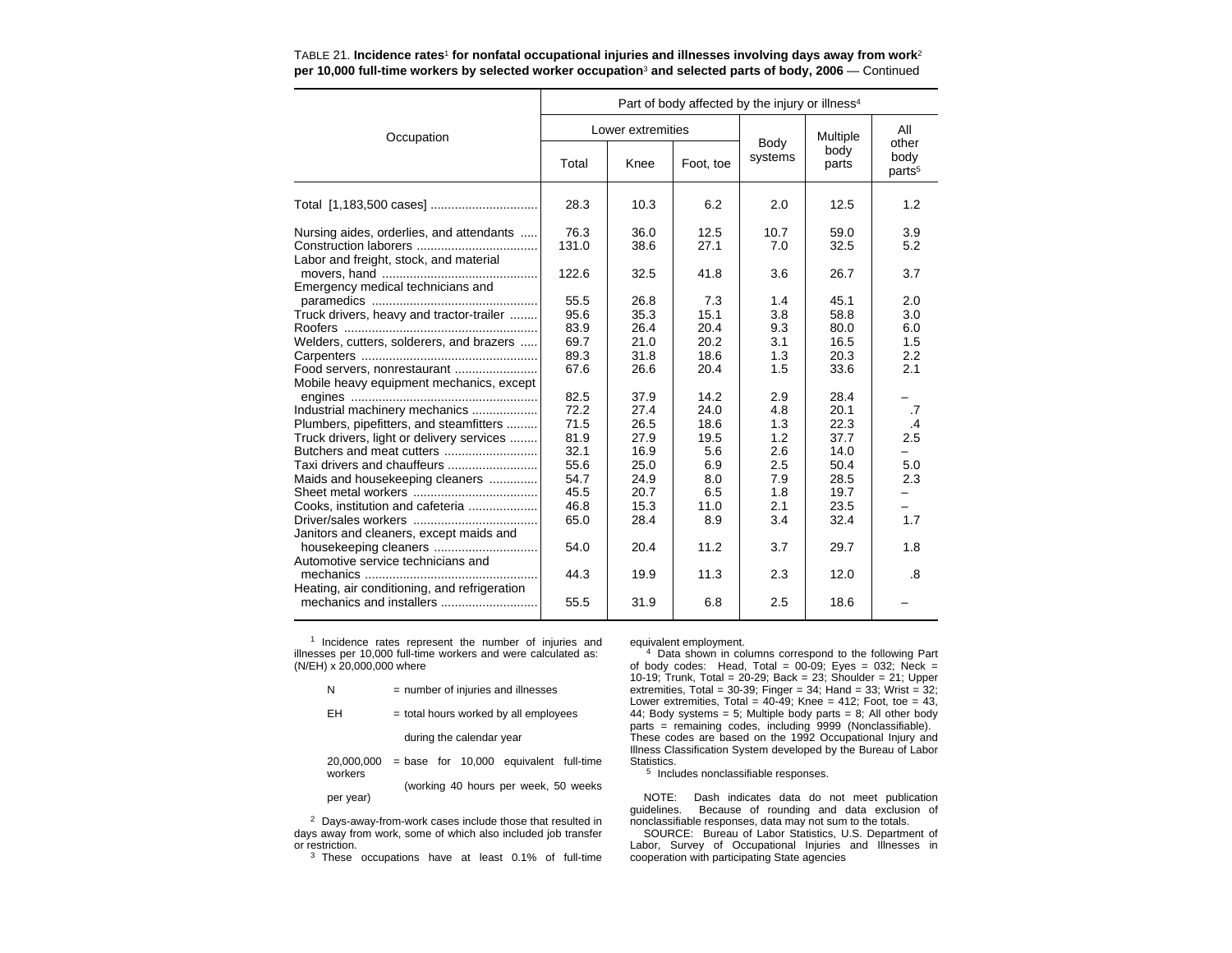|                                                                                      | Part of body affected by the injury or illness <sup>4</sup> |                   |              |                 |               |                                     |  |  |  |
|--------------------------------------------------------------------------------------|-------------------------------------------------------------|-------------------|--------------|-----------------|---------------|-------------------------------------|--|--|--|
| Occupation                                                                           |                                                             | Lower extremities |              |                 | Multiple      | All                                 |  |  |  |
|                                                                                      | Total                                                       | Knee              | Foot, toe    | Body<br>systems | body<br>parts | other<br>body<br>parts <sup>5</sup> |  |  |  |
| Total [1,183,500 cases]                                                              | 28.3                                                        | 10.3              | 6.2          | 2.0             | 12.5          | 1.2                                 |  |  |  |
| Nursing aides, orderlies, and attendants<br>Labor and freight, stock, and material   | 76.3<br>131.0                                               | 36.0<br>38.6      | 12.5<br>27.1 | 10.7<br>7.0     | 59.0<br>32.5  | 3.9<br>5.2                          |  |  |  |
| Emergency medical technicians and                                                    | 122.6                                                       | 32.5              | 41.8         | 3.6             | 26.7          | 3.7                                 |  |  |  |
| Truck drivers, heavy and tractor-trailer                                             | 55.5<br>95.6                                                | 26.8<br>35.3      | 7.3<br>15.1  | 1.4<br>3.8      | 45.1<br>58.8  | 2.0<br>3.0                          |  |  |  |
| Welders, cutters, solderers, and brazers                                             | 83.9<br>69.7                                                | 26.4<br>21.0      | 20.4<br>20.2 | 9.3<br>3.1      | 80.0<br>16.5  | 6.0<br>1.5                          |  |  |  |
| Food servers, nonrestaurant                                                          | 89.3<br>67.6                                                | 31.8<br>26.6      | 18.6<br>20.4 | 1.3<br>1.5      | 20.3<br>33.6  | 2.2<br>2.1                          |  |  |  |
| Mobile heavy equipment mechanics, except<br>Industrial machinery mechanics           | 82.5<br>72.2                                                | 37.9<br>27.4      | 14.2<br>24.0 | 2.9<br>4.8      | 28.4<br>20.1  | .7                                  |  |  |  |
| Plumbers, pipefitters, and steamfitters<br>Truck drivers, light or delivery services | 71.5<br>81.9                                                | 26.5<br>27.9      | 18.6<br>19.5 | 1.3<br>1.2      | 22.3<br>37.7  | $\cdot$<br>2.5                      |  |  |  |
| Butchers and meat cutters<br>Taxi drivers and chauffeurs                             | 32.1<br>55.6                                                | 16.9<br>25.0      | 5.6<br>6.9   | 2.6<br>2.5      | 14.0<br>50.4  | 5.0                                 |  |  |  |
| Maids and housekeeping cleaners                                                      | 54.7                                                        | 24.9              | 8.0          | 7.9             | 28.5          | 2.3                                 |  |  |  |
| Cooks, institution and cafeteria                                                     | 45.5<br>46.8                                                | 20.7<br>15.3      | 6.5<br>11.0  | 1.8<br>2.1      | 19.7<br>23.5  |                                     |  |  |  |
| Janitors and cleaners, except maids and                                              | 65.0                                                        | 28.4              | 8.9          | 3.4             | 32.4          | 1.7                                 |  |  |  |
| Automotive service technicians and                                                   | 54.0                                                        | 20.4              | 11.2         | 3.7             | 29.7          | 1.8                                 |  |  |  |
|                                                                                      | 44.3                                                        | 19.9              | 11.3         | 2.3             | 12.0          | $\boldsymbol{.8}$                   |  |  |  |
| Heating, air conditioning, and refrigeration                                         | 55.5                                                        | 31.9              | 6.8          | 2.5             | 18.6          |                                     |  |  |  |

### TABLE 21. **Incidence rates**1 **for nonfatal occupational injuries and illnesses involving days away from work**<sup>2</sup> **per 10,000 full-time workers by selected worker occupation**3 **and selected parts of body, 2006** — Continued

<sup>1</sup> Incidence rates represent the number of injuries and illnesses per 10,000 full-time workers and were calculated as: (N/EH) x 20,000,000 where

- $N =$  number of injuries and illnesses
- $EH = total$  hours worked by all employees

during the calendar year

 $20,000,000 = \text{base}$  for  $10,000$  equivalent full-time workers

(working 40 hours per week, 50 weeks per year)

<sup>2</sup> Days-away-from-work cases include those that resulted in days away from work, some of which also included job transfer or restriction.

<sup>3</sup> These occupations have at least 0.1% of full-time

equivalent employment.

4 Data shown in columns correspond to the following Part of body codes: Head, Total = 00-09; Eyes = 032; Neck = 10-19; Trunk, Total = 20-29; Back = 23; Shoulder = 21; Upper extremities, Total =  $30-39$ ; Finger =  $34$ ; Hand =  $33$ ; Wrist =  $32$ ; Lower extremities, Total =  $40-49$ ; Knee =  $412$ ; Foot, toe =  $43$ , 44; Body systems = 5; Multiple body parts = 8; All other body parts = remaining codes, including 9999 (Nonclassifiable). These codes are based on the 1992 Occupational Injury and Illness Classification System developed by the Bureau of Labor Statistics.

<sup>5</sup> Includes nonclassifiable responses.

NOTE: Dash indicates data do not meet publication guidelines. Because of rounding and data exclusion of nonclassifiable responses, data may not sum to the totals.

SOURCE: Bureau of Labor Statistics, U.S. Department of Labor, Survey of Occupational Injuries and Illnesses in cooperation with participating State agencies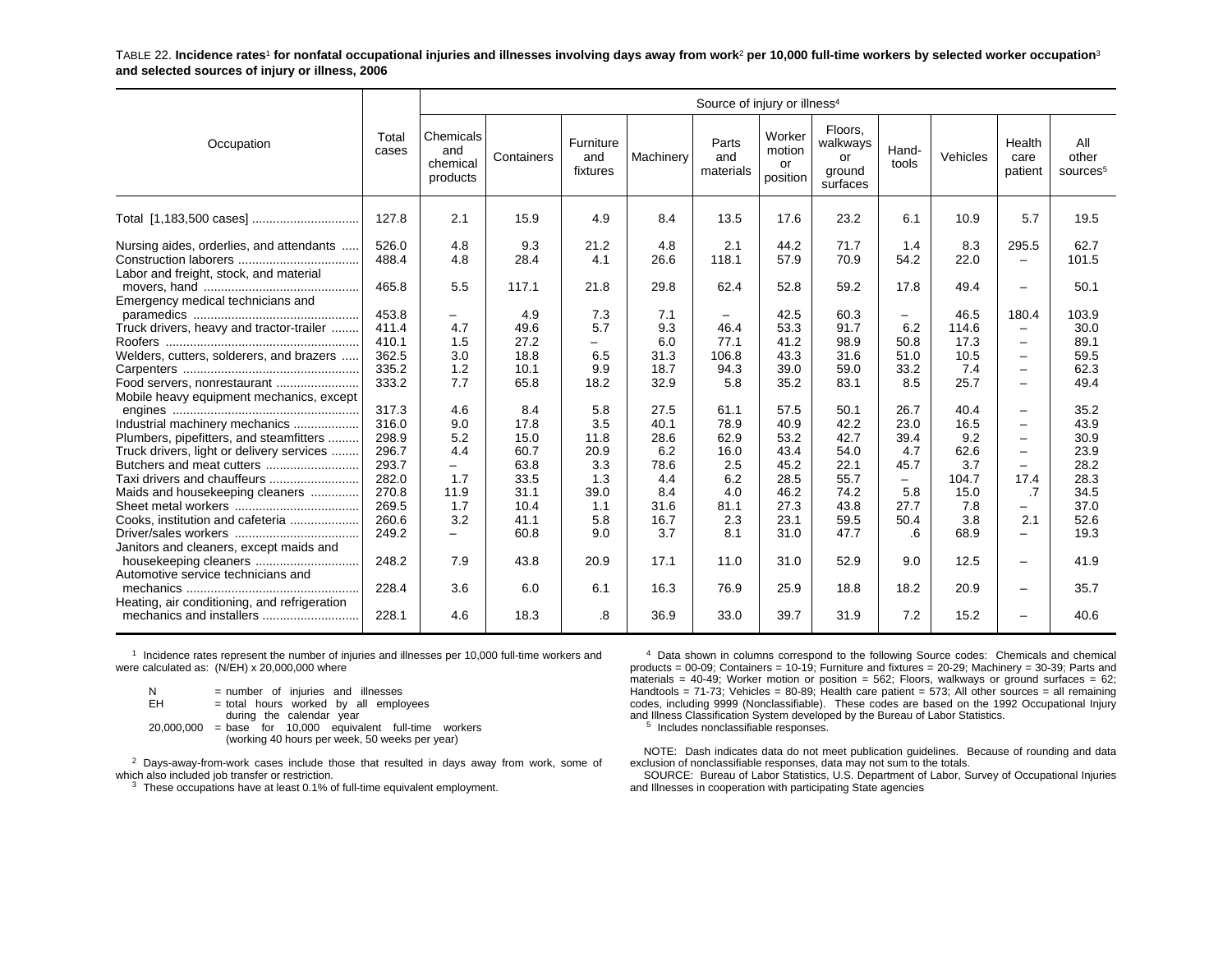TABLE 22. **Incidence rates**1 **for nonfatal occupational injuries and illnesses involving days away from work**2 **per 10,000 full-time workers by selected worker occupation**<sup>3</sup> **and selected sources of injury or illness, 2006**

|                                                                                                                                                                                                                                           |                                                                               | Source of injury or illness <sup>4</sup>                    |                                                                     |                                                                |                                                                   |                                                                  |                                                                      |                                                                      |                                                                                        |                                                                   |                                                                                                                                                               |                                                                      |
|-------------------------------------------------------------------------------------------------------------------------------------------------------------------------------------------------------------------------------------------|-------------------------------------------------------------------------------|-------------------------------------------------------------|---------------------------------------------------------------------|----------------------------------------------------------------|-------------------------------------------------------------------|------------------------------------------------------------------|----------------------------------------------------------------------|----------------------------------------------------------------------|----------------------------------------------------------------------------------------|-------------------------------------------------------------------|---------------------------------------------------------------------------------------------------------------------------------------------------------------|----------------------------------------------------------------------|
| Occupation                                                                                                                                                                                                                                | Total<br>cases                                                                | Chemicals<br>and<br>chemical<br>products                    | Containers                                                          | Furniture<br>and<br>fixtures                                   | Machinery                                                         | Parts<br>and<br>materials                                        | Worker<br>motion<br>or<br>position                                   | Floors.<br>walkways<br>or<br>ground<br>surfaces                      | Hand-<br>tools                                                                         | Vehicles                                                          | Health<br>care<br>patient                                                                                                                                     | All<br>other<br>sources <sup>5</sup>                                 |
|                                                                                                                                                                                                                                           | 127.8                                                                         | 2.1                                                         | 15.9                                                                | 4.9                                                            | 8.4                                                               | 13.5                                                             | 17.6                                                                 | 23.2                                                                 | 6.1                                                                                    | 10.9                                                              | 5.7                                                                                                                                                           | 19.5                                                                 |
| Nursing aides, orderlies, and attendants<br>Labor and freight, stock, and material                                                                                                                                                        | 526.0<br>488.4<br>465.8                                                       | 4.8<br>4.8<br>5.5                                           | 9.3<br>28.4<br>117.1                                                | 21.2<br>4.1<br>21.8                                            | 4.8<br>26.6<br>29.8                                               | 2.1<br>118.1<br>62.4                                             | 44.2<br>57.9<br>52.8                                                 | 71.7<br>70.9<br>59.2                                                 | 1.4<br>54.2<br>17.8                                                                    | 8.3<br>22.0<br>49.4                                               | 295.5<br>$\overline{\phantom{0}}$<br>$\overline{\phantom{0}}$                                                                                                 | 62.7<br>101.5<br>50.1                                                |
| Emergency medical technicians and<br>Truck drivers, heavy and tractor-trailer<br>Welders, cutters, solderers, and brazers<br>Food servers, nonrestaurant                                                                                  | 453.8<br>411.4<br>410.1<br>362.5<br>335.2<br>333.2                            | 4.7<br>1.5<br>3.0<br>1.2<br>7.7                             | 4.9<br>49.6<br>27.2<br>18.8<br>10.1<br>65.8                         | 7.3<br>5.7<br>-<br>6.5<br>9.9<br>18.2                          | 7.1<br>9.3<br>6.0<br>31.3<br>18.7<br>32.9                         | $\qquad \qquad -$<br>46.4<br>77.1<br>106.8<br>94.3<br>5.8        | 42.5<br>53.3<br>41.2<br>43.3<br>39.0<br>35.2                         | 60.3<br>91.7<br>98.9<br>31.6<br>59.0<br>83.1                         | Ξ.<br>6.2<br>50.8<br>51.0<br>33.2<br>8.5                                               | 46.5<br>114.6<br>17.3<br>10.5<br>7.4<br>25.7                      | 180.4<br>$\overline{\phantom{0}}$<br>$\overline{\phantom{0}}$<br>$\overline{\phantom{0}}$<br>$\overline{\phantom{0}}$<br>$\overline{\phantom{0}}$             | 103.9<br>30.0<br>89.1<br>59.5<br>62.3<br>49.4                        |
| Mobile heavy equipment mechanics, except<br>Industrial machinery mechanics<br>Plumbers, pipefitters, and steamfitters<br>Truck drivers, light or delivery services<br>Maids and housekeeping cleaners<br>Cooks, institution and cafeteria | 317.3<br>316.0<br>298.9<br>296.7<br>293.7<br>282.0<br>270.8<br>269.5<br>260.6 | 4.6<br>9.0<br>5.2<br>4.4<br>Ξ.<br>1.7<br>11.9<br>1.7<br>3.2 | 8.4<br>17.8<br>15.0<br>60.7<br>63.8<br>33.5<br>31.1<br>10.4<br>41.1 | 5.8<br>3.5<br>11.8<br>20.9<br>3.3<br>1.3<br>39.0<br>1.1<br>5.8 | 27.5<br>40.1<br>28.6<br>6.2<br>78.6<br>4.4<br>8.4<br>31.6<br>16.7 | 61.1<br>78.9<br>62.9<br>16.0<br>2.5<br>6.2<br>4.0<br>81.1<br>2.3 | 57.5<br>40.9<br>53.2<br>43.4<br>45.2<br>28.5<br>46.2<br>27.3<br>23.1 | 50.1<br>42.2<br>42.7<br>54.0<br>22.1<br>55.7<br>74.2<br>43.8<br>59.5 | 26.7<br>23.0<br>39.4<br>4.7<br>45.7<br>$\overline{\phantom{0}}$<br>5.8<br>27.7<br>50.4 | 40.4<br>16.5<br>9.2<br>62.6<br>3.7<br>104.7<br>15.0<br>7.8<br>3.8 | $\overline{\phantom{0}}$<br>$\overline{\phantom{0}}$<br>$\overline{\phantom{0}}$<br>$-$<br>$\overline{\phantom{0}}$<br>17.4<br>.7<br>$\qquad \qquad -$<br>2.1 | 35.2<br>43.9<br>30.9<br>23.9<br>28.2<br>28.3<br>34.5<br>37.0<br>52.6 |
| Janitors and cleaners, except maids and<br>housekeeping cleaners<br>Automotive service technicians and<br>Heating, air conditioning, and refrigeration                                                                                    | 249.2<br>248.2<br>228.4                                                       | $\overline{\phantom{0}}$<br>7.9<br>3.6                      | 60.8<br>43.8<br>6.0                                                 | 9.0<br>20.9<br>6.1                                             | 3.7<br>17.1<br>16.3                                               | 8.1<br>11.0<br>76.9                                              | 31.0<br>31.0<br>25.9                                                 | 47.7<br>52.9<br>18.8                                                 | .6<br>9.0<br>18.2                                                                      | 68.9<br>12.5<br>20.9                                              | $\overline{\phantom{0}}$<br>$\overline{\phantom{0}}$<br>$\overline{\phantom{0}}$                                                                              | 19.3<br>41.9<br>35.7                                                 |
|                                                                                                                                                                                                                                           | 228.1                                                                         | 4.6                                                         | 18.3                                                                | .8                                                             | 36.9                                                              | 33.0                                                             | 39.7                                                                 | 31.9                                                                 | 7.2                                                                                    | 15.2                                                              | $\overline{\phantom{0}}$                                                                                                                                      | 40.6                                                                 |

1 Incidence rates represent the number of injuries and illnesses per 10,000 full-time workers and were calculated as: (N/EH) x 20,000,000 where

| N          | = number of injuries and illnesses               |
|------------|--------------------------------------------------|
| FH.        | = total hours worked by all employees            |
|            | during the calendar year                         |
| 20.000.000 | $=$ base for 10,000 equivalent full-time workers |
|            | (working 40 hours per week, 50 weeks per year)   |

 $2$  Days-away-from-work cases include those that resulted in days away from work, some of which also included job transfer or restriction.

 $3$  These occupations have at least 0.1% of full-time equivalent employment.

<sup>4</sup> Data shown in columns correspond to the following Source codes: Chemicals and chemical products = 00-09; Containers = 10-19; Furniture and fixtures = 20-29; Machinery = 30-39; Parts and materials = 40-49; Worker motion or position = 562; Floors, walkways or ground surfaces = 62; Handtools = 71-73; Vehicles = 80-89; Health care patient = 573; All other sources = all remaining codes, including 9999 (Nonclassifiable). These codes are based on the 1992 Occupational Injury and Illness Classification System developed by the Bureau of Labor Statistics.

<sup>5</sup> Includes nonclassifiable responses.

NOTE: Dash indicates data do not meet publication guidelines. Because of rounding and data exclusion of nonclassifiable responses, data may not sum to the totals.

SOURCE: Bureau of Labor Statistics, U.S. Department of Labor, Survey of Occupational Injuries and Illnesses in cooperation with participating State agencies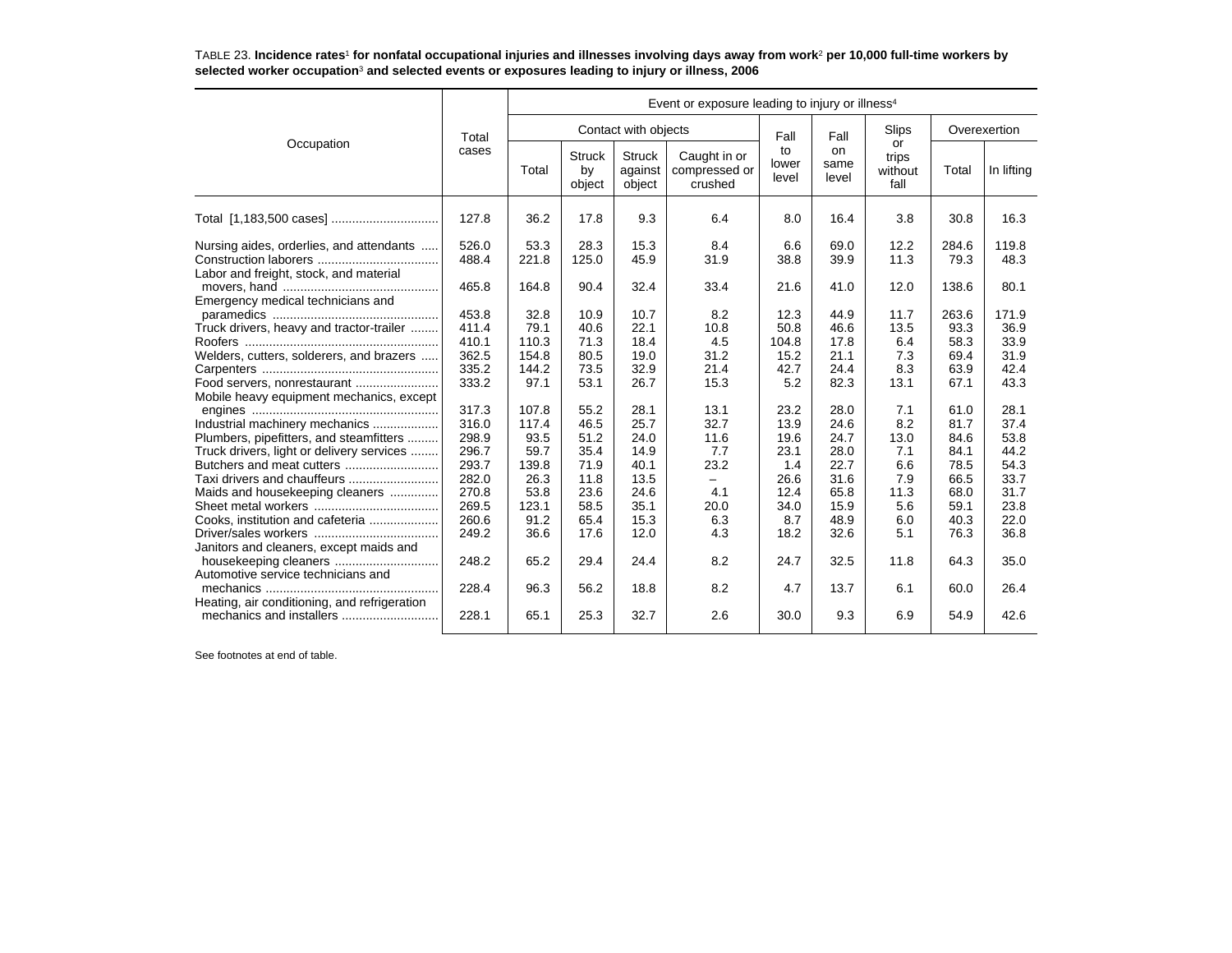TABLE 23. **Incidence rates**1 **for nonfatal occupational injuries and illnesses involving days away from work**2 **per 10,000 full-time workers by selected worker occupation**3 **and selected events or exposures leading to injury or illness, 2006**

|                                                                                    |                | Event or exposure leading to injury or illness <sup>4</sup> |                               |                                    |                                          |                      |                            |                                |               |               |  |
|------------------------------------------------------------------------------------|----------------|-------------------------------------------------------------|-------------------------------|------------------------------------|------------------------------------------|----------------------|----------------------------|--------------------------------|---------------|---------------|--|
| Occupation                                                                         | Total          |                                                             |                               | Contact with objects               |                                          | Fall                 | Fall                       | Slips                          | Overexertion  |               |  |
|                                                                                    | cases          | Total                                                       | <b>Struck</b><br>by<br>object | <b>Struck</b><br>against<br>object | Caught in or<br>compressed or<br>crushed | to<br>lower<br>level | <b>on</b><br>same<br>level | or<br>trips<br>without<br>fall | Total         | In lifting    |  |
| Total [1,183,500 cases]                                                            | 127.8          | 36.2                                                        | 17.8                          | 9.3                                | 6.4                                      | 8.0                  | 16.4                       | 3.8                            | 30.8          | 16.3          |  |
| Nursing aides, orderlies, and attendants<br>Labor and freight, stock, and material | 526.0<br>488.4 | 53.3<br>221.8                                               | 28.3<br>125.0                 | 15.3<br>45.9                       | 8.4<br>31.9                              | 6.6<br>38.8          | 69.0<br>39.9               | 12.2<br>11.3                   | 284.6<br>79.3 | 119.8<br>48.3 |  |
| Emergency medical technicians and                                                  | 465.8          | 164.8                                                       | 90.4                          | 32.4                               | 33.4                                     | 21.6                 | 41.0                       | 12.0                           | 138.6         | 80.1          |  |
|                                                                                    | 453.8<br>411.4 | 32.8<br>79.1                                                | 10.9<br>40.6                  | 10.7<br>22.1                       | 8.2<br>10.8                              | 12.3<br>50.8         | 44.9<br>46.6               | 11.7<br>13.5                   | 263.6<br>93.3 | 171.9<br>36.9 |  |
| Truck drivers, heavy and tractor-trailer                                           | 410.1          | 110.3                                                       | 71.3                          | 18.4                               | 4.5                                      | 104.8                | 17.8                       | 6.4                            | 58.3          | 33.9          |  |
| Welders, cutters, solderers, and brazers                                           | 362.5          | 154.8                                                       | 80.5                          | 19.0                               | 31.2                                     | 15.2                 | 21.1                       | 7.3                            | 69.4          | 31.9          |  |
|                                                                                    | 335.2          | 144.2                                                       | 73.5                          | 32.9                               | 21.4                                     | 42.7                 | 24.4                       | 8.3                            | 63.9          | 42.4          |  |
| Food servers, nonrestaurant                                                        | 333.2          | 97.1                                                        | 53.1                          | 26.7                               | 15.3                                     | 5.2                  | 82.3                       | 13.1                           | 67.1          | 43.3          |  |
| Mobile heavy equipment mechanics, except                                           |                |                                                             |                               |                                    |                                          |                      |                            |                                |               |               |  |
|                                                                                    | 317.3          | 107.8                                                       | 55.2                          | 28.1                               | 13.1                                     | 23.2                 | 28.0                       | 7.1                            | 61.0          | 28.1          |  |
| Industrial machinery mechanics                                                     | 316.0          | 117.4                                                       | 46.5                          | 25.7                               | 32.7                                     | 13.9                 | 24.6                       | 8.2                            | 81.7          | 37.4          |  |
| Plumbers, pipefitters, and steamfitters                                            | 298.9          | 93.5                                                        | 51.2                          | 24.0                               | 11.6                                     | 19.6                 | 24.7                       | 13.0                           | 84.6          | 53.8          |  |
| Truck drivers, light or delivery services                                          | 296.7          | 59.7                                                        | 35.4                          | 14.9                               | 7.7                                      | 23.1                 | 28.0                       | 7.1                            | 84.1          | 44.2          |  |
|                                                                                    | 293.7          | 139.8                                                       | 71.9                          | 40.1                               | 23.2                                     | 1.4                  | 22.7                       | 6.6                            | 78.5          | 54.3          |  |
| Taxi drivers and chauffeurs                                                        | 282.0          | 26.3                                                        | 11.8                          | 13.5                               | $\qquad \qquad -$                        | 26.6                 | 31.6                       | 7.9                            | 66.5          | 33.7          |  |
| Maids and housekeeping cleaners                                                    | 270.8          | 53.8                                                        | 23.6                          | 24.6                               | 4.1                                      | 12.4                 | 65.8                       | 11.3                           | 68.0          | 31.7          |  |
|                                                                                    | 269.5          | 123.1                                                       | 58.5                          | 35.1                               | 20.0                                     | 34.0                 | 15.9                       | 5.6                            | 59.1          | 23.8          |  |
| Cooks, institution and cafeteria                                                   | 260.6          | 91.2                                                        | 65.4                          | 15.3                               | 6.3                                      | 8.7                  | 48.9                       | 6.0                            | 40.3          | 22.0          |  |
| Janitors and cleaners, except maids and                                            | 249.2          | 36.6                                                        | 17.6                          | 12.0                               | 4.3                                      | 18.2                 | 32.6                       | 5.1                            | 76.3          | 36.8          |  |
| Automotive service technicians and                                                 | 248.2          | 65.2                                                        | 29.4                          | 24.4                               | 8.2                                      | 24.7                 | 32.5                       | 11.8                           | 64.3          | 35.0          |  |
| Heating, air conditioning, and refrigeration                                       | 228.4          | 96.3                                                        | 56.2                          | 18.8                               | 8.2                                      | 4.7                  | 13.7                       | 6.1                            | 60.0          | 26.4          |  |
|                                                                                    | 228.1          | 65.1                                                        | 25.3                          | 32.7                               | 2.6                                      | 30.0                 | 9.3                        | 6.9                            | 54.9          | 42.6          |  |